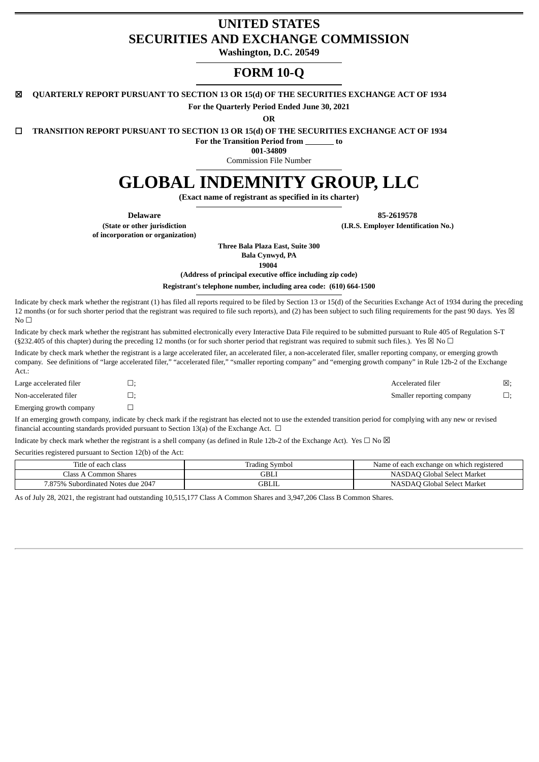# **UNITED STATES SECURITIES AND EXCHANGE COMMISSION**

**Washington, D.C. 20549**

## **FORM 10-Q**

## ☒ **QUARTERLY REPORT PURSUANT TO SECTION 13 OR 15(d) OF THE SECURITIES EXCHANGE ACT OF 1934**

**For the Quarterly Period Ended June 30, 2021**

**OR**

☐ **TRANSITION REPORT PURSUANT TO SECTION 13 OR 15(d) OF THE SECURITIES EXCHANGE ACT OF 1934**

**For the Transition Period from to**

**001-34809**

Commission File Number

# **GLOBAL INDEMNITY GROUP, LLC**

**(Exact name of registrant as specified in its charter)**

**Delaware 85-2619578 (State or other jurisdiction of incorporation or organization)**

**(I.R.S. Employer Identification No.)**

**Three Bala Plaza East, Suite 300**

**Bala Cynwyd, PA**

**19004**

**(Address of principal executive office including zip code)**

**Registrant's telephone number, including area code: (610) 664-1500**

Indicate by check mark whether the registrant (1) has filed all reports required to be filed by Section 13 or 15(d) of the Securities Exchange Act of 1934 during the preceding 12 months (or for such shorter period that the registrant was required to file such reports), and (2) has been subject to such filing requirements for the past 90 days. Yes  $\boxtimes$  $No<sub>1</sub>$ 

Indicate by check mark whether the registrant has submitted electronically every Interactive Data File required to be submitted pursuant to Rule 405 of Regulation S-T (§232.405 of this chapter) during the preceding 12 months (or for such shorter period that registrant was required to submit such files.). Yes ⊠ No □

Indicate by check mark whether the registrant is a large accelerated filer, an accelerated filer, a non-accelerated filer, smaller reporting company, or emerging growth company. See definitions of "large accelerated filer," "accelerated filer," "smaller reporting company" and "emerging growth company" in Rule 12b-2 of the Exchange Act.:

| Large accelerated filer |   |          |                                                                      |         | Accelerated filer         | 図: |
|-------------------------|---|----------|----------------------------------------------------------------------|---------|---------------------------|----|
| Non-accelerated filer   |   |          |                                                                      |         | Smaller reporting company | 口: |
| Emerging growth company | – |          |                                                                      |         |                           |    |
| $\sim$ $\sim$           |   | $\cdots$ | $\cdots$ $\cdots$<br>the contract of the contract of the contract of | $\cdot$ |                           |    |

If an emerging growth company, indicate by check mark if the registrant has elected not to use the extended transition period for complying with any new or revised financial accounting standards provided pursuant to Section 13(a) of the Exchange Act.  $\Box$ 

Indicate by check mark whether the registrant is a shell company (as defined in Rule 12b-2 of the Exchange Act). Yes  $\Box$  No  $\boxtimes$ 

Securities registered pursuant to Section 12(b) of the Act:

| class<br>ïtle<br>of each '                         | : Symbol<br>Tradıng | Name of each exchange on which registered           |
|----------------------------------------------------|---------------------|-----------------------------------------------------|
| Common Shares                                      | GBLI                | $\sim$<br>Global Select Market<br>NA.<br>.) Δ<br>ור |
| 2047<br>$7.875\%$ .<br>Subordinated<br>. Notes due | GBLIL               | Global Select Market<br>NA.<br>DА<br>ור             |

As of July 28, 2021, the registrant had outstanding 10,515,177 Class A Common Shares and 3,947,206 Class B Common Shares.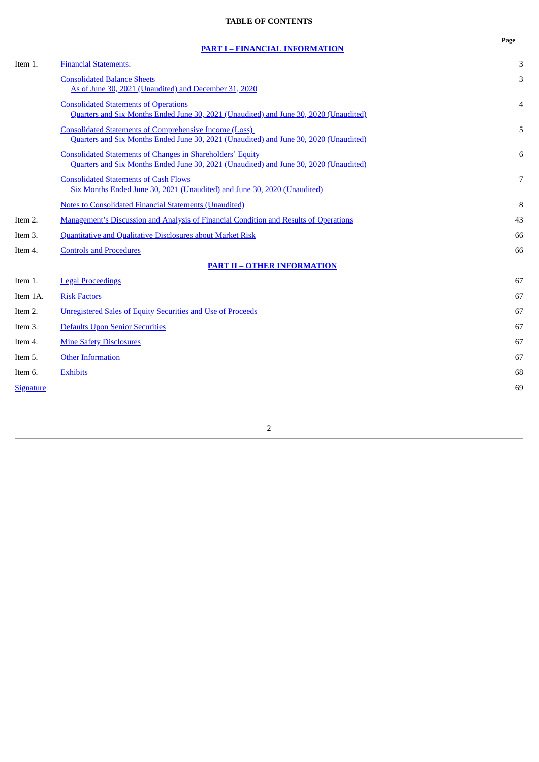## **TABLE OF CONTENTS**

| <b>PART I – FINANCIAL INFORMATION</b> |  |
|---------------------------------------|--|
|---------------------------------------|--|

**Page**

| Item 1.          | <b>Financial Statements:</b>                                                                                                                               | 3              |
|------------------|------------------------------------------------------------------------------------------------------------------------------------------------------------|----------------|
|                  | <b>Consolidated Balance Sheets</b><br>As of June 30, 2021 (Unaudited) and December 31, 2020                                                                | 3              |
|                  | <b>Consolidated Statements of Operations</b><br>Quarters and Six Months Ended June 30, 2021 (Unaudited) and June 30, 2020 (Unaudited)                      | $\overline{4}$ |
|                  | <b>Consolidated Statements of Comprehensive Income (Loss)</b><br>Quarters and Six Months Ended June 30, 2021 (Unaudited) and June 30, 2020 (Unaudited)     | 5              |
|                  | <b>Consolidated Statements of Changes in Shareholders' Equity</b><br>Quarters and Six Months Ended June 30, 2021 (Unaudited) and June 30, 2020 (Unaudited) | 6              |
|                  | <b>Consolidated Statements of Cash Flows</b><br>Six Months Ended June 30, 2021 (Unaudited) and June 30, 2020 (Unaudited)                                   | 7              |
|                  | <b>Notes to Consolidated Financial Statements (Unaudited)</b>                                                                                              | 8              |
| Item 2.          | <b>Management's Discussion and Analysis of Financial Condition and Results of Operations</b>                                                               | 43             |
| Item 3.          | <b>Quantitative and Qualitative Disclosures about Market Risk</b>                                                                                          | 66             |
| Item 4.          | <b>Controls and Procedures</b>                                                                                                                             | 66             |
|                  | <b>PART II - OTHER INFORMATION</b>                                                                                                                         |                |
| Item 1.          | <b>Legal Proceedings</b>                                                                                                                                   | 67             |
| Item 1A.         | <b>Risk Factors</b>                                                                                                                                        | 67             |
| Item 2.          | <b>Unregistered Sales of Equity Securities and Use of Proceeds</b>                                                                                         | 67             |
| Item 3.          | <b>Defaults Upon Senior Securities</b>                                                                                                                     | 67             |
| Item 4.          | <b>Mine Safety Disclosures</b>                                                                                                                             | 67             |
| Item 5.          | <b>Other Information</b>                                                                                                                                   | 67             |
| Item 6.          | <b>Exhibits</b>                                                                                                                                            | 68             |
| <b>Signature</b> |                                                                                                                                                            | 69             |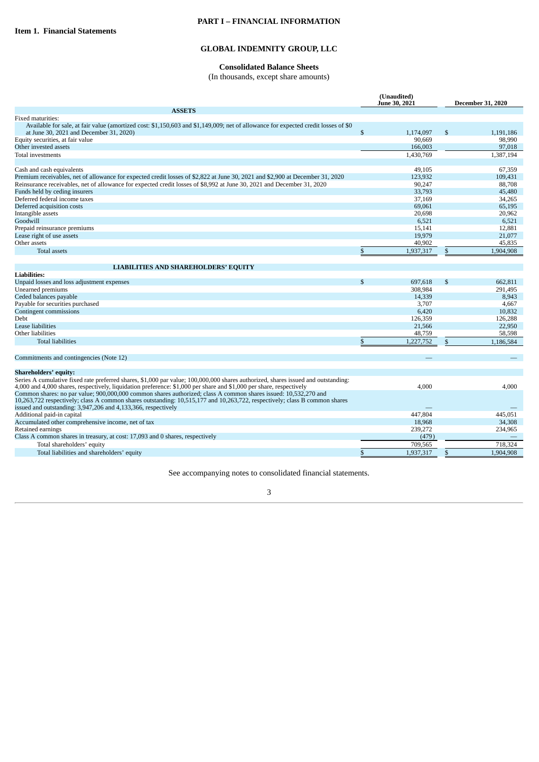## **PART I – FINANCIAL INFORMATION**

## **GLOBAL INDEMNITY GROUP, LLC**

## **Consolidated Balance Sheets**

(In thousands, except share amounts)

<span id="page-2-2"></span><span id="page-2-1"></span><span id="page-2-0"></span>

|                                                                                                                                                                                                                                                                                                                | (Unaudited)<br><b>June 30, 2021</b> |              | <b>December 31, 2020</b> |
|----------------------------------------------------------------------------------------------------------------------------------------------------------------------------------------------------------------------------------------------------------------------------------------------------------------|-------------------------------------|--------------|--------------------------|
| <b>ASSETS</b>                                                                                                                                                                                                                                                                                                  |                                     |              |                          |
| Fixed maturities:                                                                                                                                                                                                                                                                                              |                                     |              |                          |
| Available for sale, at fair value (amortized cost: \$1,150,603 and \$1,149,009; net of allowance for expected credit losses of \$0<br>at June 30, 2021 and December 31, 2020)                                                                                                                                  | \$<br>1,174,097                     | \$           | 1.191.186                |
| Equity securities, at fair value                                                                                                                                                                                                                                                                               | 90,669                              |              | 98,990                   |
| Other invested assets                                                                                                                                                                                                                                                                                          | 166,003                             |              | 97,018                   |
| <b>Total investments</b>                                                                                                                                                                                                                                                                                       | 1,430,769                           |              | 1,387,194                |
| Cash and cash equivalents                                                                                                                                                                                                                                                                                      | 49.105                              |              | 67.359                   |
| Premium receivables, net of allowance for expected credit losses of \$2,822 at June 30, 2021 and \$2,900 at December 31, 2020                                                                                                                                                                                  | 123,932                             |              | 109,431                  |
| Reinsurance receivables, net of allowance for expected credit losses of \$8,992 at June 30, 2021 and December 31, 2020                                                                                                                                                                                         | 90.247                              |              | 88,708                   |
| Funds held by ceding insurers                                                                                                                                                                                                                                                                                  | 33,793                              |              | 45,480                   |
| Deferred federal income taxes                                                                                                                                                                                                                                                                                  | 37,169                              |              | 34,265                   |
| Deferred acquisition costs                                                                                                                                                                                                                                                                                     | 69.061                              |              | 65.195                   |
| Intangible assets                                                                                                                                                                                                                                                                                              | 20,698                              |              | 20,962                   |
| Goodwill                                                                                                                                                                                                                                                                                                       | 6.521                               |              | 6,521                    |
| Prepaid reinsurance premiums                                                                                                                                                                                                                                                                                   | 15.141                              |              | 12,881                   |
| Lease right of use assets                                                                                                                                                                                                                                                                                      | 19.979                              |              | 21,077                   |
| Other assets                                                                                                                                                                                                                                                                                                   | 40,902                              |              | 45,835                   |
| <b>Total assets</b>                                                                                                                                                                                                                                                                                            | \$<br>1,937,317                     | $\mathbb{S}$ | 1,904,908                |
|                                                                                                                                                                                                                                                                                                                |                                     |              |                          |
| <b>LIABILITIES AND SHAREHOLDERS' EQUITY</b>                                                                                                                                                                                                                                                                    |                                     |              |                          |
| <b>Liabilities:</b>                                                                                                                                                                                                                                                                                            |                                     |              |                          |
| Unpaid losses and loss adjustment expenses                                                                                                                                                                                                                                                                     | \$<br>697.618                       | \$           | 662.811                  |
| Unearned premiums                                                                                                                                                                                                                                                                                              | 308,984                             |              | 291.495                  |
| Ceded balances payable                                                                                                                                                                                                                                                                                         | 14,339                              |              | 8,943                    |
| Payable for securities purchased                                                                                                                                                                                                                                                                               | 3,707                               |              | 4.667                    |
| Contingent commissions                                                                                                                                                                                                                                                                                         | 6,420                               |              | 10,832                   |
| Debt                                                                                                                                                                                                                                                                                                           | 126,359                             |              | 126,288                  |
| <b>Lease liabilities</b>                                                                                                                                                                                                                                                                                       | 21,566                              |              | 22,950                   |
| Other liabilities                                                                                                                                                                                                                                                                                              | 48,759                              |              | 58,598                   |
| <b>Total liabilities</b>                                                                                                                                                                                                                                                                                       | 1,227,752                           | \$           | 1,186,584                |
|                                                                                                                                                                                                                                                                                                                |                                     |              |                          |
| Commitments and contingencies (Note 12)                                                                                                                                                                                                                                                                        |                                     |              |                          |
|                                                                                                                                                                                                                                                                                                                |                                     |              |                          |
| <b>Shareholders' equity:</b>                                                                                                                                                                                                                                                                                   |                                     |              |                          |
| Series A cumulative fixed rate preferred shares, \$1,000 par value; 100,000,000 shares authorized, shares issued and outstanding:<br>4,000 and 4,000 shares, respectively, liquidation preference: \$1,000 per share and \$1,000 per share, respectively                                                       | 4,000                               |              | 4,000                    |
| Common shares: no par value; 900,000,000 common shares authorized; class A common shares issued: 10,532,270 and<br>10,263,722 respectively; class A common shares outstanding: 10,515,177 and 10,263,722, respectively; class B common shares<br>issued and outstanding: 3,947,206 and 4,133,366, respectively |                                     |              |                          |
| Additional paid-in capital                                                                                                                                                                                                                                                                                     | 447,804                             |              | 445.051                  |
| Accumulated other comprehensive income, net of tax                                                                                                                                                                                                                                                             | 18,968                              |              | 34,308                   |
| Retained earnings                                                                                                                                                                                                                                                                                              | 239,272                             |              | 234,965                  |
| Class A common shares in treasury, at cost: 17,093 and 0 shares, respectively                                                                                                                                                                                                                                  | (479)                               |              |                          |
| Total shareholders' equity                                                                                                                                                                                                                                                                                     | 709,565                             |              | 718.324                  |
| Total liabilities and shareholders' equity                                                                                                                                                                                                                                                                     | \$<br>1,937,317                     | \$           | 1.904.908                |
|                                                                                                                                                                                                                                                                                                                |                                     |              |                          |

See accompanying notes to consolidated financial statements.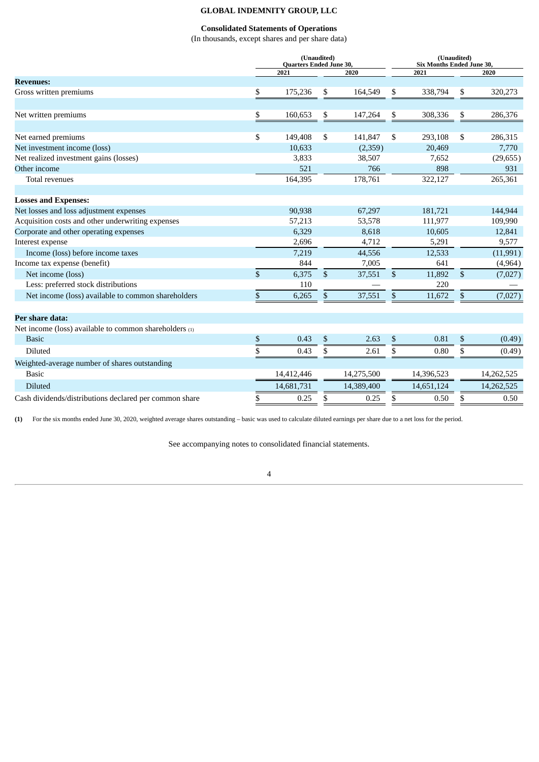## **Consolidated Statements of Operations**

(In thousands, except shares and per share data)

<span id="page-3-0"></span>

|                                                        |              | Quarters Ended June 30, | (Unaudited) |            | (Unaudited)<br>Six Months Ended June 30, |               |
|--------------------------------------------------------|--------------|-------------------------|-------------|------------|------------------------------------------|---------------|
|                                                        |              | 2021                    |             | 2020       | 2021                                     | 2020          |
| <b>Revenues:</b>                                       |              |                         |             |            |                                          |               |
| Gross written premiums                                 | \$           | 175,236                 | \$          | 164,549    | \$<br>338,794                            | \$<br>320,273 |
|                                                        |              |                         |             |            |                                          |               |
| Net written premiums                                   | \$           | 160,653                 | \$          | 147,264    | \$<br>308,336                            | \$<br>286,376 |
| Net earned premiums                                    | \$           | 149,408                 | \$          | 141,847    | \$<br>293,108                            | \$<br>286,315 |
| Net investment income (loss)                           |              | 10,633                  |             | (2,359)    | 20,469                                   | 7,770         |
| Net realized investment gains (losses)                 |              | 3,833                   |             | 38,507     | 7,652                                    | (29, 655)     |
| Other income                                           |              | 521                     |             | 766        | 898                                      | 931           |
| Total revenues                                         |              | 164,395                 |             | 178,761    | 322,127                                  | 265,361       |
|                                                        |              |                         |             |            |                                          |               |
| <b>Losses and Expenses:</b>                            |              |                         |             |            |                                          |               |
| Net losses and loss adjustment expenses                |              | 90,938                  |             | 67,297     | 181,721                                  | 144,944       |
| Acquisition costs and other underwriting expenses      |              | 57,213                  |             | 53,578     | 111,977                                  | 109,990       |
| Corporate and other operating expenses                 |              | 6,329                   |             | 8,618      | 10,605                                   | 12,841        |
| Interest expense                                       |              | 2,696                   |             | 4,712      | 5,291                                    | 9,577         |
| Income (loss) before income taxes                      |              | 7,219                   |             | 44,556     | 12,533                                   | (11, 991)     |
| Income tax expense (benefit)                           |              | 844                     |             | 7,005      | 641                                      | (4,964)       |
| Net income (loss)                                      | $\mathbb{S}$ | 6,375                   | \$          | 37,551     | \$<br>11,892                             | \$<br>(7,027) |
| Less: preferred stock distributions                    |              | 110                     |             |            | 220                                      |               |
| Net income (loss) available to common shareholders     | \$           | 6,265                   | \$          | 37,551     | \$<br>11,672                             | \$<br>(7,027) |
| Per share data:                                        |              |                         |             |            |                                          |               |
|                                                        |              |                         |             |            |                                          |               |
| Net income (loss) available to common shareholders (1) |              |                         |             |            |                                          |               |
| <b>Basic</b>                                           | \$           | 0.43                    | \$          | 2.63       | \$<br>0.81                               | \$<br>(0.49)  |
| Diluted                                                | \$           | 0.43                    | \$          | 2.61       | \$<br>0.80                               | \$<br>(0.49)  |
| Weighted-average number of shares outstanding          |              |                         |             |            |                                          |               |
| <b>Basic</b>                                           |              | 14,412,446              |             | 14,275,500 | 14,396,523                               | 14,262,525    |
| <b>Diluted</b>                                         |              | 14,681,731              |             | 14,389,400 | 14,651,124                               | 14,262,525    |
| Cash dividends/distributions declared per common share | \$           | 0.25                    | \$          | 0.25       | \$<br>0.50                               | \$<br>0.50    |
|                                                        |              |                         |             |            |                                          |               |

**(1)** For the six months ended June 30, 2020, weighted average shares outstanding – basic was used to calculate diluted earnings per share due to a net loss for the period.

See accompanying notes to consolidated financial statements.

| I |  |
|---|--|
|   |  |
|   |  |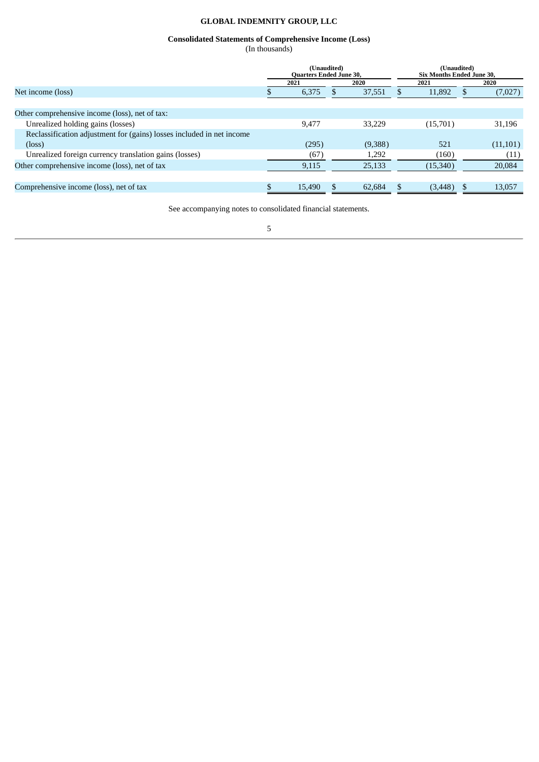#### **Consolidated Statements of Comprehensive Income (Loss)**

(In thousands)

<span id="page-4-0"></span>

|                                                                       | (Unaudited)<br><b>Ouarters Ended June 30.</b> |      |         |      | (Unaudited)<br><b>Six Months Ended June 30.</b> |    |           |
|-----------------------------------------------------------------------|-----------------------------------------------|------|---------|------|-------------------------------------------------|----|-----------|
|                                                                       | 2021                                          | 2020 |         | 2021 |                                                 |    | 2020      |
| Net income (loss)                                                     | 6,375                                         |      | 37,551  |      | 11,892                                          | \$ | (7,027)   |
| Other comprehensive income (loss), net of tax:                        |                                               |      |         |      |                                                 |    |           |
| Unrealized holding gains (losses)                                     | 9.477                                         |      | 33,229  |      | (15,701)                                        |    | 31,196    |
| Reclassification adjustment for (gains) losses included in net income |                                               |      |         |      |                                                 |    |           |
| $(\text{loss})$                                                       | (295)                                         |      | (9,388) |      | 521                                             |    | (11, 101) |
| Unrealized foreign currency translation gains (losses)                | (67)                                          |      | 1,292   |      | (160)                                           |    | (11)      |
| Other comprehensive income (loss), net of tax                         | 9,115                                         |      | 25,133  |      | (15,340)                                        |    | 20,084    |
|                                                                       |                                               |      |         |      |                                                 |    |           |
| Comprehensive income (loss), net of tax                               | 15,490                                        |      | 62.684  |      | (3, 448)                                        | £. | 13,057    |

See accompanying notes to consolidated financial statements.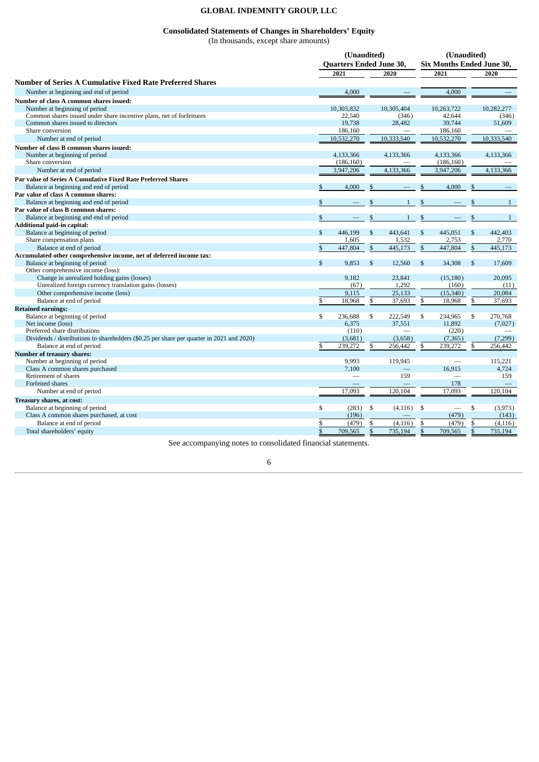#### **Consolidated Statements of Changes in Shareholders' Equity**

(In thousands, except share amounts)

<span id="page-5-0"></span>

| <b>Six Months Ended June 30,</b><br><b>Quarters Ended June 30,</b><br>2021<br>2020<br>2021<br>2020<br><b>Number of Series A Cumulative Fixed Rate Preferred Shares</b><br>4,000<br>Number at beginning and end of period<br>4,000<br>Number of class A common shares issued:<br>10.305.404<br>10.263.722<br>10.282.277<br>Number at beginning of period<br>10.303.832<br>Common shares issued under share incentive plans, net of forfeitures<br>22,540<br>42,644<br>(346)<br>(346)<br>19,738<br>39,744<br>Common shares issued to directors<br>28,482<br>51,609<br>Share conversion<br>186,160<br>186,160<br>10,532,270<br>10,532,270<br>10,333,540<br>10,333,540<br>Number at end of period<br>Number of class B common shares issued:<br>4,133,366<br>4,133,366<br>Number at beginning of period<br>4,133,366<br>4,133,366<br>Share conversion<br>(186, 160)<br>(186, 160)<br>3,947,206<br>4,133,366<br>3,947,206<br>4,133,366<br>Number at end of period<br>Par value of Series A Cumulative Fixed Rate Preferred Shares<br>Balance at beginning and end of period<br>4,000<br>4,000<br>\$<br>\$<br>\$<br>\$<br>Par value of class A common shares:<br>Balance at beginning and end of period<br>$\mathbf{1}$<br>\$<br>\$<br>\$.<br>\$<br>$\mathbf{1}$<br>Par value of class B common shares:<br>Balance at beginning and end of period<br>$\mathfrak{s}$<br>\$<br>\$<br>$\mathbf{1}$<br>\$<br>$\mathbf{1}$<br>Additional paid-in capital:<br>Balance at beginning of period<br>\$<br>446,199<br>$\mathbb{S}$<br>443,641<br>$\mathbb{S}$<br>445,051<br>$\mathbb{S}$<br>442,403<br>Share compensation plans<br>1,605<br>1,532<br>2,753<br>2,770<br>\$<br>$\mathbb{S}$<br>$\mathcal{S}$<br>447,804<br>\$<br>445,173<br>Balance at end of period<br>447,804<br>445,173<br>Accumulated other comprehensive income, net of deferred income tax:<br>Balance at beginning of period<br>$\mathcal{S}$<br>9,853<br>\$<br>12,560<br>\$<br>34,308<br>\$<br>17,609<br>Other comprehensive income (loss):<br>Change in unrealized holding gains (losses)<br>9,182<br>23,841<br>(15, 180)<br>20,095<br>Unrealized foreign currency translation gains (losses)<br>1,292<br>(67)<br>(160)<br>(11)<br>25,133<br>Other comprehensive income (loss)<br>9,115<br>(15, 340)<br>20,084<br>\$<br>37,693<br>\$<br>18,968<br>\$<br>Balance at end of period<br>\$<br>18,968<br>37,693<br><b>Retained earnings:</b><br>\$<br>236,688<br>$\mathbb{S}$<br>Balance at beginning of period<br>\$<br>222,549<br>\$<br>234,965<br>270,768<br>Net income (loss)<br>6,375<br>37,551<br>11,892<br>(7,027)<br>(220)<br>Preferred share distributions<br>(110)<br><u>in a</u><br>Dividends / distributions to shareholders (\$0.25 per share per quarter in 2021 and 2020)<br>(3,681)<br>(3,658)<br>(7,365)<br>(7,299)<br>\$<br>\$<br>\$<br>\$<br>239,272<br>256,442<br>239.272<br>256.442<br>Balance at end of period<br><b>Number of treasury shares:</b><br>Number at beginning of period<br>9,993<br>119,945<br>115,221<br>Class A common shares purchased<br>16,915<br>4,724<br>7,100<br>159<br>Retirement of shares<br>159<br>178<br>Forfeited shares<br>17,093<br>120,104<br>17,093<br>120.104<br>Number at end of period<br>Treasury shares, at cost:<br>Balance at beginning of period<br>\$<br>(283)<br>\$<br>-\$<br>(4, 116)<br>- \$<br>(3,973)<br>$\overline{\phantom{0}}$<br>Class A common shares purchased, at cost<br>(479)<br>(196)<br>(143)<br>\$<br>\$<br>\$<br>(4, 116)<br>\$<br>(479)<br>(4, 116)<br>Balance at end of period<br>(479)<br>\$<br>$\mathbb{S}$<br>$\mathbb{S}$<br>$\mathbb{S}$<br>709,565<br>735,194<br>709,565<br>735,194<br>Total shareholders' equity |  | (Unaudited) |  | (Unaudited) |  |
|------------------------------------------------------------------------------------------------------------------------------------------------------------------------------------------------------------------------------------------------------------------------------------------------------------------------------------------------------------------------------------------------------------------------------------------------------------------------------------------------------------------------------------------------------------------------------------------------------------------------------------------------------------------------------------------------------------------------------------------------------------------------------------------------------------------------------------------------------------------------------------------------------------------------------------------------------------------------------------------------------------------------------------------------------------------------------------------------------------------------------------------------------------------------------------------------------------------------------------------------------------------------------------------------------------------------------------------------------------------------------------------------------------------------------------------------------------------------------------------------------------------------------------------------------------------------------------------------------------------------------------------------------------------------------------------------------------------------------------------------------------------------------------------------------------------------------------------------------------------------------------------------------------------------------------------------------------------------------------------------------------------------------------------------------------------------------------------------------------------------------------------------------------------------------------------------------------------------------------------------------------------------------------------------------------------------------------------------------------------------------------------------------------------------------------------------------------------------------------------------------------------------------------------------------------------------------------------------------------------------------------------------------------------------------------------------------------------------------------------------------------------------------------------------------------------------------------------------------------------------------------------------------------------------------------------------------------------------------------------------------------------------------------------------------------------------------------------------------------------------------------------------------------------------------------------------------------------------------------------------------------------------------------------------------------------------------------------------------------------------------------------------------------------------------------------------------------------------------------------------------------------------------------------------------------------------------------------------------------------------------------------------------------|--|-------------|--|-------------|--|
|                                                                                                                                                                                                                                                                                                                                                                                                                                                                                                                                                                                                                                                                                                                                                                                                                                                                                                                                                                                                                                                                                                                                                                                                                                                                                                                                                                                                                                                                                                                                                                                                                                                                                                                                                                                                                                                                                                                                                                                                                                                                                                                                                                                                                                                                                                                                                                                                                                                                                                                                                                                                                                                                                                                                                                                                                                                                                                                                                                                                                                                                                                                                                                                                                                                                                                                                                                                                                                                                                                                                                                                                                                                            |  |             |  |             |  |
|                                                                                                                                                                                                                                                                                                                                                                                                                                                                                                                                                                                                                                                                                                                                                                                                                                                                                                                                                                                                                                                                                                                                                                                                                                                                                                                                                                                                                                                                                                                                                                                                                                                                                                                                                                                                                                                                                                                                                                                                                                                                                                                                                                                                                                                                                                                                                                                                                                                                                                                                                                                                                                                                                                                                                                                                                                                                                                                                                                                                                                                                                                                                                                                                                                                                                                                                                                                                                                                                                                                                                                                                                                                            |  |             |  |             |  |
|                                                                                                                                                                                                                                                                                                                                                                                                                                                                                                                                                                                                                                                                                                                                                                                                                                                                                                                                                                                                                                                                                                                                                                                                                                                                                                                                                                                                                                                                                                                                                                                                                                                                                                                                                                                                                                                                                                                                                                                                                                                                                                                                                                                                                                                                                                                                                                                                                                                                                                                                                                                                                                                                                                                                                                                                                                                                                                                                                                                                                                                                                                                                                                                                                                                                                                                                                                                                                                                                                                                                                                                                                                                            |  |             |  |             |  |
|                                                                                                                                                                                                                                                                                                                                                                                                                                                                                                                                                                                                                                                                                                                                                                                                                                                                                                                                                                                                                                                                                                                                                                                                                                                                                                                                                                                                                                                                                                                                                                                                                                                                                                                                                                                                                                                                                                                                                                                                                                                                                                                                                                                                                                                                                                                                                                                                                                                                                                                                                                                                                                                                                                                                                                                                                                                                                                                                                                                                                                                                                                                                                                                                                                                                                                                                                                                                                                                                                                                                                                                                                                                            |  |             |  |             |  |
|                                                                                                                                                                                                                                                                                                                                                                                                                                                                                                                                                                                                                                                                                                                                                                                                                                                                                                                                                                                                                                                                                                                                                                                                                                                                                                                                                                                                                                                                                                                                                                                                                                                                                                                                                                                                                                                                                                                                                                                                                                                                                                                                                                                                                                                                                                                                                                                                                                                                                                                                                                                                                                                                                                                                                                                                                                                                                                                                                                                                                                                                                                                                                                                                                                                                                                                                                                                                                                                                                                                                                                                                                                                            |  |             |  |             |  |
|                                                                                                                                                                                                                                                                                                                                                                                                                                                                                                                                                                                                                                                                                                                                                                                                                                                                                                                                                                                                                                                                                                                                                                                                                                                                                                                                                                                                                                                                                                                                                                                                                                                                                                                                                                                                                                                                                                                                                                                                                                                                                                                                                                                                                                                                                                                                                                                                                                                                                                                                                                                                                                                                                                                                                                                                                                                                                                                                                                                                                                                                                                                                                                                                                                                                                                                                                                                                                                                                                                                                                                                                                                                            |  |             |  |             |  |
|                                                                                                                                                                                                                                                                                                                                                                                                                                                                                                                                                                                                                                                                                                                                                                                                                                                                                                                                                                                                                                                                                                                                                                                                                                                                                                                                                                                                                                                                                                                                                                                                                                                                                                                                                                                                                                                                                                                                                                                                                                                                                                                                                                                                                                                                                                                                                                                                                                                                                                                                                                                                                                                                                                                                                                                                                                                                                                                                                                                                                                                                                                                                                                                                                                                                                                                                                                                                                                                                                                                                                                                                                                                            |  |             |  |             |  |
|                                                                                                                                                                                                                                                                                                                                                                                                                                                                                                                                                                                                                                                                                                                                                                                                                                                                                                                                                                                                                                                                                                                                                                                                                                                                                                                                                                                                                                                                                                                                                                                                                                                                                                                                                                                                                                                                                                                                                                                                                                                                                                                                                                                                                                                                                                                                                                                                                                                                                                                                                                                                                                                                                                                                                                                                                                                                                                                                                                                                                                                                                                                                                                                                                                                                                                                                                                                                                                                                                                                                                                                                                                                            |  |             |  |             |  |
|                                                                                                                                                                                                                                                                                                                                                                                                                                                                                                                                                                                                                                                                                                                                                                                                                                                                                                                                                                                                                                                                                                                                                                                                                                                                                                                                                                                                                                                                                                                                                                                                                                                                                                                                                                                                                                                                                                                                                                                                                                                                                                                                                                                                                                                                                                                                                                                                                                                                                                                                                                                                                                                                                                                                                                                                                                                                                                                                                                                                                                                                                                                                                                                                                                                                                                                                                                                                                                                                                                                                                                                                                                                            |  |             |  |             |  |
|                                                                                                                                                                                                                                                                                                                                                                                                                                                                                                                                                                                                                                                                                                                                                                                                                                                                                                                                                                                                                                                                                                                                                                                                                                                                                                                                                                                                                                                                                                                                                                                                                                                                                                                                                                                                                                                                                                                                                                                                                                                                                                                                                                                                                                                                                                                                                                                                                                                                                                                                                                                                                                                                                                                                                                                                                                                                                                                                                                                                                                                                                                                                                                                                                                                                                                                                                                                                                                                                                                                                                                                                                                                            |  |             |  |             |  |
|                                                                                                                                                                                                                                                                                                                                                                                                                                                                                                                                                                                                                                                                                                                                                                                                                                                                                                                                                                                                                                                                                                                                                                                                                                                                                                                                                                                                                                                                                                                                                                                                                                                                                                                                                                                                                                                                                                                                                                                                                                                                                                                                                                                                                                                                                                                                                                                                                                                                                                                                                                                                                                                                                                                                                                                                                                                                                                                                                                                                                                                                                                                                                                                                                                                                                                                                                                                                                                                                                                                                                                                                                                                            |  |             |  |             |  |
|                                                                                                                                                                                                                                                                                                                                                                                                                                                                                                                                                                                                                                                                                                                                                                                                                                                                                                                                                                                                                                                                                                                                                                                                                                                                                                                                                                                                                                                                                                                                                                                                                                                                                                                                                                                                                                                                                                                                                                                                                                                                                                                                                                                                                                                                                                                                                                                                                                                                                                                                                                                                                                                                                                                                                                                                                                                                                                                                                                                                                                                                                                                                                                                                                                                                                                                                                                                                                                                                                                                                                                                                                                                            |  |             |  |             |  |
|                                                                                                                                                                                                                                                                                                                                                                                                                                                                                                                                                                                                                                                                                                                                                                                                                                                                                                                                                                                                                                                                                                                                                                                                                                                                                                                                                                                                                                                                                                                                                                                                                                                                                                                                                                                                                                                                                                                                                                                                                                                                                                                                                                                                                                                                                                                                                                                                                                                                                                                                                                                                                                                                                                                                                                                                                                                                                                                                                                                                                                                                                                                                                                                                                                                                                                                                                                                                                                                                                                                                                                                                                                                            |  |             |  |             |  |
|                                                                                                                                                                                                                                                                                                                                                                                                                                                                                                                                                                                                                                                                                                                                                                                                                                                                                                                                                                                                                                                                                                                                                                                                                                                                                                                                                                                                                                                                                                                                                                                                                                                                                                                                                                                                                                                                                                                                                                                                                                                                                                                                                                                                                                                                                                                                                                                                                                                                                                                                                                                                                                                                                                                                                                                                                                                                                                                                                                                                                                                                                                                                                                                                                                                                                                                                                                                                                                                                                                                                                                                                                                                            |  |             |  |             |  |
|                                                                                                                                                                                                                                                                                                                                                                                                                                                                                                                                                                                                                                                                                                                                                                                                                                                                                                                                                                                                                                                                                                                                                                                                                                                                                                                                                                                                                                                                                                                                                                                                                                                                                                                                                                                                                                                                                                                                                                                                                                                                                                                                                                                                                                                                                                                                                                                                                                                                                                                                                                                                                                                                                                                                                                                                                                                                                                                                                                                                                                                                                                                                                                                                                                                                                                                                                                                                                                                                                                                                                                                                                                                            |  |             |  |             |  |
|                                                                                                                                                                                                                                                                                                                                                                                                                                                                                                                                                                                                                                                                                                                                                                                                                                                                                                                                                                                                                                                                                                                                                                                                                                                                                                                                                                                                                                                                                                                                                                                                                                                                                                                                                                                                                                                                                                                                                                                                                                                                                                                                                                                                                                                                                                                                                                                                                                                                                                                                                                                                                                                                                                                                                                                                                                                                                                                                                                                                                                                                                                                                                                                                                                                                                                                                                                                                                                                                                                                                                                                                                                                            |  |             |  |             |  |
|                                                                                                                                                                                                                                                                                                                                                                                                                                                                                                                                                                                                                                                                                                                                                                                                                                                                                                                                                                                                                                                                                                                                                                                                                                                                                                                                                                                                                                                                                                                                                                                                                                                                                                                                                                                                                                                                                                                                                                                                                                                                                                                                                                                                                                                                                                                                                                                                                                                                                                                                                                                                                                                                                                                                                                                                                                                                                                                                                                                                                                                                                                                                                                                                                                                                                                                                                                                                                                                                                                                                                                                                                                                            |  |             |  |             |  |
|                                                                                                                                                                                                                                                                                                                                                                                                                                                                                                                                                                                                                                                                                                                                                                                                                                                                                                                                                                                                                                                                                                                                                                                                                                                                                                                                                                                                                                                                                                                                                                                                                                                                                                                                                                                                                                                                                                                                                                                                                                                                                                                                                                                                                                                                                                                                                                                                                                                                                                                                                                                                                                                                                                                                                                                                                                                                                                                                                                                                                                                                                                                                                                                                                                                                                                                                                                                                                                                                                                                                                                                                                                                            |  |             |  |             |  |
|                                                                                                                                                                                                                                                                                                                                                                                                                                                                                                                                                                                                                                                                                                                                                                                                                                                                                                                                                                                                                                                                                                                                                                                                                                                                                                                                                                                                                                                                                                                                                                                                                                                                                                                                                                                                                                                                                                                                                                                                                                                                                                                                                                                                                                                                                                                                                                                                                                                                                                                                                                                                                                                                                                                                                                                                                                                                                                                                                                                                                                                                                                                                                                                                                                                                                                                                                                                                                                                                                                                                                                                                                                                            |  |             |  |             |  |
|                                                                                                                                                                                                                                                                                                                                                                                                                                                                                                                                                                                                                                                                                                                                                                                                                                                                                                                                                                                                                                                                                                                                                                                                                                                                                                                                                                                                                                                                                                                                                                                                                                                                                                                                                                                                                                                                                                                                                                                                                                                                                                                                                                                                                                                                                                                                                                                                                                                                                                                                                                                                                                                                                                                                                                                                                                                                                                                                                                                                                                                                                                                                                                                                                                                                                                                                                                                                                                                                                                                                                                                                                                                            |  |             |  |             |  |
|                                                                                                                                                                                                                                                                                                                                                                                                                                                                                                                                                                                                                                                                                                                                                                                                                                                                                                                                                                                                                                                                                                                                                                                                                                                                                                                                                                                                                                                                                                                                                                                                                                                                                                                                                                                                                                                                                                                                                                                                                                                                                                                                                                                                                                                                                                                                                                                                                                                                                                                                                                                                                                                                                                                                                                                                                                                                                                                                                                                                                                                                                                                                                                                                                                                                                                                                                                                                                                                                                                                                                                                                                                                            |  |             |  |             |  |
|                                                                                                                                                                                                                                                                                                                                                                                                                                                                                                                                                                                                                                                                                                                                                                                                                                                                                                                                                                                                                                                                                                                                                                                                                                                                                                                                                                                                                                                                                                                                                                                                                                                                                                                                                                                                                                                                                                                                                                                                                                                                                                                                                                                                                                                                                                                                                                                                                                                                                                                                                                                                                                                                                                                                                                                                                                                                                                                                                                                                                                                                                                                                                                                                                                                                                                                                                                                                                                                                                                                                                                                                                                                            |  |             |  |             |  |
|                                                                                                                                                                                                                                                                                                                                                                                                                                                                                                                                                                                                                                                                                                                                                                                                                                                                                                                                                                                                                                                                                                                                                                                                                                                                                                                                                                                                                                                                                                                                                                                                                                                                                                                                                                                                                                                                                                                                                                                                                                                                                                                                                                                                                                                                                                                                                                                                                                                                                                                                                                                                                                                                                                                                                                                                                                                                                                                                                                                                                                                                                                                                                                                                                                                                                                                                                                                                                                                                                                                                                                                                                                                            |  |             |  |             |  |
|                                                                                                                                                                                                                                                                                                                                                                                                                                                                                                                                                                                                                                                                                                                                                                                                                                                                                                                                                                                                                                                                                                                                                                                                                                                                                                                                                                                                                                                                                                                                                                                                                                                                                                                                                                                                                                                                                                                                                                                                                                                                                                                                                                                                                                                                                                                                                                                                                                                                                                                                                                                                                                                                                                                                                                                                                                                                                                                                                                                                                                                                                                                                                                                                                                                                                                                                                                                                                                                                                                                                                                                                                                                            |  |             |  |             |  |
|                                                                                                                                                                                                                                                                                                                                                                                                                                                                                                                                                                                                                                                                                                                                                                                                                                                                                                                                                                                                                                                                                                                                                                                                                                                                                                                                                                                                                                                                                                                                                                                                                                                                                                                                                                                                                                                                                                                                                                                                                                                                                                                                                                                                                                                                                                                                                                                                                                                                                                                                                                                                                                                                                                                                                                                                                                                                                                                                                                                                                                                                                                                                                                                                                                                                                                                                                                                                                                                                                                                                                                                                                                                            |  |             |  |             |  |
|                                                                                                                                                                                                                                                                                                                                                                                                                                                                                                                                                                                                                                                                                                                                                                                                                                                                                                                                                                                                                                                                                                                                                                                                                                                                                                                                                                                                                                                                                                                                                                                                                                                                                                                                                                                                                                                                                                                                                                                                                                                                                                                                                                                                                                                                                                                                                                                                                                                                                                                                                                                                                                                                                                                                                                                                                                                                                                                                                                                                                                                                                                                                                                                                                                                                                                                                                                                                                                                                                                                                                                                                                                                            |  |             |  |             |  |
|                                                                                                                                                                                                                                                                                                                                                                                                                                                                                                                                                                                                                                                                                                                                                                                                                                                                                                                                                                                                                                                                                                                                                                                                                                                                                                                                                                                                                                                                                                                                                                                                                                                                                                                                                                                                                                                                                                                                                                                                                                                                                                                                                                                                                                                                                                                                                                                                                                                                                                                                                                                                                                                                                                                                                                                                                                                                                                                                                                                                                                                                                                                                                                                                                                                                                                                                                                                                                                                                                                                                                                                                                                                            |  |             |  |             |  |
|                                                                                                                                                                                                                                                                                                                                                                                                                                                                                                                                                                                                                                                                                                                                                                                                                                                                                                                                                                                                                                                                                                                                                                                                                                                                                                                                                                                                                                                                                                                                                                                                                                                                                                                                                                                                                                                                                                                                                                                                                                                                                                                                                                                                                                                                                                                                                                                                                                                                                                                                                                                                                                                                                                                                                                                                                                                                                                                                                                                                                                                                                                                                                                                                                                                                                                                                                                                                                                                                                                                                                                                                                                                            |  |             |  |             |  |
|                                                                                                                                                                                                                                                                                                                                                                                                                                                                                                                                                                                                                                                                                                                                                                                                                                                                                                                                                                                                                                                                                                                                                                                                                                                                                                                                                                                                                                                                                                                                                                                                                                                                                                                                                                                                                                                                                                                                                                                                                                                                                                                                                                                                                                                                                                                                                                                                                                                                                                                                                                                                                                                                                                                                                                                                                                                                                                                                                                                                                                                                                                                                                                                                                                                                                                                                                                                                                                                                                                                                                                                                                                                            |  |             |  |             |  |
|                                                                                                                                                                                                                                                                                                                                                                                                                                                                                                                                                                                                                                                                                                                                                                                                                                                                                                                                                                                                                                                                                                                                                                                                                                                                                                                                                                                                                                                                                                                                                                                                                                                                                                                                                                                                                                                                                                                                                                                                                                                                                                                                                                                                                                                                                                                                                                                                                                                                                                                                                                                                                                                                                                                                                                                                                                                                                                                                                                                                                                                                                                                                                                                                                                                                                                                                                                                                                                                                                                                                                                                                                                                            |  |             |  |             |  |
|                                                                                                                                                                                                                                                                                                                                                                                                                                                                                                                                                                                                                                                                                                                                                                                                                                                                                                                                                                                                                                                                                                                                                                                                                                                                                                                                                                                                                                                                                                                                                                                                                                                                                                                                                                                                                                                                                                                                                                                                                                                                                                                                                                                                                                                                                                                                                                                                                                                                                                                                                                                                                                                                                                                                                                                                                                                                                                                                                                                                                                                                                                                                                                                                                                                                                                                                                                                                                                                                                                                                                                                                                                                            |  |             |  |             |  |
|                                                                                                                                                                                                                                                                                                                                                                                                                                                                                                                                                                                                                                                                                                                                                                                                                                                                                                                                                                                                                                                                                                                                                                                                                                                                                                                                                                                                                                                                                                                                                                                                                                                                                                                                                                                                                                                                                                                                                                                                                                                                                                                                                                                                                                                                                                                                                                                                                                                                                                                                                                                                                                                                                                                                                                                                                                                                                                                                                                                                                                                                                                                                                                                                                                                                                                                                                                                                                                                                                                                                                                                                                                                            |  |             |  |             |  |
|                                                                                                                                                                                                                                                                                                                                                                                                                                                                                                                                                                                                                                                                                                                                                                                                                                                                                                                                                                                                                                                                                                                                                                                                                                                                                                                                                                                                                                                                                                                                                                                                                                                                                                                                                                                                                                                                                                                                                                                                                                                                                                                                                                                                                                                                                                                                                                                                                                                                                                                                                                                                                                                                                                                                                                                                                                                                                                                                                                                                                                                                                                                                                                                                                                                                                                                                                                                                                                                                                                                                                                                                                                                            |  |             |  |             |  |
|                                                                                                                                                                                                                                                                                                                                                                                                                                                                                                                                                                                                                                                                                                                                                                                                                                                                                                                                                                                                                                                                                                                                                                                                                                                                                                                                                                                                                                                                                                                                                                                                                                                                                                                                                                                                                                                                                                                                                                                                                                                                                                                                                                                                                                                                                                                                                                                                                                                                                                                                                                                                                                                                                                                                                                                                                                                                                                                                                                                                                                                                                                                                                                                                                                                                                                                                                                                                                                                                                                                                                                                                                                                            |  |             |  |             |  |
|                                                                                                                                                                                                                                                                                                                                                                                                                                                                                                                                                                                                                                                                                                                                                                                                                                                                                                                                                                                                                                                                                                                                                                                                                                                                                                                                                                                                                                                                                                                                                                                                                                                                                                                                                                                                                                                                                                                                                                                                                                                                                                                                                                                                                                                                                                                                                                                                                                                                                                                                                                                                                                                                                                                                                                                                                                                                                                                                                                                                                                                                                                                                                                                                                                                                                                                                                                                                                                                                                                                                                                                                                                                            |  |             |  |             |  |
|                                                                                                                                                                                                                                                                                                                                                                                                                                                                                                                                                                                                                                                                                                                                                                                                                                                                                                                                                                                                                                                                                                                                                                                                                                                                                                                                                                                                                                                                                                                                                                                                                                                                                                                                                                                                                                                                                                                                                                                                                                                                                                                                                                                                                                                                                                                                                                                                                                                                                                                                                                                                                                                                                                                                                                                                                                                                                                                                                                                                                                                                                                                                                                                                                                                                                                                                                                                                                                                                                                                                                                                                                                                            |  |             |  |             |  |
|                                                                                                                                                                                                                                                                                                                                                                                                                                                                                                                                                                                                                                                                                                                                                                                                                                                                                                                                                                                                                                                                                                                                                                                                                                                                                                                                                                                                                                                                                                                                                                                                                                                                                                                                                                                                                                                                                                                                                                                                                                                                                                                                                                                                                                                                                                                                                                                                                                                                                                                                                                                                                                                                                                                                                                                                                                                                                                                                                                                                                                                                                                                                                                                                                                                                                                                                                                                                                                                                                                                                                                                                                                                            |  |             |  |             |  |
|                                                                                                                                                                                                                                                                                                                                                                                                                                                                                                                                                                                                                                                                                                                                                                                                                                                                                                                                                                                                                                                                                                                                                                                                                                                                                                                                                                                                                                                                                                                                                                                                                                                                                                                                                                                                                                                                                                                                                                                                                                                                                                                                                                                                                                                                                                                                                                                                                                                                                                                                                                                                                                                                                                                                                                                                                                                                                                                                                                                                                                                                                                                                                                                                                                                                                                                                                                                                                                                                                                                                                                                                                                                            |  |             |  |             |  |
|                                                                                                                                                                                                                                                                                                                                                                                                                                                                                                                                                                                                                                                                                                                                                                                                                                                                                                                                                                                                                                                                                                                                                                                                                                                                                                                                                                                                                                                                                                                                                                                                                                                                                                                                                                                                                                                                                                                                                                                                                                                                                                                                                                                                                                                                                                                                                                                                                                                                                                                                                                                                                                                                                                                                                                                                                                                                                                                                                                                                                                                                                                                                                                                                                                                                                                                                                                                                                                                                                                                                                                                                                                                            |  |             |  |             |  |
|                                                                                                                                                                                                                                                                                                                                                                                                                                                                                                                                                                                                                                                                                                                                                                                                                                                                                                                                                                                                                                                                                                                                                                                                                                                                                                                                                                                                                                                                                                                                                                                                                                                                                                                                                                                                                                                                                                                                                                                                                                                                                                                                                                                                                                                                                                                                                                                                                                                                                                                                                                                                                                                                                                                                                                                                                                                                                                                                                                                                                                                                                                                                                                                                                                                                                                                                                                                                                                                                                                                                                                                                                                                            |  |             |  |             |  |
|                                                                                                                                                                                                                                                                                                                                                                                                                                                                                                                                                                                                                                                                                                                                                                                                                                                                                                                                                                                                                                                                                                                                                                                                                                                                                                                                                                                                                                                                                                                                                                                                                                                                                                                                                                                                                                                                                                                                                                                                                                                                                                                                                                                                                                                                                                                                                                                                                                                                                                                                                                                                                                                                                                                                                                                                                                                                                                                                                                                                                                                                                                                                                                                                                                                                                                                                                                                                                                                                                                                                                                                                                                                            |  |             |  |             |  |
|                                                                                                                                                                                                                                                                                                                                                                                                                                                                                                                                                                                                                                                                                                                                                                                                                                                                                                                                                                                                                                                                                                                                                                                                                                                                                                                                                                                                                                                                                                                                                                                                                                                                                                                                                                                                                                                                                                                                                                                                                                                                                                                                                                                                                                                                                                                                                                                                                                                                                                                                                                                                                                                                                                                                                                                                                                                                                                                                                                                                                                                                                                                                                                                                                                                                                                                                                                                                                                                                                                                                                                                                                                                            |  |             |  |             |  |
|                                                                                                                                                                                                                                                                                                                                                                                                                                                                                                                                                                                                                                                                                                                                                                                                                                                                                                                                                                                                                                                                                                                                                                                                                                                                                                                                                                                                                                                                                                                                                                                                                                                                                                                                                                                                                                                                                                                                                                                                                                                                                                                                                                                                                                                                                                                                                                                                                                                                                                                                                                                                                                                                                                                                                                                                                                                                                                                                                                                                                                                                                                                                                                                                                                                                                                                                                                                                                                                                                                                                                                                                                                                            |  |             |  |             |  |
|                                                                                                                                                                                                                                                                                                                                                                                                                                                                                                                                                                                                                                                                                                                                                                                                                                                                                                                                                                                                                                                                                                                                                                                                                                                                                                                                                                                                                                                                                                                                                                                                                                                                                                                                                                                                                                                                                                                                                                                                                                                                                                                                                                                                                                                                                                                                                                                                                                                                                                                                                                                                                                                                                                                                                                                                                                                                                                                                                                                                                                                                                                                                                                                                                                                                                                                                                                                                                                                                                                                                                                                                                                                            |  |             |  |             |  |
|                                                                                                                                                                                                                                                                                                                                                                                                                                                                                                                                                                                                                                                                                                                                                                                                                                                                                                                                                                                                                                                                                                                                                                                                                                                                                                                                                                                                                                                                                                                                                                                                                                                                                                                                                                                                                                                                                                                                                                                                                                                                                                                                                                                                                                                                                                                                                                                                                                                                                                                                                                                                                                                                                                                                                                                                                                                                                                                                                                                                                                                                                                                                                                                                                                                                                                                                                                                                                                                                                                                                                                                                                                                            |  |             |  |             |  |
|                                                                                                                                                                                                                                                                                                                                                                                                                                                                                                                                                                                                                                                                                                                                                                                                                                                                                                                                                                                                                                                                                                                                                                                                                                                                                                                                                                                                                                                                                                                                                                                                                                                                                                                                                                                                                                                                                                                                                                                                                                                                                                                                                                                                                                                                                                                                                                                                                                                                                                                                                                                                                                                                                                                                                                                                                                                                                                                                                                                                                                                                                                                                                                                                                                                                                                                                                                                                                                                                                                                                                                                                                                                            |  |             |  |             |  |
|                                                                                                                                                                                                                                                                                                                                                                                                                                                                                                                                                                                                                                                                                                                                                                                                                                                                                                                                                                                                                                                                                                                                                                                                                                                                                                                                                                                                                                                                                                                                                                                                                                                                                                                                                                                                                                                                                                                                                                                                                                                                                                                                                                                                                                                                                                                                                                                                                                                                                                                                                                                                                                                                                                                                                                                                                                                                                                                                                                                                                                                                                                                                                                                                                                                                                                                                                                                                                                                                                                                                                                                                                                                            |  |             |  |             |  |
|                                                                                                                                                                                                                                                                                                                                                                                                                                                                                                                                                                                                                                                                                                                                                                                                                                                                                                                                                                                                                                                                                                                                                                                                                                                                                                                                                                                                                                                                                                                                                                                                                                                                                                                                                                                                                                                                                                                                                                                                                                                                                                                                                                                                                                                                                                                                                                                                                                                                                                                                                                                                                                                                                                                                                                                                                                                                                                                                                                                                                                                                                                                                                                                                                                                                                                                                                                                                                                                                                                                                                                                                                                                            |  |             |  |             |  |

See accompanying notes to consolidated financial statements.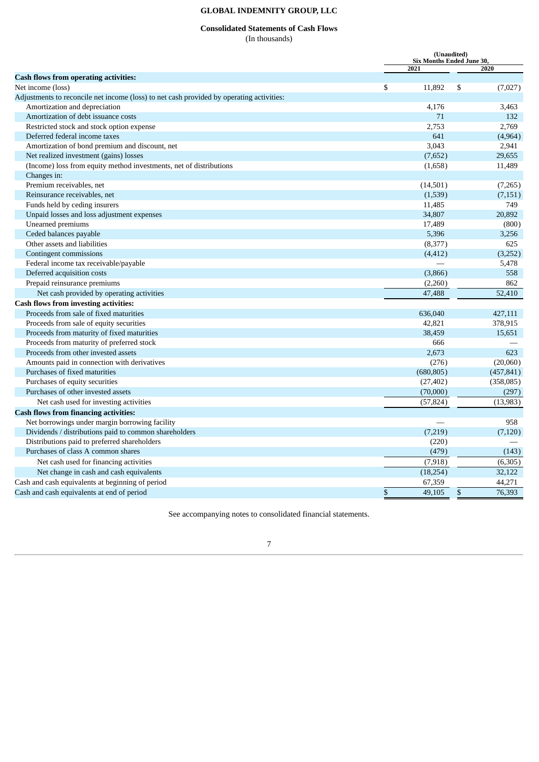## **Consolidated Statements of Cash Flows**

(In thousands)

<span id="page-6-0"></span>

|                                                                                          | (Unaudited)<br><b>Six Months Ended June 30,</b> |               |
|------------------------------------------------------------------------------------------|-------------------------------------------------|---------------|
|                                                                                          | 2021                                            | 2020          |
| <b>Cash flows from operating activities:</b>                                             |                                                 |               |
| Net income (loss)                                                                        | \$<br>11,892                                    | \$<br>(7,027) |
| Adjustments to reconcile net income (loss) to net cash provided by operating activities: |                                                 |               |
| Amortization and depreciation                                                            | 4,176                                           | 3,463         |
| Amortization of debt issuance costs                                                      | 71                                              | 132           |
| Restricted stock and stock option expense                                                | 2,753                                           | 2,769         |
| Deferred federal income taxes                                                            | 641                                             | (4,964)       |
| Amortization of bond premium and discount, net                                           | 3,043                                           | 2,941         |
| Net realized investment (gains) losses                                                   | (7,652)                                         | 29,655        |
| (Income) loss from equity method investments, net of distributions                       | (1,658)                                         | 11,489        |
| Changes in:                                                                              |                                                 |               |
| Premium receivables, net                                                                 | (14,501)                                        | (7,265)       |
| Reinsurance receivables, net                                                             | (1,539)                                         | (7, 151)      |
| Funds held by ceding insurers                                                            | 11,485                                          | 749           |
| Unpaid losses and loss adjustment expenses                                               | 34,807                                          | 20,892        |
| Unearned premiums                                                                        | 17,489                                          | (800)         |
| Ceded balances payable                                                                   | 5,396                                           | 3,256         |
| Other assets and liabilities                                                             | (8, 377)                                        | 625           |
| Contingent commissions                                                                   | (4, 412)                                        | (3,252)       |
| Federal income tax receivable/payable                                                    |                                                 | 5,478         |
| Deferred acquisition costs                                                               | (3,866)                                         | 558           |
| Prepaid reinsurance premiums                                                             | (2,260)                                         | 862           |
| Net cash provided by operating activities                                                | 47,488                                          | 52.410        |
| <b>Cash flows from investing activities:</b>                                             |                                                 |               |
| Proceeds from sale of fixed maturities                                                   | 636,040                                         | 427,111       |
| Proceeds from sale of equity securities                                                  | 42,821                                          | 378,915       |
| Proceeds from maturity of fixed maturities                                               | 38,459                                          | 15,651        |
| Proceeds from maturity of preferred stock                                                | 666                                             |               |
| Proceeds from other invested assets                                                      | 2,673                                           | 623           |
| Amounts paid in connection with derivatives                                              | (276)                                           | (20,060)      |
| Purchases of fixed maturities                                                            | (680, 805)                                      | (457, 841)    |
| Purchases of equity securities                                                           | (27, 402)                                       | (358,085)     |
| Purchases of other invested assets                                                       | (70,000)                                        | (297)         |
| Net cash used for investing activities                                                   | (57, 824)                                       | (13,983)      |
| <b>Cash flows from financing activities:</b>                                             |                                                 |               |
| Net borrowings under margin borrowing facility                                           |                                                 | 958           |
| Dividends / distributions paid to common shareholders                                    | (7,219)                                         | (7, 120)      |
| Distributions paid to preferred shareholders                                             | (220)                                           |               |
| Purchases of class A common shares                                                       | (479)                                           | (143)         |
| Net cash used for financing activities                                                   | (7, 918)                                        | (6,305)       |
| Net change in cash and cash equivalents                                                  | (18, 254)                                       | 32,122        |
| Cash and cash equivalents at beginning of period                                         | 67,359                                          | 44,271        |
| Cash and cash equivalents at end of period                                               | \$<br>49,105                                    | \$<br>76,393  |

See accompanying notes to consolidated financial statements.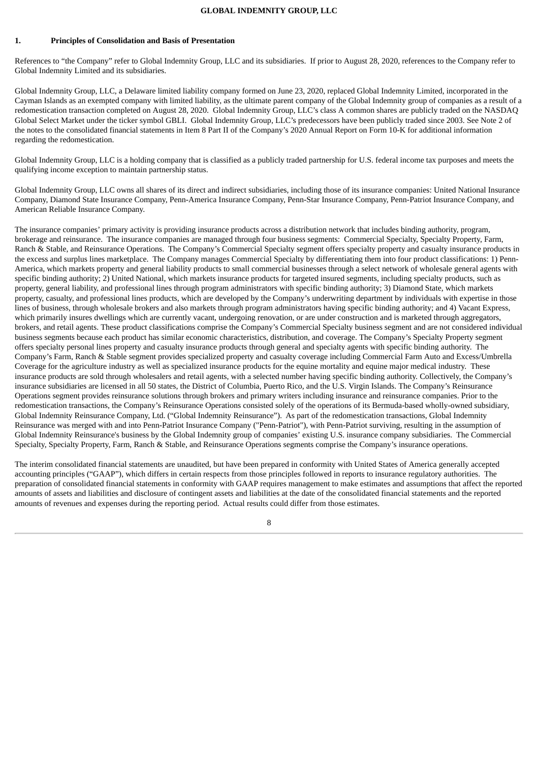## <span id="page-7-0"></span>**1. Principles of Consolidation and Basis of Presentation**

References to "the Company" refer to Global Indemnity Group, LLC and its subsidiaries. If prior to August 28, 2020, references to the Company refer to Global Indemnity Limited and its subsidiaries.

Global Indemnity Group, LLC, a Delaware limited liability company formed on June 23, 2020, replaced Global Indemnity Limited, incorporated in the Cayman Islands as an exempted company with limited liability, as the ultimate parent company of the Global Indemnity group of companies as a result of a redomestication transaction completed on August 28, 2020. Global Indemnity Group, LLC's class A common shares are publicly traded on the NASDAQ Global Select Market under the ticker symbol GBLI. Global Indemnity Group, LLC's predecessors have been publicly traded since 2003. See Note 2 of the notes to the consolidated financial statements in Item 8 Part II of the Company's 2020 Annual Report on Form 10-K for additional information regarding the redomestication.

Global Indemnity Group, LLC is a holding company that is classified as a publicly traded partnership for U.S. federal income tax purposes and meets the qualifying income exception to maintain partnership status.

Global Indemnity Group, LLC owns all shares of its direct and indirect subsidiaries, including those of its insurance companies: United National Insurance Company, Diamond State Insurance Company, Penn-America Insurance Company, Penn-Star Insurance Company, Penn-Patriot Insurance Company, and American Reliable Insurance Company.

The insurance companies' primary activity is providing insurance products across a distribution network that includes binding authority, program, brokerage and reinsurance. The insurance companies are managed through four business segments: Commercial Specialty, Specialty Property, Farm, Ranch & Stable, and Reinsurance Operations. The Company's Commercial Specialty segment offers specialty property and casualty insurance products in the excess and surplus lines marketplace. The Company manages Commercial Specialty by differentiating them into four product classifications: 1) Penn-America, which markets property and general liability products to small commercial businesses through a select network of wholesale general agents with specific binding authority; 2) United National, which markets insurance products for targeted insured segments, including specialty products, such as property, general liability, and professional lines through program administrators with specific binding authority; 3) Diamond State, which markets property, casualty, and professional lines products, which are developed by the Company's underwriting department by individuals with expertise in those lines of business, through wholesale brokers and also markets through program administrators having specific binding authority; and 4) Vacant Express, which primarily insures dwellings which are currently vacant, undergoing renovation, or are under construction and is marketed through aggregators, brokers, and retail agents. These product classifications comprise the Company's Commercial Specialty business segment and are not considered individual business segments because each product has similar economic characteristics, distribution, and coverage. The Company's Specialty Property segment offers specialty personal lines property and casualty insurance products through general and specialty agents with specific binding authority. The Company's Farm, Ranch & Stable segment provides specialized property and casualty coverage including Commercial Farm Auto and Excess/Umbrella Coverage for the agriculture industry as well as specialized insurance products for the equine mortality and equine major medical industry. These insurance products are sold through wholesalers and retail agents, with a selected number having specific binding authority. Collectively, the Company's insurance subsidiaries are licensed in all 50 states, the District of Columbia, Puerto Rico, and the U.S. Virgin Islands. The Company's Reinsurance Operations segment provides reinsurance solutions through brokers and primary writers including insurance and reinsurance companies. Prior to the redomestication transactions, the Company's Reinsurance Operations consisted solely of the operations of its Bermuda-based wholly-owned subsidiary, Global Indemnity Reinsurance Company, Ltd. ("Global Indemnity Reinsurance"). As part of the redomestication transactions, Global Indemnity Reinsurance was merged with and into Penn-Patriot Insurance Company ("Penn-Patriot"), with Penn-Patriot surviving, resulting in the assumption of Global Indemnity Reinsurance's business by the Global Indemnity group of companies' existing U.S. insurance company subsidiaries. The Commercial Specialty, Specialty Property, Farm, Ranch & Stable, and Reinsurance Operations segments comprise the Company's insurance operations.

The interim consolidated financial statements are unaudited, but have been prepared in conformity with United States of America generally accepted accounting principles ("GAAP"), which differs in certain respects from those principles followed in reports to insurance regulatory authorities. The preparation of consolidated financial statements in conformity with GAAP requires management to make estimates and assumptions that affect the reported amounts of assets and liabilities and disclosure of contingent assets and liabilities at the date of the consolidated financial statements and the reported amounts of revenues and expenses during the reporting period. Actual results could differ from those estimates.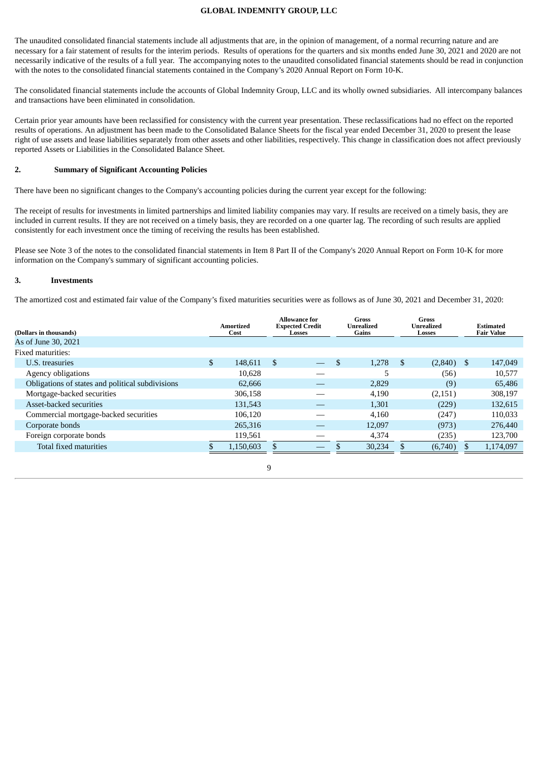The unaudited consolidated financial statements include all adjustments that are, in the opinion of management, of a normal recurring nature and are necessary for a fair statement of results for the interim periods. Results of operations for the quarters and six months ended June 30, 2021 and 2020 are not necessarily indicative of the results of a full year. The accompanying notes to the unaudited consolidated financial statements should be read in conjunction with the notes to the consolidated financial statements contained in the Company's 2020 Annual Report on Form 10-K.

The consolidated financial statements include the accounts of Global Indemnity Group, LLC and its wholly owned subsidiaries. All intercompany balances and transactions have been eliminated in consolidation.

Certain prior year amounts have been reclassified for consistency with the current year presentation. These reclassifications had no effect on the reported results of operations. An adjustment has been made to the Consolidated Balance Sheets for the fiscal year ended December 31, 2020 to present the lease right of use assets and lease liabilities separately from other assets and other liabilities, respectively. This change in classification does not affect previously reported Assets or Liabilities in the Consolidated Balance Sheet.

#### **2. Summary of Significant Accounting Policies**

There have been no significant changes to the Company's accounting policies during the current year except for the following:

The receipt of results for investments in limited partnerships and limited liability companies may vary. If results are received on a timely basis, they are included in current results. If they are not received on a timely basis, they are recorded on a one quarter lag. The recording of such results are applied consistently for each investment once the timing of receiving the results has been established.

Please see Note 3 of the notes to the consolidated financial statements in Item 8 Part II of the Company's 2020 Annual Report on Form 10-K for more information on the Company's summary of significant accounting policies.

#### **3. Investments**

The amortized cost and estimated fair value of the Company's fixed maturities securities were as follows as of June 30, 2021 and December 31, 2020:

| (Dollars in thousands)                           | Amortized<br>Cost |               | Allowance for<br><b>Expected Credit</b><br>Losses | <b>Gross</b><br><b>Unrealized</b><br>Gains |        | <b>Gross</b><br><b>Unrealized</b><br>Losses |              |     | Estimated<br><b>Fair Value</b> |
|--------------------------------------------------|-------------------|---------------|---------------------------------------------------|--------------------------------------------|--------|---------------------------------------------|--------------|-----|--------------------------------|
| As of June 30, 2021                              |                   |               |                                                   |                                            |        |                                             |              |     |                                |
| Fixed maturities:                                |                   |               |                                                   |                                            |        |                                             |              |     |                                |
| U.S. treasuries                                  | \$<br>148.611     | <sup>\$</sup> |                                                   | \$.                                        | 1,278  | <sup>\$</sup>                               | $(2,840)$ \$ |     | 147,049                        |
| Agency obligations                               | 10,628            |               |                                                   |                                            | 5      |                                             | (56)         |     | 10,577                         |
| Obligations of states and political subdivisions | 62.666            |               |                                                   |                                            | 2,829  |                                             | (9)          |     | 65,486                         |
| Mortgage-backed securities                       | 306,158           |               |                                                   |                                            | 4,190  |                                             | (2,151)      |     | 308,197                        |
| Asset-backed securities                          | 131,543           |               |                                                   |                                            | 1,301  |                                             | (229)        |     | 132,615                        |
| Commercial mortgage-backed securities            | 106.120           |               |                                                   |                                            | 4.160  |                                             | (247)        |     | 110,033                        |
| Corporate bonds                                  | 265,316           |               |                                                   |                                            | 12.097 |                                             | (973)        |     | 276,440                        |
| Foreign corporate bonds                          | 119,561           |               |                                                   |                                            | 4,374  |                                             | (235)        |     | 123,700                        |
| Total fixed maturities                           | 1.150.603         | \$            |                                                   |                                            | 30.234 |                                             | (6,740)      | \$. | 1,174,097                      |

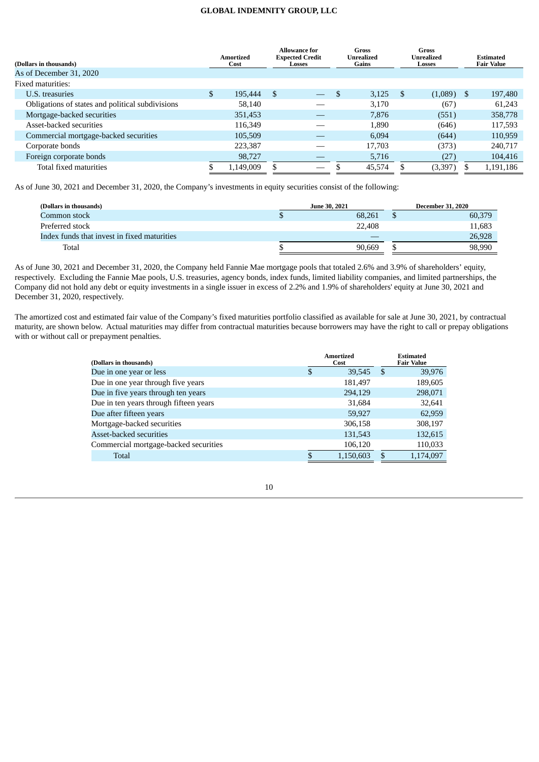| (Dollars in thousands)                           | Amortized<br>Cost |           | <b>Allowance for</b><br><b>Expected Credit</b><br>Losses |  | Gross<br><b>Unrealized</b><br>Gains |        |    | Gross<br><b>Unrealized</b><br>Losses |      | <b>Estimated</b><br><b>Fair Value</b> |
|--------------------------------------------------|-------------------|-----------|----------------------------------------------------------|--|-------------------------------------|--------|----|--------------------------------------|------|---------------------------------------|
| As of December 31, 2020                          |                   |           |                                                          |  |                                     |        |    |                                      |      |                                       |
| Fixed maturities:                                |                   |           |                                                          |  |                                     |        |    |                                      |      |                                       |
| U.S. treasuries                                  | \$                | 195,444   | -S                                                       |  | S                                   | 3,125  | -S | (1,089)                              | - \$ | 197,480                               |
| Obligations of states and political subdivisions |                   | 58,140    |                                                          |  |                                     | 3.170  |    | (67)                                 |      | 61.243                                |
| Mortgage-backed securities                       |                   | 351,453   |                                                          |  |                                     | 7.876  |    | (551)                                |      | 358,778                               |
| Asset-backed securities                          |                   | 116,349   |                                                          |  |                                     | 1,890  |    | (646)                                |      | 117,593                               |
| Commercial mortgage-backed securities            |                   | 105,509   |                                                          |  |                                     | 6.094  |    | (644)                                |      | 110,959                               |
| Corporate bonds                                  |                   | 223,387   |                                                          |  |                                     | 17,703 |    | (373)                                |      | 240,717                               |
| Foreign corporate bonds                          |                   | 98,727    |                                                          |  |                                     | 5,716  |    | (27)                                 |      | 104,416                               |
| Total fixed maturities                           |                   | 1,149,009 |                                                          |  |                                     | 45,574 |    | (3,397)                              |      | 1,191,186                             |

As of June 30, 2021 and December 31, 2020, the Company's investments in equity securities consist of the following:

| (Dollars in thousands)                      | <b>June 30, 2021</b> |        | <b>December 31, 2020</b> |
|---------------------------------------------|----------------------|--------|--------------------------|
| Common stock                                |                      | 68,261 | 60,379                   |
| Preferred stock                             |                      | 22,408 | 11,683                   |
| Index funds that invest in fixed maturities |                      |        | 26,928                   |
| Total                                       |                      | 90.669 | 98,990                   |

As of June 30, 2021 and December 31, 2020, the Company held Fannie Mae mortgage pools that totaled 2.6% and 3.9% of shareholders' equity, respectively. Excluding the Fannie Mae pools, U.S. treasuries, agency bonds, index funds, limited liability companies, and limited partnerships, the Company did not hold any debt or equity investments in a single issuer in excess of 2.2% and 1.9% of shareholders' equity at June 30, 2021 and December 31, 2020, respectively.

The amortized cost and estimated fair value of the Company's fixed maturities portfolio classified as available for sale at June 30, 2021, by contractual maturity, are shown below. Actual maturities may differ from contractual maturities because borrowers may have the right to call or prepay obligations with or without call or prepayment penalties.

| (Dollars in thousands)                 |    | <b>Amortized</b><br>Cost |   | <b>Estimated</b><br><b>Fair Value</b> |
|----------------------------------------|----|--------------------------|---|---------------------------------------|
| Due in one year or less                | \$ | 39,545                   | S | 39,976                                |
| Due in one year through five years     |    | 181,497                  |   | 189,605                               |
| Due in five years through ten years    |    | 294,129                  |   | 298,071                               |
| Due in ten years through fifteen years |    | 31,684                   |   | 32,641                                |
| Due after fifteen years                |    | 59,927                   |   | 62,959                                |
| Mortgage-backed securities             |    | 306,158                  |   | 308,197                               |
| Asset-backed securities                |    | 131,543                  |   | 132,615                               |
| Commercial mortgage-backed securities  |    | 106,120                  |   | 110,033                               |
| <b>Total</b>                           | Я  | 1,150,603                | S | 1,174,097                             |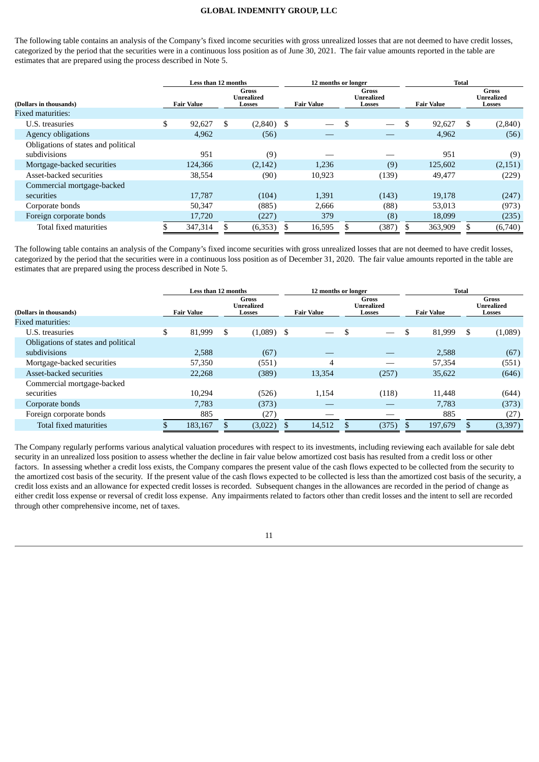The following table contains an analysis of the Company's fixed income securities with gross unrealized losses that are not deemed to have credit losses, categorized by the period that the securities were in a continuous loss position as of June 30, 2021. The fair value amounts reported in the table are estimates that are prepared using the process described in Note 5.

|                                                     | Less than 12 months |                               | 12 months or longer      |    |                               | <b>Total</b> |                   |     |                                      |
|-----------------------------------------------------|---------------------|-------------------------------|--------------------------|----|-------------------------------|--------------|-------------------|-----|--------------------------------------|
| (Dollars in thousands)                              | Fair Value          | Gross<br>Unrealized<br>Losses | Fair Value               |    | Gross<br>Unrealized<br>Losses |              | <b>Fair Value</b> |     | Gross<br><b>Unrealized</b><br>Losses |
| <b>Fixed maturities:</b>                            |                     |                               |                          |    |                               |              |                   |     |                                      |
| U.S. treasuries                                     | \$<br>92,627        | \$<br>$(2,840)$ \$            | $\overline{\phantom{0}}$ | \$ |                               | \$           | 92,627            | \$. | (2,840)                              |
| Agency obligations                                  | 4,962               | (56)                          |                          |    |                               |              | 4,962             |     | (56)                                 |
| Obligations of states and political<br>subdivisions | 951                 | (9)                           |                          |    |                               |              | 951               |     | (9)                                  |
| Mortgage-backed securities                          | 124,366             | (2, 142)                      | 1,236                    |    | (9)                           |              | 125,602           |     | (2,151)                              |
| Asset-backed securities                             | 38,554              | (90)                          | 10,923                   |    | (139)                         |              | 49,477            |     | (229)                                |
| Commercial mortgage-backed                          |                     |                               |                          |    |                               |              |                   |     |                                      |
| securities                                          | 17,787              | (104)                         | 1,391                    |    | (143)                         |              | 19,178            |     | (247)                                |
| Corporate bonds                                     | 50,347              | (885)                         | 2,666                    |    | (88)                          |              | 53,013            |     | (973)                                |
| Foreign corporate bonds                             | 17,720              | (227)                         | 379                      |    | (8)                           |              | 18,099            |     | (235)                                |
| Total fixed maturities                              | 347,314             | (6,353)                       | 16,595                   |    | (387)                         |              | 363,909           |     | (6,740)                              |

The following table contains an analysis of the Company's fixed income securities with gross unrealized losses that are not deemed to have credit losses, categorized by the period that the securities were in a continuous loss position as of December 31, 2020. The fair value amounts reported in the table are estimates that are prepared using the process described in Note 5.

|                                     | Less than 12 months |                                      | 12 months or longer |                          |    | <b>Total</b>                         |    |                   |   |                                      |
|-------------------------------------|---------------------|--------------------------------------|---------------------|--------------------------|----|--------------------------------------|----|-------------------|---|--------------------------------------|
| (Dollars in thousands)              | <b>Fair Value</b>   | Gross<br><b>Unrealized</b><br>Losses |                     | <b>Fair Value</b>        |    | Gross<br><b>Unrealized</b><br>Losses |    | <b>Fair Value</b> |   | Gross<br><b>Unrealized</b><br>Losses |
| <b>Fixed maturities:</b>            |                     |                                      |                     |                          |    |                                      |    |                   |   |                                      |
| U.S. treasuries                     | \$<br>81,999        | \$<br>$(1,089)$ \$                   |                     | $\overline{\phantom{0}}$ | \$ |                                      | \$ | 81,999            | S | (1,089)                              |
| Obligations of states and political |                     |                                      |                     |                          |    |                                      |    |                   |   |                                      |
| subdivisions                        | 2,588               | (67)                                 |                     |                          |    |                                      |    | 2,588             |   | (67)                                 |
| Mortgage-backed securities          | 57,350              | (551)                                |                     | 4                        |    |                                      |    | 57,354            |   | (551)                                |
| Asset-backed securities             | 22,268              | (389)                                |                     | 13,354                   |    | (257)                                |    | 35,622            |   | (646)                                |
| Commercial mortgage-backed          |                     |                                      |                     |                          |    |                                      |    |                   |   |                                      |
| securities                          | 10.294              | (526)                                |                     | 1,154                    |    | (118)                                |    | 11,448            |   | (644)                                |
| Corporate bonds                     | 7.783               | (373)                                |                     |                          |    |                                      |    | 7,783             |   | (373)                                |
| Foreign corporate bonds             | 885                 | (27)                                 |                     |                          |    |                                      |    | 885               |   | (27)                                 |
| Total fixed maturities              | 183,167             | (3,022)                              |                     | 14,512                   |    | (375)                                |    | 197,679           |   | (3,397)                              |

The Company regularly performs various analytical valuation procedures with respect to its investments, including reviewing each available for sale debt security in an unrealized loss position to assess whether the decline in fair value below amortized cost basis has resulted from a credit loss or other factors. In assessing whether a credit loss exists, the Company compares the present value of the cash flows expected to be collected from the security to the amortized cost basis of the security. If the present value of the cash flows expected to be collected is less than the amortized cost basis of the security, a credit loss exists and an allowance for expected credit losses is recorded. Subsequent changes in the allowances are recorded in the period of change as either credit loss expense or reversal of credit loss expense. Any impairments related to factors other than credit losses and the intent to sell are recorded through other comprehensive income, net of taxes.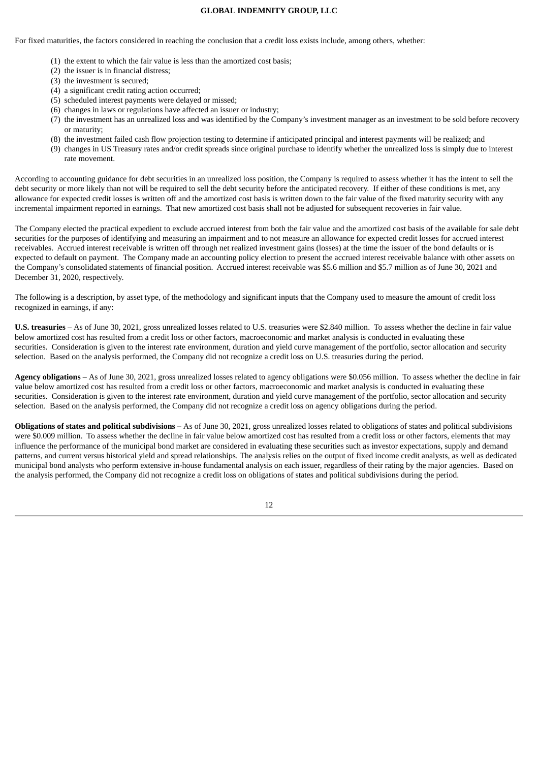For fixed maturities, the factors considered in reaching the conclusion that a credit loss exists include, among others, whether:

- (1) the extent to which the fair value is less than the amortized cost basis;
- (2) the issuer is in financial distress;
- (3) the investment is secured;
- (4) a significant credit rating action occurred;
- (5) scheduled interest payments were delayed or missed;
- (6) changes in laws or regulations have affected an issuer or industry;
- (7) the investment has an unrealized loss and was identified by the Company's investment manager as an investment to be sold before recovery or maturity;
- (8) the investment failed cash flow projection testing to determine if anticipated principal and interest payments will be realized; and
- (9) changes in US Treasury rates and/or credit spreads since original purchase to identify whether the unrealized loss is simply due to interest rate movement.

According to accounting guidance for debt securities in an unrealized loss position, the Company is required to assess whether it has the intent to sell the debt security or more likely than not will be required to sell the debt security before the anticipated recovery. If either of these conditions is met, any allowance for expected credit losses is written off and the amortized cost basis is written down to the fair value of the fixed maturity security with any incremental impairment reported in earnings. That new amortized cost basis shall not be adjusted for subsequent recoveries in fair value.

The Company elected the practical expedient to exclude accrued interest from both the fair value and the amortized cost basis of the available for sale debt securities for the purposes of identifying and measuring an impairment and to not measure an allowance for expected credit losses for accrued interest receivables. Accrued interest receivable is written off through net realized investment gains (losses) at the time the issuer of the bond defaults or is expected to default on payment. The Company made an accounting policy election to present the accrued interest receivable balance with other assets on the Company's consolidated statements of financial position. Accrued interest receivable was \$5.6 million and \$5.7 million as of June 30, 2021 and December 31, 2020, respectively.

The following is a description, by asset type, of the methodology and significant inputs that the Company used to measure the amount of credit loss recognized in earnings, if any:

**U.S. treasuries** – As of June 30, 2021, gross unrealized losses related to U.S. treasuries were \$2.840 million. To assess whether the decline in fair value below amortized cost has resulted from a credit loss or other factors, macroeconomic and market analysis is conducted in evaluating these securities. Consideration is given to the interest rate environment, duration and yield curve management of the portfolio, sector allocation and security selection. Based on the analysis performed, the Company did not recognize a credit loss on U.S. treasuries during the period.

**Agency obligations** – As of June 30, 2021, gross unrealized losses related to agency obligations were \$0.056 million. To assess whether the decline in fair value below amortized cost has resulted from a credit loss or other factors, macroeconomic and market analysis is conducted in evaluating these securities. Consideration is given to the interest rate environment, duration and yield curve management of the portfolio, sector allocation and security selection. Based on the analysis performed, the Company did not recognize a credit loss on agency obligations during the period.

**Obligations of states and political subdivisions –** As of June 30, 2021, gross unrealized losses related to obligations of states and political subdivisions were \$0.009 million. To assess whether the decline in fair value below amortized cost has resulted from a credit loss or other factors, elements that may influence the performance of the municipal bond market are considered in evaluating these securities such as investor expectations, supply and demand patterns, and current versus historical yield and spread relationships. The analysis relies on the output of fixed income credit analysts, as well as dedicated municipal bond analysts who perform extensive in-house fundamental analysis on each issuer, regardless of their rating by the major agencies. Based on the analysis performed, the Company did not recognize a credit loss on obligations of states and political subdivisions during the period.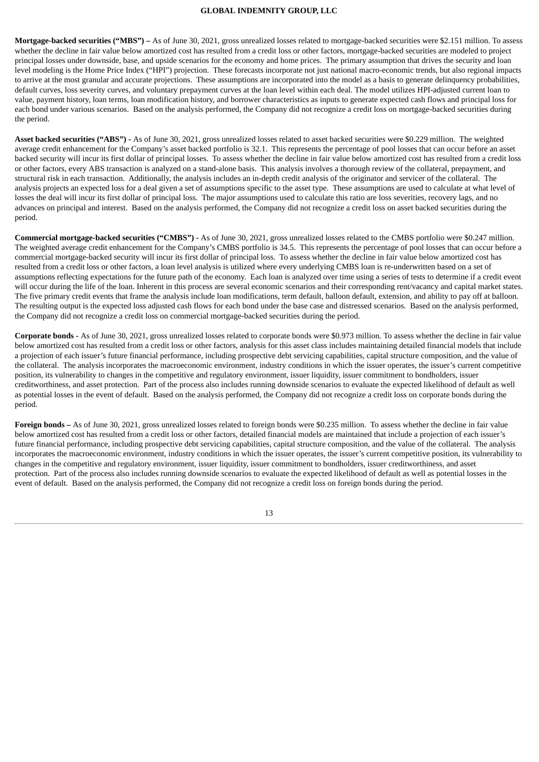**Mortgage-backed securities ("MBS") –** As of June 30, 2021, gross unrealized losses related to mortgage-backed securities were \$2.151 million. To assess whether the decline in fair value below amortized cost has resulted from a credit loss or other factors, mortgage-backed securities are modeled to project principal losses under downside, base, and upside scenarios for the economy and home prices. The primary assumption that drives the security and loan level modeling is the Home Price Index ("HPI") projection. These forecasts incorporate not just national macro-economic trends, but also regional impacts to arrive at the most granular and accurate projections. These assumptions are incorporated into the model as a basis to generate delinquency probabilities, default curves, loss severity curves, and voluntary prepayment curves at the loan level within each deal. The model utilizes HPI-adjusted current loan to value, payment history, loan terms, loan modification history, and borrower characteristics as inputs to generate expected cash flows and principal loss for each bond under various scenarios. Based on the analysis performed, the Company did not recognize a credit loss on mortgage-backed securities during the period.

**Asset backed securities ("ABS") -** As of June 30, 2021, gross unrealized losses related to asset backed securities were \$0.229 million. The weighted average credit enhancement for the Company's asset backed portfolio is 32.1. This represents the percentage of pool losses that can occur before an asset backed security will incur its first dollar of principal losses. To assess whether the decline in fair value below amortized cost has resulted from a credit loss or other factors, every ABS transaction is analyzed on a stand-alone basis. This analysis involves a thorough review of the collateral, prepayment, and structural risk in each transaction. Additionally, the analysis includes an in-depth credit analysis of the originator and servicer of the collateral. The analysis projects an expected loss for a deal given a set of assumptions specific to the asset type. These assumptions are used to calculate at what level of losses the deal will incur its first dollar of principal loss. The major assumptions used to calculate this ratio are loss severities, recovery lags, and no advances on principal and interest. Based on the analysis performed, the Company did not recognize a credit loss on asset backed securities during the period.

**Commercial mortgage-backed securities ("CMBS") -** As of June 30, 2021, gross unrealized losses related to the CMBS portfolio were \$0.247 million. The weighted average credit enhancement for the Company's CMBS portfolio is 34.5. This represents the percentage of pool losses that can occur before a commercial mortgage-backed security will incur its first dollar of principal loss. To assess whether the decline in fair value below amortized cost has resulted from a credit loss or other factors, a loan level analysis is utilized where every underlying CMBS loan is re-underwritten based on a set of assumptions reflecting expectations for the future path of the economy. Each loan is analyzed over time using a series of tests to determine if a credit event will occur during the life of the loan. Inherent in this process are several economic scenarios and their corresponding rent/vacancy and capital market states. The five primary credit events that frame the analysis include loan modifications, term default, balloon default, extension, and ability to pay off at balloon. The resulting output is the expected loss adjusted cash flows for each bond under the base case and distressed scenarios. Based on the analysis performed, the Company did not recognize a credit loss on commercial mortgage-backed securities during the period.

**Corporate bonds -** As of June 30, 2021, gross unrealized losses related to corporate bonds were \$0.973 million. To assess whether the decline in fair value below amortized cost has resulted from a credit loss or other factors, analysis for this asset class includes maintaining detailed financial models that include a projection of each issuer's future financial performance, including prospective debt servicing capabilities, capital structure composition, and the value of the collateral. The analysis incorporates the macroeconomic environment, industry conditions in which the issuer operates, the issuer's current competitive position, its vulnerability to changes in the competitive and regulatory environment, issuer liquidity, issuer commitment to bondholders, issuer creditworthiness, and asset protection. Part of the process also includes running downside scenarios to evaluate the expected likelihood of default as well as potential losses in the event of default. Based on the analysis performed, the Company did not recognize a credit loss on corporate bonds during the period.

**Foreign bonds –** As of June 30, 2021, gross unrealized losses related to foreign bonds were \$0.235 million. To assess whether the decline in fair value below amortized cost has resulted from a credit loss or other factors, detailed financial models are maintained that include a projection of each issuer's future financial performance, including prospective debt servicing capabilities, capital structure composition, and the value of the collateral. The analysis incorporates the macroeconomic environment, industry conditions in which the issuer operates, the issuer's current competitive position, its vulnerability to changes in the competitive and regulatory environment, issuer liquidity, issuer commitment to bondholders, issuer creditworthiness, and asset protection. Part of the process also includes running downside scenarios to evaluate the expected likelihood of default as well as potential losses in the event of default. Based on the analysis performed, the Company did not recognize a credit loss on foreign bonds during the period.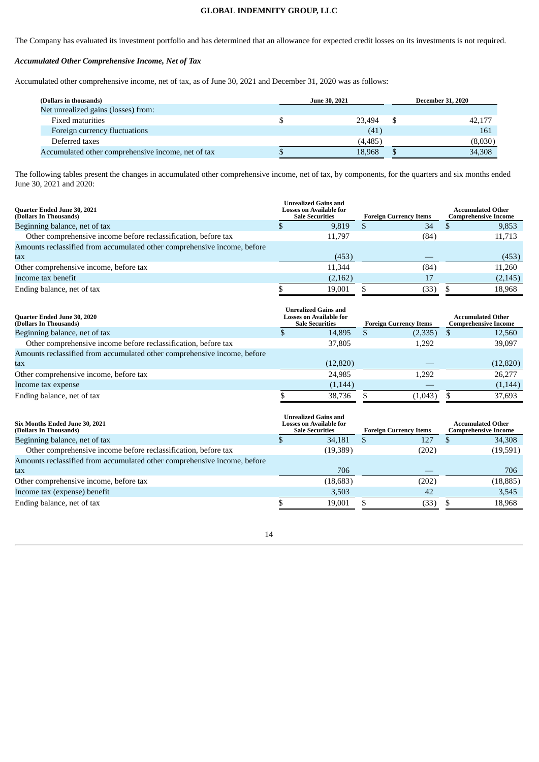The Company has evaluated its investment portfolio and has determined that an allowance for expected credit losses on its investments is not required.

## *Accumulated Other Comprehensive Income, Net of Tax*

Accumulated other comprehensive income, net of tax, as of June 30, 2021 and December 31, 2020 was as follows:

| (Dollars in thousands)                             | <b>June 30, 2021</b> | <b>December 31, 2020</b> |
|----------------------------------------------------|----------------------|--------------------------|
| Net unrealized gains (losses) from:                |                      |                          |
| <b>Fixed maturities</b>                            | 23.494               | 42,177                   |
| Foreign currency fluctuations                      | (41)                 | 161                      |
| Deferred taxes                                     | (4,485)              | (8,030)                  |
| Accumulated other comprehensive income, net of tax | 18,968               | 34,308                   |

The following tables present the changes in accumulated other comprehensive income, net of tax, by components, for the quarters and six months ended June 30, 2021 and 2020:

| Quarter Ended June 30, 2021<br>(Dollars In Thousands)                    | <b>Unrealized Gains and</b><br>Losses on Available for<br><b>Sale Securities</b> | <b>Foreign Currency Items</b> | <b>Accumulated Other</b><br><b>Comprehensive Income</b> |          |  |
|--------------------------------------------------------------------------|----------------------------------------------------------------------------------|-------------------------------|---------------------------------------------------------|----------|--|
| Beginning balance, net of tax                                            | 9,819                                                                            | 34                            |                                                         | 9,853    |  |
| Other comprehensive income before reclassification, before tax           | 11.797                                                                           | (84)                          |                                                         | 11,713   |  |
| Amounts reclassified from accumulated other comprehensive income, before |                                                                                  |                               |                                                         |          |  |
| tax                                                                      | (453)                                                                            |                               |                                                         | (453)    |  |
| Other comprehensive income, before tax                                   | 11,344                                                                           | (84)                          |                                                         | 11,260   |  |
| Income tax benefit                                                       | (2,162)                                                                          | 17                            |                                                         | (2, 145) |  |
| Ending balance, net of tax                                               | 19,001                                                                           | (33)                          |                                                         | 18,968   |  |

| Quarter Ended June 30, 2020<br>(Dollars In Thousands)                    | <b>Unrealized Gains and</b><br><b>Losses on Available for</b><br><b>Sale Securities</b> |   | <b>Foreign Currency Items</b> | <b>Accumulated Other</b><br><b>Comprehensive Income</b> |          |  |
|--------------------------------------------------------------------------|-----------------------------------------------------------------------------------------|---|-------------------------------|---------------------------------------------------------|----------|--|
| Beginning balance, net of tax                                            | 14,895                                                                                  | S | (2,335)                       |                                                         | 12,560   |  |
| Other comprehensive income before reclassification, before tax           | 37,805                                                                                  |   | 1.292                         |                                                         | 39,097   |  |
| Amounts reclassified from accumulated other comprehensive income, before |                                                                                         |   |                               |                                                         |          |  |
| tax                                                                      | (12, 820)                                                                               |   |                               |                                                         | (12,820) |  |
| Other comprehensive income, before tax                                   | 24,985                                                                                  |   | 1,292                         |                                                         | 26,277   |  |
| Income tax expense                                                       | (1,144)                                                                                 |   |                               |                                                         | (1, 144) |  |
| Ending balance, net of tax                                               | 38.736                                                                                  |   | (1,043)                       |                                                         | 37,693   |  |

| Six Months Ended June 30, 2021<br>(Dollars In Thousands)                 | <b>Unrealized Gains and</b><br>Losses on Available for<br><b>Sale Securities</b> |              | <b>Foreign Currency Items</b> | <b>Accumulated Other</b><br><b>Comprehensive Income</b> |
|--------------------------------------------------------------------------|----------------------------------------------------------------------------------|--------------|-------------------------------|---------------------------------------------------------|
| Beginning balance, net of tax                                            | 34,181                                                                           | <sup>S</sup> | 127                           | 34,308                                                  |
| Other comprehensive income before reclassification, before tax           | (19,389)                                                                         |              | (202)                         | (19, 591)                                               |
| Amounts reclassified from accumulated other comprehensive income, before |                                                                                  |              |                               |                                                         |
| tax                                                                      | 706                                                                              |              |                               | 706                                                     |
| Other comprehensive income, before tax                                   | (18, 683)                                                                        |              | (202)                         | (18, 885)                                               |
| Income tax (expense) benefit                                             | 3,503                                                                            |              | 42                            | 3,545                                                   |
| Ending balance, net of tax                                               | 19.001                                                                           |              | (33)                          | 18.968                                                  |

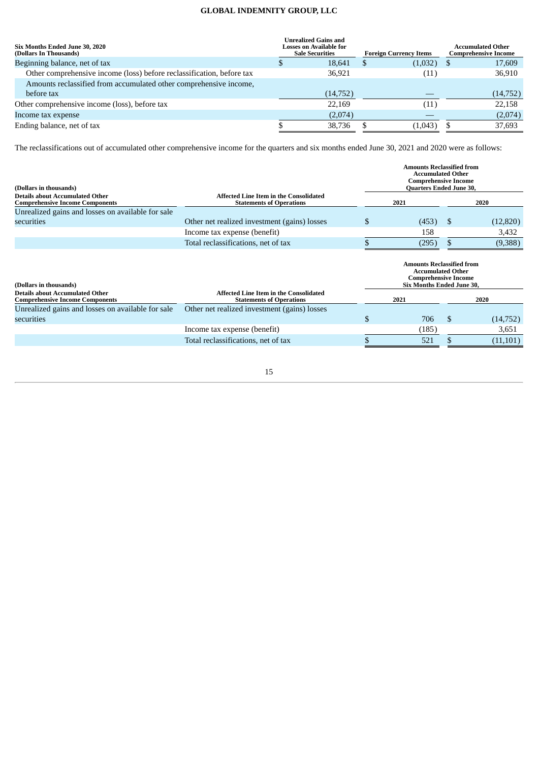| Six Months Ended June 30, 2020<br>(Dollars In Thousands)                        | <b>Unrealized Gains and</b><br>Losses on Available for<br><b>Sale Securities</b> |           |    | <b>Foreign Currency Items</b> |      | <b>Accumulated Other</b><br><b>Comprehensive Income</b> |
|---------------------------------------------------------------------------------|----------------------------------------------------------------------------------|-----------|----|-------------------------------|------|---------------------------------------------------------|
| Beginning balance, net of tax                                                   |                                                                                  | 18,641    | -S | (1,032)                       | - \$ | 17,609                                                  |
| Other comprehensive income (loss) before reclassification, before tax           |                                                                                  | 36,921    |    | (11)                          |      | 36,910                                                  |
| Amounts reclassified from accumulated other comprehensive income,<br>before tax |                                                                                  | (14, 752) |    |                               |      | (14, 752)                                               |
| Other comprehensive income (loss), before tax                                   |                                                                                  | 22,169    |    | (11)                          |      | 22,158                                                  |
| Income tax expense                                                              |                                                                                  | (2,074)   |    |                               |      | (2,074)                                                 |
| Ending balance, net of tax                                                      |                                                                                  | 38,736    |    | (1,043)                       |      | 37,693                                                  |

The reclassifications out of accumulated other comprehensive income for the quarters and six months ended June 30, 2021 and 2020 were as follows:

| (Dollars in thousands)                                                           |                                                                                  | <b>Amounts Reclassified from</b><br><b>Accumulated Other</b><br><b>Comprehensive Income</b><br><b>Quarters Ended June 30,</b>   |               |           |  |  |  |  |  |  |
|----------------------------------------------------------------------------------|----------------------------------------------------------------------------------|---------------------------------------------------------------------------------------------------------------------------------|---------------|-----------|--|--|--|--|--|--|
| <b>Details about Accumulated Other</b><br><b>Comprehensive Income Components</b> | <b>Affected Line Item in the Consolidated</b><br><b>Statements of Operations</b> | 2021                                                                                                                            | 2020          |           |  |  |  |  |  |  |
| Unrealized gains and losses on available for sale                                |                                                                                  |                                                                                                                                 |               |           |  |  |  |  |  |  |
| securities                                                                       | Other net realized investment (gains) losses                                     | \$<br>(453)                                                                                                                     | - \$          | (12,820)  |  |  |  |  |  |  |
|                                                                                  | Income tax expense (benefit)                                                     | 158                                                                                                                             |               | 3,432     |  |  |  |  |  |  |
|                                                                                  | Total reclassifications, net of tax                                              | (295)                                                                                                                           | S.            | (9,388)   |  |  |  |  |  |  |
| (Dollars in thousands)                                                           |                                                                                  | <b>Amounts Reclassified from</b><br><b>Accumulated Other</b><br><b>Comprehensive Income</b><br><b>Six Months Ended June 30,</b> |               |           |  |  |  |  |  |  |
| <b>Details about Accumulated Other</b><br><b>Comprehensive Income Components</b> | <b>Affected Line Item in the Consolidated</b><br><b>Statements of Operations</b> | 2021                                                                                                                            |               | 2020      |  |  |  |  |  |  |
| Unrealized gains and losses on available for sale                                | Other net realized investment (gains) losses                                     |                                                                                                                                 |               |           |  |  |  |  |  |  |
| securities                                                                       |                                                                                  | \$<br>706                                                                                                                       | <sup>\$</sup> | (14, 752) |  |  |  |  |  |  |
|                                                                                  | Income tax expense (benefit)                                                     | (185)                                                                                                                           |               | 3,651     |  |  |  |  |  |  |
|                                                                                  | Total reclassifications, net of tax                                              | 521                                                                                                                             |               | (11, 101) |  |  |  |  |  |  |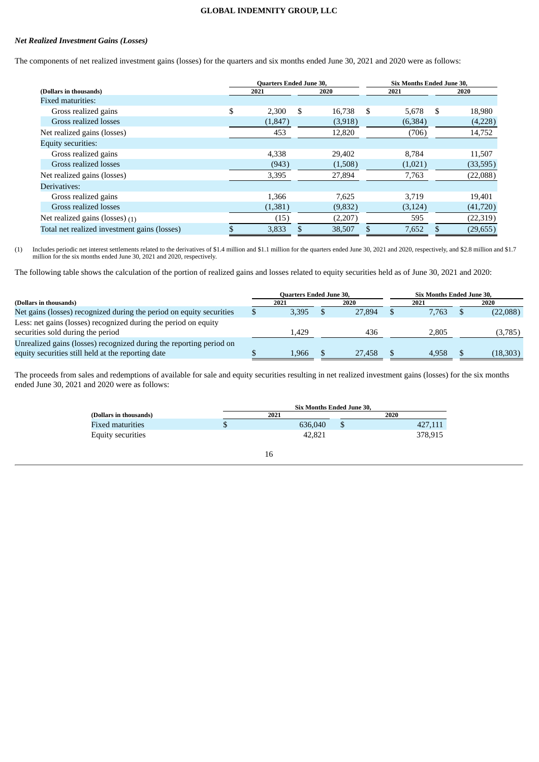#### *Net Realized Investment Gains (Losses)*

The components of net realized investment gains (losses) for the quarters and six months ended June 30, 2021 and 2020 were as follows:

|                                              | Quarters Ended June 30, |     |         | <b>Six Months Ended June 30,</b> |      |           |  |
|----------------------------------------------|-------------------------|-----|---------|----------------------------------|------|-----------|--|
| (Dollars in thousands)                       | 2021<br>2020            |     | 2021    |                                  | 2020 |           |  |
| <b>Fixed maturities:</b>                     |                         |     |         |                                  |      |           |  |
| Gross realized gains                         | \$<br>2.300             | \$. | 16.738  | \$<br>5,678                      | \$   | 18,980    |  |
| Gross realized losses                        | (1,847)                 |     | (3,918) | (6, 384)                         |      | (4,228)   |  |
| Net realized gains (losses)                  | 453                     |     | 12,820  | (706)                            |      | 14,752    |  |
| <b>Equity securities:</b>                    |                         |     |         |                                  |      |           |  |
| Gross realized gains                         | 4,338                   |     | 29,402  | 8,784                            |      | 11,507    |  |
| Gross realized losses                        | (943)                   |     | (1,508) | (1,021)                          |      | (33,595)  |  |
| Net realized gains (losses)                  | 3,395                   |     | 27,894  | 7,763                            |      | (22,088)  |  |
| Derivatives:                                 |                         |     |         |                                  |      |           |  |
| Gross realized gains                         | 1,366                   |     | 7,625   | 3.719                            |      | 19,401    |  |
| Gross realized losses                        | (1,381)                 |     | (9,832) | (3, 124)                         |      | (41, 720) |  |
| Net realized gains (losses) $(1)$            | (15)                    |     | (2,207) | 595                              |      | (22, 319) |  |
| Total net realized investment gains (losses) | 3,833                   |     | 38,507  | 7,652                            |      | (29, 655) |  |

(1) Includes periodic net interest settlements related to the derivatives of \$1.4 million and \$1.1 million for the quarters ended June 30, 2021 and 2020, respectively, and \$2.8 million and \$1.7<br>million for the six months e

The following table shows the calculation of the portion of realized gains and losses related to equity securities held as of June 30, 2021 and 2020:

|                                                                      | <b>Quarters Ended June 30,</b> |       |  |        |  | <b>Six Months Ended June 30.</b> |  |           |  |  |
|----------------------------------------------------------------------|--------------------------------|-------|--|--------|--|----------------------------------|--|-----------|--|--|
| (Dollars in thousands)                                               |                                | 2021  |  | 2020   |  | 2021                             |  | 2020      |  |  |
| Net gains (losses) recognized during the period on equity securities |                                | 3,395 |  | 27,894 |  | 7.763                            |  | (22,088)  |  |  |
| Less: net gains (losses) recognized during the period on equity      |                                |       |  |        |  |                                  |  |           |  |  |
| securities sold during the period                                    |                                | 1.429 |  | 436    |  | 2.805                            |  | (3,785)   |  |  |
| Unrealized gains (losses) recognized during the reporting period on  |                                |       |  |        |  |                                  |  |           |  |  |
| equity securities still held at the reporting date                   |                                | 1.966 |  | 27,458 |  | 4.958                            |  | (18, 303) |  |  |

The proceeds from sales and redemptions of available for sale and equity securities resulting in net realized investment gains (losses) for the six months ended June 30, 2021 and 2020 were as follows:

|                          | <b>Six Months Ended June 30.</b> |         |  |      |         |  |  |  |  |  |
|--------------------------|----------------------------------|---------|--|------|---------|--|--|--|--|--|
| (Dollars in thousands)   |                                  | 2021    |  | 2020 |         |  |  |  |  |  |
| Fixed maturities         | Œ                                | 636,040 |  |      | 427,111 |  |  |  |  |  |
| <b>Equity securities</b> |                                  | 42.821  |  |      | 378.915 |  |  |  |  |  |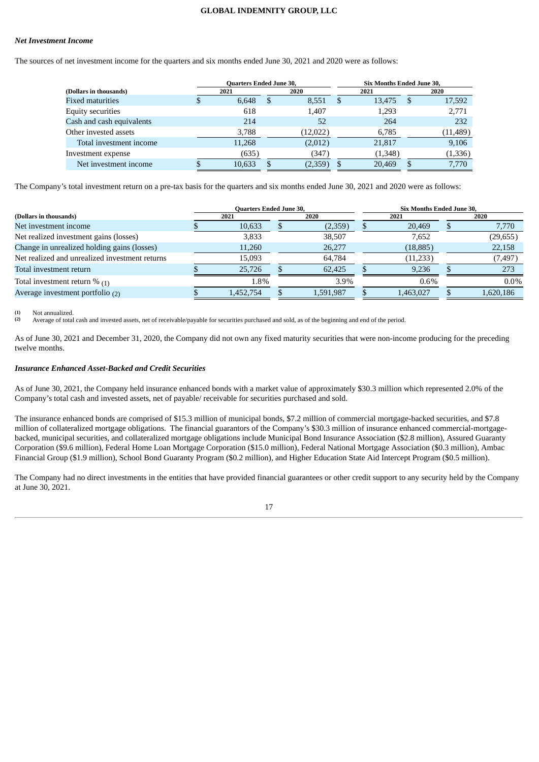#### *Net Investment Income*

The sources of net investment income for the quarters and six months ended June 30, 2021 and 2020 were as follows:

|                           |   | <b>Quarters Ended June 30,</b> |  |           |      | <b>Six Months Ended June 30.</b> |  |           |  |  |  |
|---------------------------|---|--------------------------------|--|-----------|------|----------------------------------|--|-----------|--|--|--|
| (Dollars in thousands)    |   | 2020<br>2021                   |  |           | 2021 |                                  |  |           |  |  |  |
| <b>Fixed maturities</b>   | S | 6,648                          |  | 8,551     | -S   | 13,475                           |  | 17,592    |  |  |  |
| <b>Equity securities</b>  |   | 618                            |  | 1,407     |      | 1,293                            |  | 2,771     |  |  |  |
| Cash and cash equivalents |   | 214                            |  | 52        |      | 264                              |  | 232       |  |  |  |
| Other invested assets     |   | 3,788                          |  | (12, 022) |      | 6,785                            |  | (11, 489) |  |  |  |
| Total investment income   |   | 11,268                         |  | (2,012)   |      | 21,817                           |  | 9,106     |  |  |  |
| Investment expense        |   | (635)                          |  | (347)     |      | (1,348)                          |  | (1, 336)  |  |  |  |
| Net investment income     |   | 10,633                         |  | (2,359)   | S.   | 20,469                           |  | 7,770     |  |  |  |

The Company's total investment return on a pre-tax basis for the quarters and six months ended June 30, 2021 and 2020 were as follows:

|                                                | <b>Quarters Ended June 30,</b> |           |      | <b>Six Months Ended June 30.</b> |  |           |           |
|------------------------------------------------|--------------------------------|-----------|------|----------------------------------|--|-----------|-----------|
| (Dollars in thousands)                         | 2021                           | 2020      | 2021 |                                  |  | 2020      |           |
| Net investment income                          | 10,633                         | (2,359)   |      | 20,469                           |  |           | 7,770     |
| Net realized investment gains (losses)         | 3,833                          | 38,507    |      | 7,652                            |  |           | (29, 655) |
| Change in unrealized holding gains (losses)    | 11,260                         | 26,277    |      | (18, 885)                        |  |           | 22,158    |
| Net realized and unrealized investment returns | 15,093                         | 64,784    |      | (11,233)                         |  |           | (7, 497)  |
| Total investment return                        | 25,726                         | 62,425    |      | 9.236                            |  |           | 273       |
| Total investment return $\%$ (1)               | 1.8%                           | 3.9%      |      | $0.6\%$                          |  |           | $0.0\%$   |
| Average investment portfolio $(2)$             | 1,452,754                      | 1,591,987 |      | 1,463,027                        |  | 1,620,186 |           |

**(1)** Not annualized.

**(2)** Average of total cash and invested assets, net of receivable/payable for securities purchased and sold, as of the beginning and end of the period.

As of June 30, 2021 and December 31, 2020, the Company did not own any fixed maturity securities that were non-income producing for the preceding twelve months.

#### *Insurance Enhanced Asset-Backed and Credit Securities*

As of June 30, 2021, the Company held insurance enhanced bonds with a market value of approximately \$30.3 million which represented 2.0% of the Company's total cash and invested assets, net of payable/ receivable for securities purchased and sold.

The insurance enhanced bonds are comprised of \$15.3 million of municipal bonds, \$7.2 million of commercial mortgage-backed securities, and \$7.8 million of collateralized mortgage obligations. The financial guarantors of the Company's \$30.3 million of insurance enhanced commercial-mortgagebacked, municipal securities, and collateralized mortgage obligations include Municipal Bond Insurance Association (\$2.8 million), Assured Guaranty Corporation (\$9.6 million), Federal Home Loan Mortgage Corporation (\$15.0 million), Federal National Mortgage Association (\$0.3 million), Ambac Financial Group (\$1.9 million), School Bond Guaranty Program (\$0.2 million), and Higher Education State Aid Intercept Program (\$0.5 million).

The Company had no direct investments in the entities that have provided financial guarantees or other credit support to any security held by the Company at June 30, 2021.

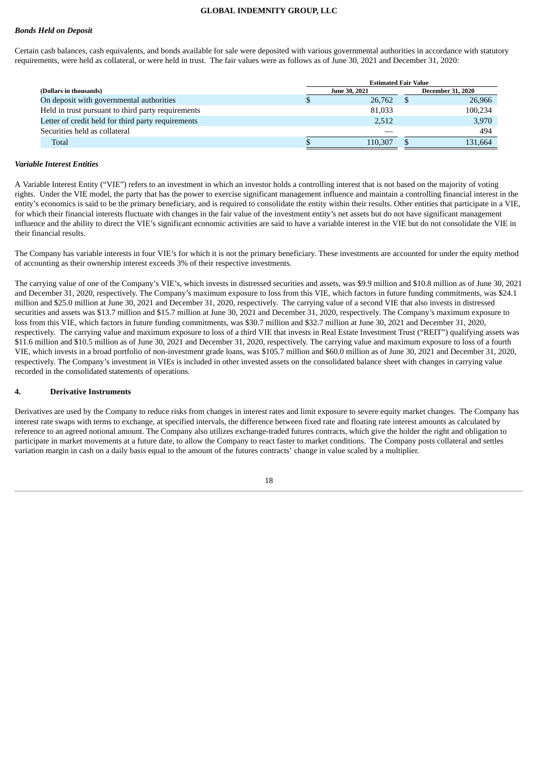#### *Bonds Held on Deposit*

Certain cash balances, cash equivalents, and bonds available for sale were deposited with various governmental authorities in accordance with statutory requirements, were held as collateral, or were held in trust. The fair values were as follows as of June 30, 2021 and December 31, 2020:

|                                                    | <b>Estimated Fair Value</b>                      |         |  |  |  |  |  |  |  |  |  |
|----------------------------------------------------|--------------------------------------------------|---------|--|--|--|--|--|--|--|--|--|
| (Dollars in thousands)                             | <b>December 31, 2020</b><br><b>June 30, 2021</b> |         |  |  |  |  |  |  |  |  |  |
| On deposit with governmental authorities           | 26,762                                           | 26,966  |  |  |  |  |  |  |  |  |  |
| Held in trust pursuant to third party requirements | 81,033                                           | 100,234 |  |  |  |  |  |  |  |  |  |
| Letter of credit held for third party requirements | 2,512                                            | 3,970   |  |  |  |  |  |  |  |  |  |
| Securities held as collateral                      |                                                  | 494     |  |  |  |  |  |  |  |  |  |
| Total                                              | 110,307                                          | 131,664 |  |  |  |  |  |  |  |  |  |

#### *Variable Interest Entities*

A Variable Interest Entity ("VIE") refers to an investment in which an investor holds a controlling interest that is not based on the majority of voting rights. Under the VIE model, the party that has the power to exercise significant management influence and maintain a controlling financial interest in the entity's economics is said to be the primary beneficiary, and is required to consolidate the entity within their results. Other entities that participate in a VIE, for which their financial interests fluctuate with changes in the fair value of the investment entity's net assets but do not have significant management influence and the ability to direct the VIE's significant economic activities are said to have a variable interest in the VIE but do not consolidate the VIE in their financial results.

The Company has variable interests in four VIE's for which it is not the primary beneficiary. These investments are accounted for under the equity method of accounting as their ownership interest exceeds 3% of their respective investments.

The carrying value of one of the Company's VIE's, which invests in distressed securities and assets, was \$9.9 million and \$10.8 million as of June 30, 2021 and December 31, 2020, respectively. The Company's maximum exposure to loss from this VIE, which factors in future funding commitments, was \$24.1 million and \$25.0 million at June 30, 2021 and December 31, 2020, respectively. The carrying value of a second VIE that also invests in distressed securities and assets was \$13.7 million and \$15.7 million at June 30, 2021 and December 31, 2020, respectively. The Company's maximum exposure to loss from this VIE, which factors in future funding commitments, was \$30.7 million and \$32.7 million at June 30, 2021 and December 31, 2020, respectively. The carrying value and maximum exposure to loss of a third VIE that invests in Real Estate Investment Trust ("REIT") qualifying assets was \$11.6 million and \$10.5 million as of June 30, 2021 and December 31, 2020, respectively. The carrying value and maximum exposure to loss of a fourth VIE, which invests in a broad portfolio of non-investment grade loans, was \$105.7 million and \$60.0 million as of June 30, 2021 and December 31, 2020, respectively. The Company's investment in VIEs is included in other invested assets on the consolidated balance sheet with changes in carrying value recorded in the consolidated statements of operations.

#### **4. Derivative Instruments**

Derivatives are used by the Company to reduce risks from changes in interest rates and limit exposure to severe equity market changes. The Company has interest rate swaps with terms to exchange, at specified intervals, the difference between fixed rate and floating rate interest amounts as calculated by reference to an agreed notional amount. The Company also utilizes exchange-traded futures contracts, which give the holder the right and obligation to participate in market movements at a future date, to allow the Company to react faster to market conditions. The Company posts collateral and settles variation margin in cash on a daily basis equal to the amount of the futures contracts' change in value scaled by a multiplier.

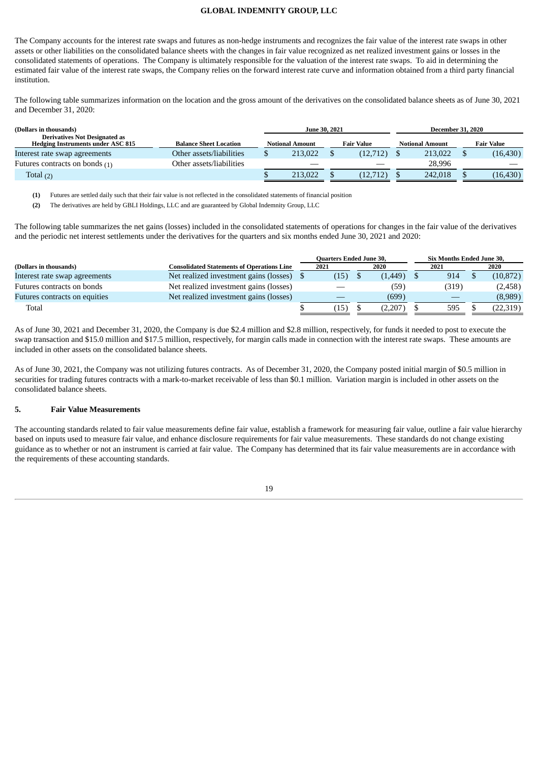The Company accounts for the interest rate swaps and futures as non-hedge instruments and recognizes the fair value of the interest rate swaps in other assets or other liabilities on the consolidated balance sheets with the changes in fair value recognized as net realized investment gains or losses in the consolidated statements of operations. The Company is ultimately responsible for the valuation of the interest rate swaps. To aid in determining the estimated fair value of the interest rate swaps, the Company relies on the forward interest rate curve and information obtained from a third party financial institution.

The following table summarizes information on the location and the gross amount of the derivatives on the consolidated balance sheets as of June 30, 2021 and December 31, 2020:

| (Dollars in thousands)                                                           | <b>June 30, 2021</b>          |                        | <b>December 31, 2020</b> |  |                        |  |                   |
|----------------------------------------------------------------------------------|-------------------------------|------------------------|--------------------------|--|------------------------|--|-------------------|
| <b>Derivatives Not Designated as</b><br><b>Hedging Instruments under ASC 815</b> | <b>Balance Sheet Location</b> | <b>Notional Amount</b> | <b>Fair Value</b>        |  | <b>Notional Amount</b> |  | <b>Fair Value</b> |
| Interest rate swap agreements                                                    | Other assets/liabilities      | 213,022                | (12,712)                 |  | 213,022                |  | (16, 430)         |
| Futures contracts on bonds $(1)$                                                 | Other assets/liabilities      |                        |                          |  | 28,996                 |  |                   |
| Total $(2)$                                                                      |                               | 213.022                | (12,712)                 |  | 242,018                |  | (16, 430)         |

**(1)** Futures are settled daily such that their fair value is not reflected in the consolidated statements of financial position

**(2)** The derivatives are held by GBLI Holdings, LLC and are guaranteed by Global Indemnity Group, LLC

The following table summarizes the net gains (losses) included in the consolidated statements of operations for changes in the fair value of the derivatives and the periodic net interest settlements under the derivatives for the quarters and six months ended June 30, 2021 and 2020:

|                               |                                                   | <b>Quarters Ended June 30,</b> |  | Six Months Ended June 30, |       |           |
|-------------------------------|---------------------------------------------------|--------------------------------|--|---------------------------|-------|-----------|
| (Dollars in thousands)        | <b>Consolidated Statements of Operations Line</b> | 2021                           |  | 2020                      | 2021  | 2020      |
| Interest rate swap agreements | Net realized investment gains (losses)            | (15)                           |  | (1,449)                   | 914   | (10, 872) |
| Futures contracts on bonds    | Net realized investment gains (losses)            |                                |  | (59)                      | (319) | (2, 458)  |
| Futures contracts on equities | Net realized investment gains (losses)            |                                |  | (699)                     |       | (8,989)   |
| Total                         |                                                   | (15)                           |  | (2.207)                   | 595   | (22,319)  |

As of June 30, 2021 and December 31, 2020, the Company is due \$2.4 million and \$2.8 million, respectively, for funds it needed to post to execute the swap transaction and \$15.0 million and \$17.5 million, respectively, for margin calls made in connection with the interest rate swaps. These amounts are included in other assets on the consolidated balance sheets.

As of June 30, 2021, the Company was not utilizing futures contracts. As of December 31, 2020, the Company posted initial margin of \$0.5 million in securities for trading futures contracts with a mark-to-market receivable of less than \$0.1 million. Variation margin is included in other assets on the consolidated balance sheets.

#### **5. Fair Value Measurements**

The accounting standards related to fair value measurements define fair value, establish a framework for measuring fair value, outline a fair value hierarchy based on inputs used to measure fair value, and enhance disclosure requirements for fair value measurements. These standards do not change existing guidance as to whether or not an instrument is carried at fair value. The Company has determined that its fair value measurements are in accordance with the requirements of these accounting standards.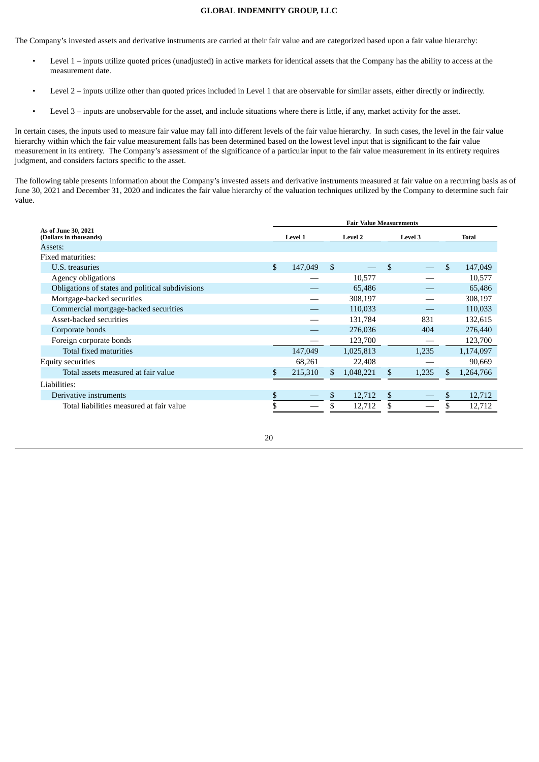The Company's invested assets and derivative instruments are carried at their fair value and are categorized based upon a fair value hierarchy:

- Level 1 inputs utilize quoted prices (unadjusted) in active markets for identical assets that the Company has the ability to access at the measurement date.
- Level 2 inputs utilize other than quoted prices included in Level 1 that are observable for similar assets, either directly or indirectly.
- Level 3 inputs are unobservable for the asset, and include situations where there is little, if any, market activity for the asset.

In certain cases, the inputs used to measure fair value may fall into different levels of the fair value hierarchy. In such cases, the level in the fair value hierarchy within which the fair value measurement falls has been determined based on the lowest level input that is significant to the fair value measurement in its entirety. The Company's assessment of the significance of a particular input to the fair value measurement in its entirety requires judgment, and considers factors specific to the asset.

The following table presents information about the Company's invested assets and derivative instruments measured at fair value on a recurring basis as of June 30, 2021 and December 31, 2020 and indicates the fair value hierarchy of the valuation techniques utilized by the Company to determine such fair value.

|                                                  | <b>Fair Value Measurements</b>       |         |              |           |     |       |              |           |  |  |
|--------------------------------------------------|--------------------------------------|---------|--------------|-----------|-----|-------|--------------|-----------|--|--|
| As of June 30, 2021<br>(Dollars in thousands)    | Level 1<br><b>Level 2</b><br>Level 3 |         |              |           |     |       | <b>Total</b> |           |  |  |
| Assets:                                          |                                      |         |              |           |     |       |              |           |  |  |
| Fixed maturities:                                |                                      |         |              |           |     |       |              |           |  |  |
| U.S. treasuries                                  | \$                                   | 147,049 | $\mathbb{S}$ |           | \$. |       | \$           | 147,049   |  |  |
| Agency obligations                               |                                      |         |              | 10,577    |     |       |              | 10,577    |  |  |
| Obligations of states and political subdivisions |                                      |         |              | 65,486    |     |       |              | 65,486    |  |  |
| Mortgage-backed securities                       |                                      |         |              | 308,197   |     |       |              | 308,197   |  |  |
| Commercial mortgage-backed securities            |                                      |         |              | 110,033   |     |       |              | 110,033   |  |  |
| Asset-backed securities                          |                                      |         |              | 131,784   |     | 831   |              | 132,615   |  |  |
| Corporate bonds                                  |                                      |         |              | 276,036   |     | 404   |              | 276,440   |  |  |
| Foreign corporate bonds                          |                                      |         |              | 123,700   |     |       |              | 123,700   |  |  |
| Total fixed maturities                           |                                      | 147,049 |              | 1,025,813 |     | 1,235 |              | 1,174,097 |  |  |
| <b>Equity securities</b>                         |                                      | 68,261  |              | 22,408    |     |       |              | 90,669    |  |  |
| Total assets measured at fair value              | \$                                   | 215,310 |              | 1,048,221 | \$  | 1,235 | \$           | 1,264,766 |  |  |
| Liabilities:                                     |                                      |         |              |           |     |       |              |           |  |  |
| Derivative instruments                           | \$                                   |         |              | 12,712    | S   |       | S            | 12,712    |  |  |
| Total liabilities measured at fair value         | \$                                   |         |              | 12,712    | S   |       |              | 12,712    |  |  |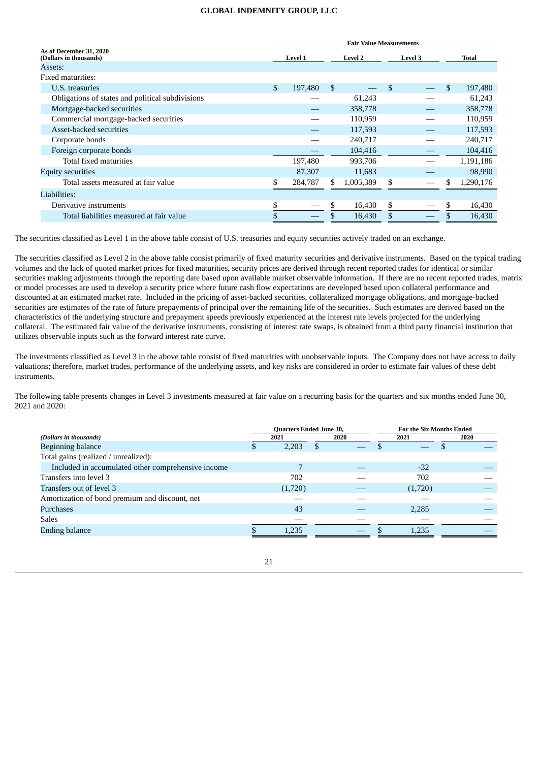|                                                   | <b>Fair Value Measurements</b> |         |              |                |    |         |     |           |  |  |
|---------------------------------------------------|--------------------------------|---------|--------------|----------------|----|---------|-----|-----------|--|--|
| As of December 31, 2020<br>(Dollars in thousands) |                                | Level 1 |              | <b>Level 2</b> |    | Level 3 |     | Total     |  |  |
| Assets:                                           |                                |         |              |                |    |         |     |           |  |  |
| <b>Fixed maturities:</b>                          |                                |         |              |                |    |         |     |           |  |  |
| U.S. treasuries                                   | \$                             | 197,480 | $\mathbb{S}$ |                | \$ |         | \$. | 197,480   |  |  |
| Obligations of states and political subdivisions  |                                |         |              | 61,243         |    |         |     | 61,243    |  |  |
| Mortgage-backed securities                        |                                |         |              | 358,778        |    |         |     | 358,778   |  |  |
| Commercial mortgage-backed securities             |                                |         |              | 110,959        |    |         |     | 110,959   |  |  |
| Asset-backed securities                           |                                |         |              | 117,593        |    |         |     | 117,593   |  |  |
| Corporate bonds                                   |                                |         |              | 240,717        |    |         |     | 240,717   |  |  |
| Foreign corporate bonds                           |                                |         |              | 104,416        |    |         |     | 104,416   |  |  |
| Total fixed maturities                            |                                | 197,480 |              | 993,706        |    |         |     | 1,191,186 |  |  |
| <b>Equity securities</b>                          |                                | 87,307  |              | 11,683         |    |         |     | 98,990    |  |  |
| Total assets measured at fair value               |                                | 284,787 | \$           | 1,005,389      | \$ |         | \$  | 1,290,176 |  |  |
| Liabilities:                                      |                                |         |              |                |    |         |     |           |  |  |
| Derivative instruments                            |                                |         | \$           | 16,430         | \$ |         | \$. | 16,430    |  |  |
| Total liabilities measured at fair value          |                                |         |              | 16,430         | \$ |         |     | 16,430    |  |  |

The securities classified as Level 1 in the above table consist of U.S. treasuries and equity securities actively traded on an exchange.

The securities classified as Level 2 in the above table consist primarily of fixed maturity securities and derivative instruments. Based on the typical trading volumes and the lack of quoted market prices for fixed maturities, security prices are derived through recent reported trades for identical or similar securities making adjustments through the reporting date based upon available market observable information. If there are no recent reported trades, matrix or model processes are used to develop a security price where future cash flow expectations are developed based upon collateral performance and discounted at an estimated market rate. Included in the pricing of asset-backed securities, collateralized mortgage obligations, and mortgage-backed securities are estimates of the rate of future prepayments of principal over the remaining life of the securities. Such estimates are derived based on the characteristics of the underlying structure and prepayment speeds previously experienced at the interest rate levels projected for the underlying collateral. The estimated fair value of the derivative instruments, consisting of interest rate swaps, is obtained from a third party financial institution that utilizes observable inputs such as the forward interest rate curve.

The investments classified as Level 3 in the above table consist of fixed maturities with unobservable inputs. The Company does not have access to daily valuations; therefore, market trades, performance of the underlying assets, and key risks are considered in order to estimate fair values of these debt instruments.

The following table presents changes in Level 3 investments measured at fair value on a recurring basis for the quarters and six months ended June 30, 2021 and 2020:

|                                                    | <b>Quarters Ended June 30,</b> |    |      | <b>For the Six Months Ended</b> |         |  |      |  |  |
|----------------------------------------------------|--------------------------------|----|------|---------------------------------|---------|--|------|--|--|
| (Dollars in thousands)                             | 2021                           |    | 2020 |                                 | 2021    |  | 2020 |  |  |
| Beginning balance                                  | 2,203                          | £. |      |                                 |         |  |      |  |  |
| Total gains (realized / unrealized):               |                                |    |      |                                 |         |  |      |  |  |
| Included in accumulated other comprehensive income |                                |    |      |                                 | $-32$   |  |      |  |  |
| Transfers into level 3                             | 702                            |    |      |                                 | 702     |  |      |  |  |
| Transfers out of level 3                           | (1,720)                        |    |      |                                 | (1,720) |  |      |  |  |
| Amortization of bond premium and discount, net     |                                |    |      |                                 |         |  |      |  |  |
| Purchases                                          | 43                             |    |      |                                 | 2,285   |  |      |  |  |
| <b>Sales</b>                                       |                                |    |      |                                 |         |  |      |  |  |
| <b>Ending balance</b>                              | 1,235                          |    | _    |                                 | 1,235   |  |      |  |  |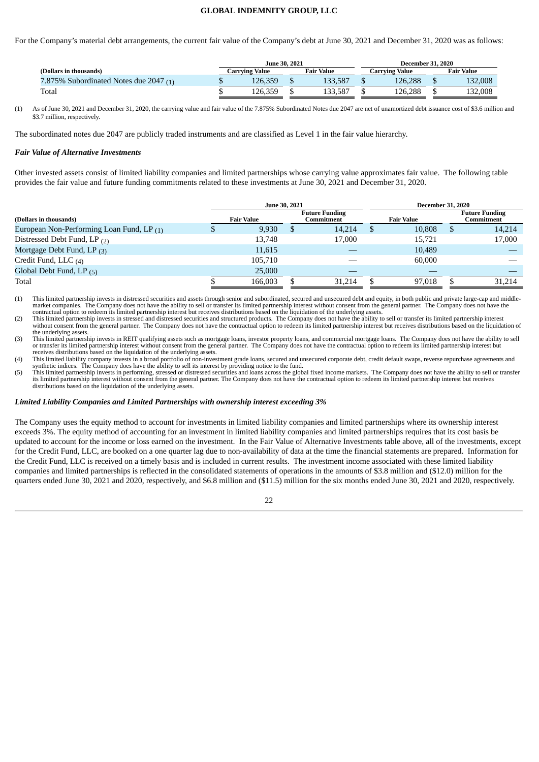For the Company's material debt arrangements, the current fair value of the Company's debt at June 30, 2021 and December 31, 2020 was as follows:

|                                          | <b>June 30, 2021</b> |                   | <b>December 31, 2020</b> |            |
|------------------------------------------|----------------------|-------------------|--------------------------|------------|
| (Dollars in thousands)                   | Carrving Value       | <b>Fair Value</b> | Carrving Value           | Fair Value |
| 7.875% Subordinated Notes due 2047 $(1)$ | 126.359              | L33.587           | 126.288                  | 132,008    |
| Total                                    | 126.359              | 133.587           | 126.288                  | 132,008    |

(1) As of June 30, 2021 and December 31, 2020, the carrying value and fair value of the 7.875% Subordinated Notes due 2047 are net of unamortized debt issuance cost of \$3.6 million and \$3.7 million, respectively.

The subordinated notes due 2047 are publicly traded instruments and are classified as Level 1 in the fair value hierarchy.

#### *Fair Value of Alternative Investments*

Other invested assets consist of limited liability companies and limited partnerships whose carrying value approximates fair value. The following table provides the fair value and future funding commitments related to these investments at June 30, 2021 and December 31, 2020.

|                                             | June 30, 2021     |                                     | <b>December 31, 2020</b> |                   |  |                                     |  |
|---------------------------------------------|-------------------|-------------------------------------|--------------------------|-------------------|--|-------------------------------------|--|
| (Dollars in thousands)                      | <b>Fair Value</b> | <b>Future Funding</b><br>Commitment |                          | <b>Fair Value</b> |  | <b>Future Funding</b><br>Commitment |  |
| European Non-Performing Loan Fund, LP $(1)$ | 9,930             | 14,214                              |                          | 10,808            |  | 14,214                              |  |
| Distressed Debt Fund, LP $(2)$              | 13,748            | 17.000                              |                          | 15,721            |  | 17,000                              |  |
| Mortgage Debt Fund, LP $(3)$                | 11,615            |                                     |                          | 10,489            |  |                                     |  |
| Credit Fund, LLC $(4)$                      | 105,710           |                                     |                          | 60,000            |  |                                     |  |
| Global Debt Fund, $LP(5)$                   | 25,000            |                                     |                          |                   |  |                                     |  |
| Total                                       | 166,003           | 31,214                              |                          | 97,018            |  | 31,214                              |  |

(1) This limited partnership invests in distressed securities and assets through senior and subordinated, secured and unsecured debt and equity, in both public and private large-cap and middlemarket companies. The Company does not have the ability to sell or transfer its limited partnership interest without consent from the general partner. The Company does not have the contractual option to redeem its limited partnership interest but receives distributions based on the liquidation of the underlying assets.

(2) This limited partnership invests in stressed and distressed securities and structured products. The Company does not have the ability to sell or transfer its limited partnership interest without consent from the genera the underlying assets.

(3) This limited partnership invests in REIT qualifying assets such as mortgage loans, investor property loans, and commercial mortgage loans. The Company does not have the ability to sell<br>or transfer its limited partnersh receives distributions based on the liquidation of the underlying assets.<br>(4) This limited liability company invests in a broad portfolio of non-investment grade loans, secured and unsecured corporate debt, credit default

synthetic indices. The Company does have the ability to sell its interest by providing notice to the fund.

(5) This limited partnership invests in performing, stressed or distressed securities and loans across the global fixed income markets. The Company does not have the ability to sell or transfer its limited partnership interest without consent from the general partner. The Company does not have the contractual option to redeem its limited partnership interest but receives distributions based on the liquidation of the underlying assets.

#### *Limited Liability Companies and Limited Partnerships with ownership interest exceeding 3%*

The Company uses the equity method to account for investments in limited liability companies and limited partnerships where its ownership interest exceeds 3%. The equity method of accounting for an investment in limited liability companies and limited partnerships requires that its cost basis be updated to account for the income or loss earned on the investment. In the Fair Value of Alternative Investments table above, all of the investments, except for the Credit Fund, LLC, are booked on a one quarter lag due to non-availability of data at the time the financial statements are prepared. Information for the Credit Fund, LLC is received on a timely basis and is included in current results. The investment income associated with these limited liability companies and limited partnerships is reflected in the consolidated statements of operations in the amounts of \$3.8 million and (\$12.0) million for the quarters ended June 30, 2021 and 2020, respectively, and \$6.8 million and (\$11.5) million for the six months ended June 30, 2021 and 2020, respectively.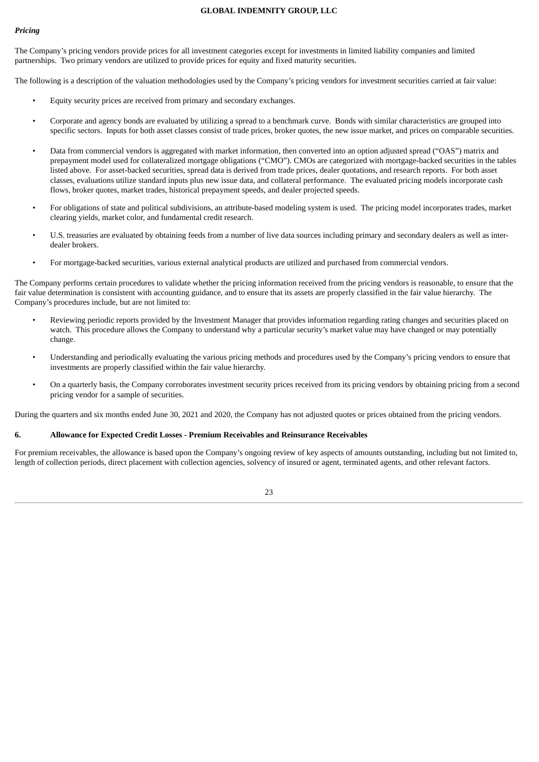### *Pricing*

The Company's pricing vendors provide prices for all investment categories except for investments in limited liability companies and limited partnerships. Two primary vendors are utilized to provide prices for equity and fixed maturity securities.

The following is a description of the valuation methodologies used by the Company's pricing vendors for investment securities carried at fair value:

- Equity security prices are received from primary and secondary exchanges.
- Corporate and agency bonds are evaluated by utilizing a spread to a benchmark curve. Bonds with similar characteristics are grouped into specific sectors. Inputs for both asset classes consist of trade prices, broker quotes, the new issue market, and prices on comparable securities.
- Data from commercial vendors is aggregated with market information, then converted into an option adjusted spread ("OAS") matrix and prepayment model used for collateralized mortgage obligations ("CMO"). CMOs are categorized with mortgage-backed securities in the tables listed above. For asset-backed securities, spread data is derived from trade prices, dealer quotations, and research reports. For both asset classes, evaluations utilize standard inputs plus new issue data, and collateral performance. The evaluated pricing models incorporate cash flows, broker quotes, market trades, historical prepayment speeds, and dealer projected speeds.
- For obligations of state and political subdivisions, an attribute-based modeling system is used. The pricing model incorporates trades, market clearing yields, market color, and fundamental credit research.
- U.S. treasuries are evaluated by obtaining feeds from a number of live data sources including primary and secondary dealers as well as interdealer brokers.
- For mortgage-backed securities, various external analytical products are utilized and purchased from commercial vendors.

The Company performs certain procedures to validate whether the pricing information received from the pricing vendors is reasonable, to ensure that the fair value determination is consistent with accounting guidance, and to ensure that its assets are properly classified in the fair value hierarchy. The Company's procedures include, but are not limited to:

- Reviewing periodic reports provided by the Investment Manager that provides information regarding rating changes and securities placed on watch. This procedure allows the Company to understand why a particular security's market value may have changed or may potentially change.
- Understanding and periodically evaluating the various pricing methods and procedures used by the Company's pricing vendors to ensure that investments are properly classified within the fair value hierarchy.
- On a quarterly basis, the Company corroborates investment security prices received from its pricing vendors by obtaining pricing from a second pricing vendor for a sample of securities.

During the quarters and six months ended June 30, 2021 and 2020, the Company has not adjusted quotes or prices obtained from the pricing vendors.

#### **6. Allowance for Expected Credit Losses - Premium Receivables and Reinsurance Receivables**

For premium receivables, the allowance is based upon the Company's ongoing review of key aspects of amounts outstanding, including but not limited to, length of collection periods, direct placement with collection agencies, solvency of insured or agent, terminated agents, and other relevant factors.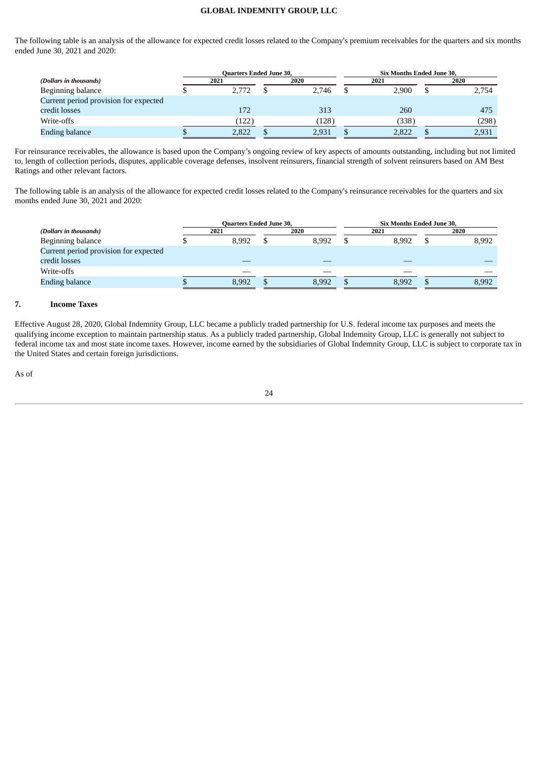The following table is an analysis of the allowance for expected credit losses related to the Company's premium receivables for the quarters and six months ended June 30, 2021 and 2020:

|                                       |  | <b>Quarters Ended June 30,</b> |  |       |  | Six Months Ended June 30, |      |       |  |  |  |  |      |
|---------------------------------------|--|--------------------------------|--|-------|--|---------------------------|------|-------|--|--|--|--|------|
| (Dollars in thousands)                |  | 2021                           |  | 2020  |  |                           | 2021 |       |  |  |  |  | 2020 |
| Beginning balance                     |  | 2.772                          |  | 2.746 |  | 2.900                     |      | 2,754 |  |  |  |  |      |
| Current period provision for expected |  |                                |  |       |  |                           |      |       |  |  |  |  |      |
| credit losses                         |  | 172                            |  | 313   |  | 260                       |      | 475   |  |  |  |  |      |
| Write-offs                            |  | (122)                          |  | (128) |  | (338)                     |      | (298) |  |  |  |  |      |
| <b>Ending balance</b>                 |  | 2,822                          |  | 2,931 |  | 2,822                     |      | 2,931 |  |  |  |  |      |

For reinsurance receivables, the allowance is based upon the Company's ongoing review of key aspects of amounts outstanding, including but not limited to, length of collection periods, disputes, applicable coverage defenses, insolvent reinsurers, financial strength of solvent reinsurers based on AM Best Ratings and other relevant factors.

The following table is an analysis of the allowance for expected credit losses related to the Company's reinsurance receivables for the quarters and six months ended June 30, 2021 and 2020:

|                                       | <b>Quarters Ended June 30,</b> |  | <b>Six Months Ended June 30.</b> |  |       |  |       |  |  |  |  |
|---------------------------------------|--------------------------------|--|----------------------------------|--|-------|--|-------|--|--|--|--|
| (Dollars in thousands)                | 2021                           |  | 2020                             |  | 2021  |  | 2020  |  |  |  |  |
| Beginning balance                     | 8.992                          |  | 8.992                            |  | 8.992 |  | 8,992 |  |  |  |  |
| Current period provision for expected |                                |  |                                  |  |       |  |       |  |  |  |  |
| credit losses                         |                                |  |                                  |  |       |  |       |  |  |  |  |
| Write-offs                            |                                |  |                                  |  |       |  |       |  |  |  |  |
| <b>Ending balance</b>                 | 8.992                          |  | 8.992                            |  | 8,992 |  | 8,992 |  |  |  |  |

## **7. Income Taxes**

Effective August 28, 2020, Global Indemnity Group, LLC became a publicly traded partnership for U.S. federal income tax purposes and meets the qualifying income exception to maintain partnership status. As a publicly traded partnership, Global Indemnity Group, LLC is generally not subject to federal income tax and most state income taxes. However, income earned by the subsidiaries of Global Indemnity Group, LLC is subject to corporate tax in the United States and certain foreign jurisdictions.

As of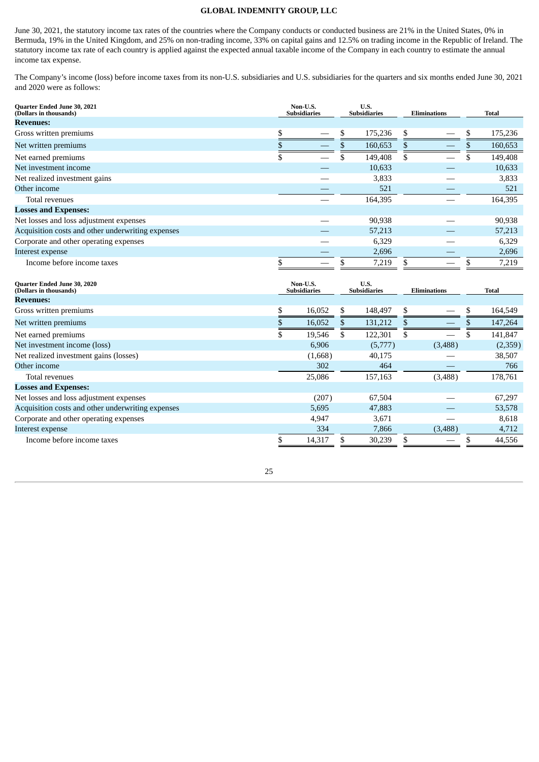June 30, 2021, the statutory income tax rates of the countries where the Company conducts or conducted business are 21% in the United States, 0% in Bermuda, 19% in the United Kingdom, and 25% on non-trading income, 33% on capital gains and 12.5% on trading income in the Republic of Ireland. The statutory income tax rate of each country is applied against the expected annual taxable income of the Company in each country to estimate the annual income tax expense.

The Company's income (loss) before income taxes from its non-U.S. subsidiaries and U.S. subsidiaries for the quarters and six months ended June 30, 2021 and 2020 were as follows:

| Quarter Ended June 30, 2021<br>(Dollars in thousands) | Non-U.S.<br><b>Subsidiaries</b> | U.S.<br><b>Subsidiaries</b> |    | <b>Eliminations</b> | Total         |
|-------------------------------------------------------|---------------------------------|-----------------------------|----|---------------------|---------------|
| <b>Revenues:</b>                                      |                                 |                             |    |                     |               |
| Gross written premiums                                | __                              | \$<br>175,236               | \$ |                     | \$<br>175,236 |
| Net written premiums                                  |                                 | 160,653                     |    |                     | 160,653       |
| Net earned premiums                                   |                                 | 149,408                     | S  |                     | 149,408       |
| Net investment income                                 |                                 | 10,633                      |    |                     | 10,633        |
| Net realized investment gains                         |                                 | 3,833                       |    |                     | 3,833         |
| Other income                                          |                                 | 521                         |    |                     | 521           |
| Total revenues                                        |                                 | 164,395                     |    |                     | 164,395       |
| <b>Losses and Expenses:</b>                           |                                 |                             |    |                     |               |
| Net losses and loss adjustment expenses               |                                 | 90,938                      |    |                     | 90,938        |
| Acquisition costs and other underwriting expenses     |                                 | 57,213                      |    |                     | 57,213        |
| Corporate and other operating expenses                |                                 | 6,329                       |    |                     | 6,329         |
| Interest expense                                      |                                 | 2,696                       |    |                     | 2,696         |
| Income before income taxes                            |                                 | 7,219                       | \$ |                     | 7,219         |

| Quarter Ended June 30, 2020<br>(Dollars in thousands) | Non-U.S.<br><b>Subsidiaries</b> |     | U.S.<br><b>Subsidiaries</b> |    | <b>Eliminations</b> |  | Total   |
|-------------------------------------------------------|---------------------------------|-----|-----------------------------|----|---------------------|--|---------|
| <b>Revenues:</b>                                      |                                 |     |                             |    |                     |  |         |
| Gross written premiums                                | 16,052                          | \$  | 148,497                     | \$ |                     |  | 164,549 |
| Net written premiums                                  | 16,052                          |     | 131,212                     |    |                     |  | 147,264 |
| Net earned premiums                                   | 19,546                          | \$. | 122,301                     | £. |                     |  | 141,847 |
| Net investment income (loss)                          | 6,906                           |     | (5,777)                     |    | (3,488)             |  | (2,359) |
| Net realized investment gains (losses)                | (1,668)                         |     | 40,175                      |    |                     |  | 38,507  |
| Other income                                          | 302                             |     | 464                         |    |                     |  | 766     |
| Total revenues                                        | 25,086                          |     | 157,163                     |    | (3,488)             |  | 178,761 |
| <b>Losses and Expenses:</b>                           |                                 |     |                             |    |                     |  |         |
| Net losses and loss adjustment expenses               | (207)                           |     | 67,504                      |    |                     |  | 67,297  |
| Acquisition costs and other underwriting expenses     | 5,695                           |     | 47,883                      |    |                     |  | 53,578  |
| Corporate and other operating expenses                | 4,947                           |     | 3,671                       |    |                     |  | 8,618   |
| Interest expense                                      | 334                             |     | 7,866                       |    | (3,488)             |  | 4,712   |
| Income before income taxes                            | 14,317                          |     | 30,239                      |    |                     |  | 44,556  |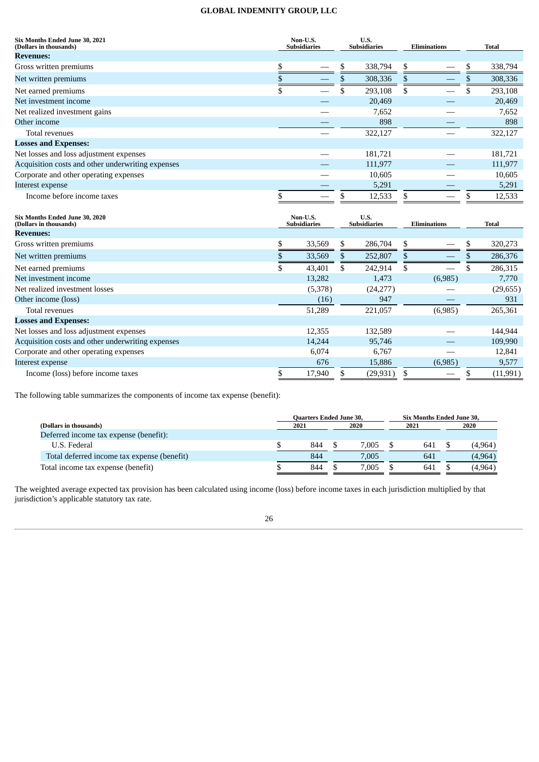|  |                                 | U.S.    |                     |                     | <b>Total</b> |
|--|---------------------------------|---------|---------------------|---------------------|--------------|
|  |                                 |         |                     |                     |              |
|  |                                 | 338,794 |                     |                     | 338,794      |
|  |                                 | 308,336 |                     |                     | 308,336      |
|  |                                 | 293,108 | \$.                 |                     | 293,108      |
|  |                                 | 20,469  |                     |                     | 20,469       |
|  |                                 | 7,652   |                     |                     | 7,652        |
|  |                                 | 898     |                     |                     | 898          |
|  |                                 | 322,127 |                     |                     | 322,127      |
|  |                                 |         |                     |                     |              |
|  |                                 | 181,721 |                     |                     | 181,721      |
|  |                                 | 111,977 |                     |                     | 111,977      |
|  |                                 | 10,605  |                     |                     | 10,605       |
|  |                                 | 5,291   |                     |                     | 5,291        |
|  |                                 | 12,533  |                     |                     | 12,533       |
|  | Non-U.S.<br><b>Subsidiaries</b> |         | <b>Subsidiaries</b> | <b>Eliminations</b> |              |

| Six Months Ended June 30, 2020<br>(Dollars in thousands) | Non-U.S.<br><b>Subsidiaries</b> |     | U.S.<br><b>Subsidiaries</b> | <b>Eliminations</b> |         | Total     |
|----------------------------------------------------------|---------------------------------|-----|-----------------------------|---------------------|---------|-----------|
| <b>Revenues:</b>                                         |                                 |     |                             |                     |         |           |
| Gross written premiums                                   | 33,569                          | \$  | 286,704                     | \$                  |         | 320,273   |
| Net written premiums                                     | 33,569                          |     | 252,807                     |                     |         | 286,376   |
| Net earned premiums                                      | 43,401                          | \$. | 242,914                     | \$.                 |         | 286,315   |
| Net investment income                                    | 13,282                          |     | 1,473                       |                     | (6,985) | 7,770     |
| Net realized investment losses                           | (5,378)                         |     | (24, 277)                   |                     |         | (29, 655) |
| Other income (loss)                                      | (16)                            |     | 947                         |                     |         | 931       |
| Total revenues                                           | 51,289                          |     | 221,057                     |                     | (6,985) | 265,361   |
| <b>Losses and Expenses:</b>                              |                                 |     |                             |                     |         |           |
| Net losses and loss adjustment expenses                  | 12,355                          |     | 132,589                     |                     |         | 144,944   |
| Acquisition costs and other underwriting expenses        | 14,244                          |     | 95,746                      |                     |         | 109,990   |
| Corporate and other operating expenses                   | 6,074                           |     | 6,767                       |                     |         | 12,841    |
| Interest expense                                         | 676                             |     | 15,886                      |                     | (6,985) | 9,577     |
| Income (loss) before income taxes                        | 17,940                          |     | (29, 931)                   |                     |         | (11, 991) |

The following table summarizes the components of income tax expense (benefit):

|                                             | Quarters Ended June 30, |      |  |       | <b>Six Months Ended June 30.</b> |         |  |
|---------------------------------------------|-------------------------|------|--|-------|----------------------------------|---------|--|
| (Dollars in thousands)                      |                         | 2021 |  | 2020  | 2021                             | 2020    |  |
| Deferred income tax expense (benefit):      |                         |      |  |       |                                  |         |  |
| <b>U.S. Federal</b>                         |                         | 844  |  | 7.005 | 641                              | (4,964) |  |
| Total deferred income tax expense (benefit) |                         | 844  |  | 7.005 | 641                              | (4,964) |  |
| Total income tax expense (benefit)          |                         | 844  |  | 7.005 | 641                              | (4,964) |  |

The weighted average expected tax provision has been calculated using income (loss) before income taxes in each jurisdiction multiplied by that jurisdiction's applicable statutory tax rate.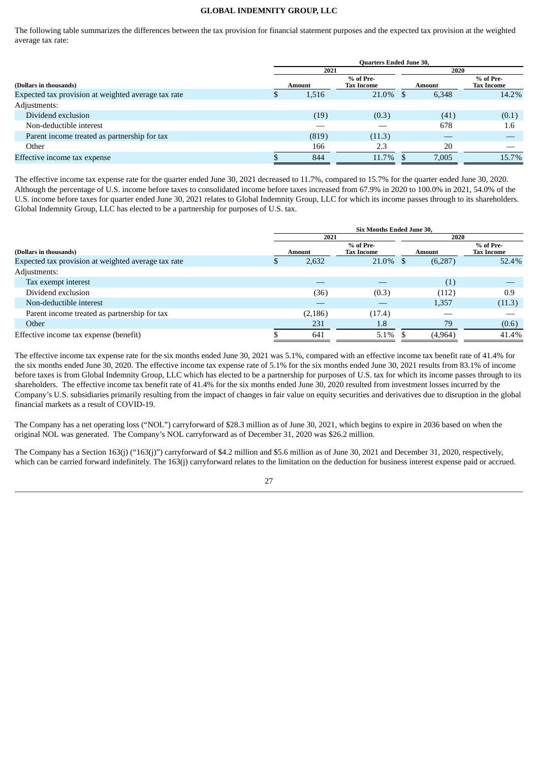The following table summarizes the differences between the tax provision for financial statement purposes and the expected tax provision at the weighted average tax rate:

|                                                     |        | <b>Quarters Ended June 30,</b> |        |                                  |
|-----------------------------------------------------|--------|--------------------------------|--------|----------------------------------|
|                                                     | 2021   |                                | 2020   |                                  |
| (Dollars in thousands)                              | Amount | % of Pre-<br><b>Tax Income</b> | Amount | $%$ of Pre-<br><b>Tax Income</b> |
| Expected tax provision at weighted average tax rate | 1,516  | 21.0%                          | 6,348  | 14.2%                            |
| Adjustments:                                        |        |                                |        |                                  |
| Dividend exclusion                                  | (19)   | (0.3)                          | (41)   | (0.1)                            |
| Non-deductible interest                             |        |                                | 678    | 1.6                              |
| Parent income treated as partnership for tax        | (819)  | (11.3)                         | __     |                                  |
| Other                                               | 166    | 2.3                            | 20     |                                  |
| Effective income tax expense                        | 844    | 11.7%                          | 7.005  | 15.7%                            |

The effective income tax expense rate for the quarter ended June 30, 2021 decreased to 11.7%, compared to 15.7% for the quarter ended June 30, 2020. Although the percentage of U.S. income before taxes to consolidated income before taxes increased from 67.9% in 2020 to 100.0% in 2021, 54.0% of the U.S. income before taxes for quarter ended June 30, 2021 relates to Global Indemnity Group, LLC for which its income passes through to its shareholders. Global Indemnity Group, LLC has elected to be a partnership for purposes of U.S. tax.

|                                                     | <b>Six Months Ended June 30,</b> |          |                                |      |               |                                |  |  |  |  |
|-----------------------------------------------------|----------------------------------|----------|--------------------------------|------|---------------|--------------------------------|--|--|--|--|
|                                                     |                                  | 2021     |                                | 2020 |               |                                |  |  |  |  |
| (Dollars in thousands)                              |                                  | Amount   | % of Pre-<br><b>Tax Income</b> |      | <b>Amount</b> | % of Pre-<br><b>Tax Income</b> |  |  |  |  |
| Expected tax provision at weighted average tax rate | D                                | 2,632    | 21.0%                          |      | (6,287)       | 52.4%                          |  |  |  |  |
| Adjustments:                                        |                                  |          |                                |      |               |                                |  |  |  |  |
| Tax exempt interest                                 |                                  |          |                                |      | (1)           |                                |  |  |  |  |
| Dividend exclusion                                  |                                  | (36)     | (0.3)                          |      | (112)         | 0.9                            |  |  |  |  |
| Non-deductible interest                             |                                  |          |                                |      | 1,357         | (11.3)                         |  |  |  |  |
| Parent income treated as partnership for tax        |                                  | (2, 186) | (17.4)                         |      |               |                                |  |  |  |  |
| Other                                               |                                  | 231      | 1.8                            |      | 79            | (0.6)                          |  |  |  |  |
| Effective income tax expense (benefit)              |                                  | 641      | 5.1%                           |      | (4,964)       | 41.4%                          |  |  |  |  |

The effective income tax expense rate for the six months ended June 30, 2021 was 5.1%, compared with an effective income tax benefit rate of 41.4% for the six months ended June 30, 2020. The effective income tax expense rate of 5.1% for the six months ended June 30, 2021 results from 83.1% of income before taxes is from Global Indemnity Group, LLC which has elected to be a partnership for purposes of U.S. tax for which its income passes through to its shareholders. The effective income tax benefit rate of 41.4% for the six months ended June 30, 2020 resulted from investment losses incurred by the Company's U.S. subsidiaries primarily resulting from the impact of changes in fair value on equity securities and derivatives due to disruption in the global financial markets as a result of COVID-19.

The Company has a net operating loss ("NOL") carryforward of \$28.3 million as of June 30, 2021, which begins to expire in 2036 based on when the original NOL was generated. The Company's NOL carryforward as of December 31, 2020 was \$26.2 million.

The Company has a Section 163(j) ("163(j)") carryforward of \$4.2 million and \$5.6 million as of June 30, 2021 and December 31, 2020, respectively, which can be carried forward indefinitely. The 163(j) carryforward relates to the limitation on the deduction for business interest expense paid or accrued.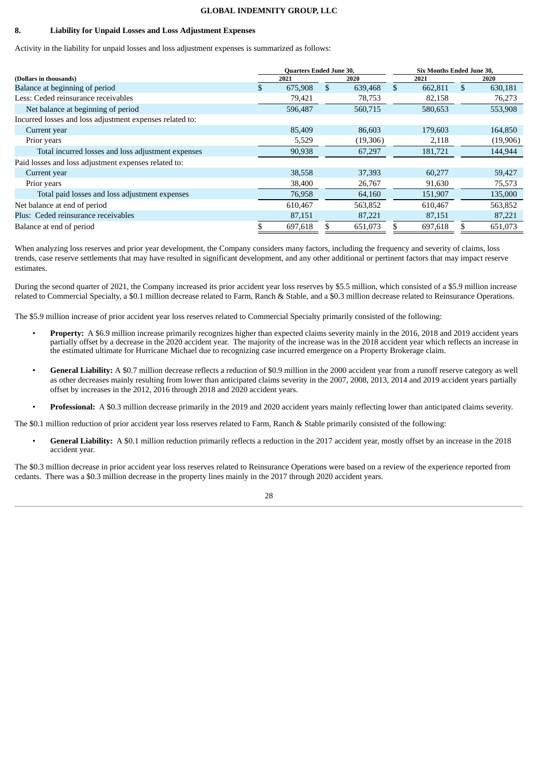#### **8. Liability for Unpaid Losses and Loss Adjustment Expenses**

Activity in the liability for unpaid losses and loss adjustment expenses is summarized as follows:

|                                                          |    | <b>Quarters Ended June 30,</b> |     |          | <b>Six Months Ended June 30,</b> |         |     |          |
|----------------------------------------------------------|----|--------------------------------|-----|----------|----------------------------------|---------|-----|----------|
| (Dollars in thousands)                                   |    | 2021                           |     | 2020     |                                  | 2021    |     | 2020     |
| Balance at beginning of period                           | S. | 675,908                        | \$. | 639,468  | \$.                              | 662,811 | \$. | 630,181  |
| Less: Ceded reinsurance receivables                      |    | 79,421                         |     | 78,753   |                                  | 82,158  |     | 76,273   |
| Net balance at beginning of period                       |    | 596,487                        |     | 560,715  |                                  | 580,653 |     | 553,908  |
| Incurred losses and loss adjustment expenses related to: |    |                                |     |          |                                  |         |     |          |
| Current year                                             |    | 85,409                         |     | 86,603   |                                  | 179,603 |     | 164,850  |
| Prior years                                              |    | 5,529                          |     | (19,306) |                                  | 2,118   |     | (19,906) |
| Total incurred losses and loss adjustment expenses       |    | 90,938                         |     | 67,297   |                                  | 181,721 |     | 144,944  |
| Paid losses and loss adjustment expenses related to:     |    |                                |     |          |                                  |         |     |          |
| Current year                                             |    | 38,558                         |     | 37,393   |                                  | 60,277  |     | 59,427   |
| Prior years                                              |    | 38,400                         |     | 26,767   |                                  | 91,630  |     | 75,573   |
| Total paid losses and loss adjustment expenses           |    | 76,958                         |     | 64,160   |                                  | 151,907 |     | 135,000  |
| Net balance at end of period                             |    | 610,467                        |     | 563,852  |                                  | 610,467 |     | 563,852  |
| Plus: Ceded reinsurance receivables                      |    | 87,151                         |     | 87,221   |                                  | 87,151  |     | 87,221   |
| Balance at end of period                                 |    | 697,618                        |     | 651,073  |                                  | 697,618 | \$  | 651,073  |

When analyzing loss reserves and prior year development, the Company considers many factors, including the frequency and severity of claims, loss trends, case reserve settlements that may have resulted in significant development, and any other additional or pertinent factors that may impact reserve estimates.

During the second quarter of 2021, the Company increased its prior accident year loss reserves by \$5.5 million, which consisted of a \$5.9 million increase related to Commercial Specialty, a \$0.1 million decrease related to Farm, Ranch & Stable, and a \$0.3 million decrease related to Reinsurance Operations.

The \$5.9 million increase of prior accident year loss reserves related to Commercial Specialty primarily consisted of the following:

- **Property:** A \$6.9 million increase primarily recognizes higher than expected claims severity mainly in the 2016, 2018 and 2019 accident years partially offset by a decrease in the 2020 accident year. The majority of the increase was in the 2018 accident year which reflects an increase in the estimated ultimate for Hurricane Michael due to recognizing case incurred emergence on a Property Brokerage claim.
- **General Liability:** A \$0.7 million decrease reflects a reduction of \$0.9 million in the 2000 accident year from a runoff reserve category as well as other decreases mainly resulting from lower than anticipated claims severity in the 2007, 2008, 2013, 2014 and 2019 accident years partially offset by increases in the 2012, 2016 through 2018 and 2020 accident years.
- **Professional:** A \$0.3 million decrease primarily in the 2019 and 2020 accident years mainly reflecting lower than anticipated claims severity.

The \$0.1 million reduction of prior accident year loss reserves related to Farm, Ranch & Stable primarily consisted of the following:

• **General Liability:** A \$0.1 million reduction primarily reflects a reduction in the 2017 accident year, mostly offset by an increase in the 2018 accident year.

The \$0.3 million decrease in prior accident year loss reserves related to Reinsurance Operations were based on a review of the experience reported from cedants. There was a \$0.3 million decrease in the property lines mainly in the 2017 through 2020 accident years.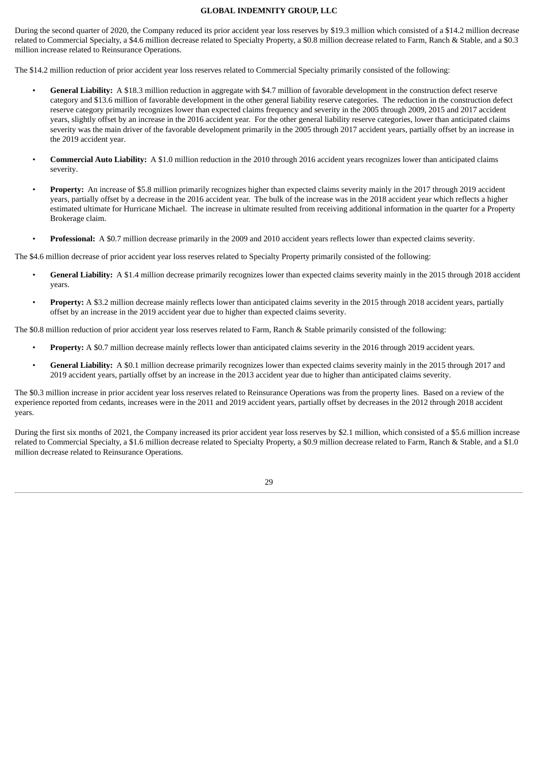During the second quarter of 2020, the Company reduced its prior accident year loss reserves by \$19.3 million which consisted of a \$14.2 million decrease related to Commercial Specialty, a \$4.6 million decrease related to Specialty Property, a \$0.8 million decrease related to Farm, Ranch & Stable, and a \$0.3 million increase related to Reinsurance Operations.

The \$14.2 million reduction of prior accident year loss reserves related to Commercial Specialty primarily consisted of the following:

- **General Liability:** A \$18.3 million reduction in aggregate with \$4.7 million of favorable development in the construction defect reserve category and \$13.6 million of favorable development in the other general liability reserve categories. The reduction in the construction defect reserve category primarily recognizes lower than expected claims frequency and severity in the 2005 through 2009, 2015 and 2017 accident years, slightly offset by an increase in the 2016 accident year. For the other general liability reserve categories, lower than anticipated claims severity was the main driver of the favorable development primarily in the 2005 through 2017 accident years, partially offset by an increase in the 2019 accident year.
- **Commercial Auto Liability:** A \$1.0 million reduction in the 2010 through 2016 accident years recognizes lower than anticipated claims severity.
- **Property:** An increase of \$5.8 million primarily recognizes higher than expected claims severity mainly in the 2017 through 2019 accident years, partially offset by a decrease in the 2016 accident year. The bulk of the increase was in the 2018 accident year which reflects a higher estimated ultimate for Hurricane Michael. The increase in ultimate resulted from receiving additional information in the quarter for a Property Brokerage claim.
- **Professional:** A \$0.7 million decrease primarily in the 2009 and 2010 accident years reflects lower than expected claims severity.

The \$4.6 million decrease of prior accident year loss reserves related to Specialty Property primarily consisted of the following:

- **General Liability:** A \$1.4 million decrease primarily recognizes lower than expected claims severity mainly in the 2015 through 2018 accident years.
- **Property:** A \$3.2 million decrease mainly reflects lower than anticipated claims severity in the 2015 through 2018 accident years, partially offset by an increase in the 2019 accident year due to higher than expected claims severity.

The \$0.8 million reduction of prior accident year loss reserves related to Farm, Ranch & Stable primarily consisted of the following:

- **Property:** A \$0.7 million decrease mainly reflects lower than anticipated claims severity in the 2016 through 2019 accident years.
- **General Liability:** A \$0.1 million decrease primarily recognizes lower than expected claims severity mainly in the 2015 through 2017 and 2019 accident years, partially offset by an increase in the 2013 accident year due to higher than anticipated claims severity.

The \$0.3 million increase in prior accident year loss reserves related to Reinsurance Operations was from the property lines. Based on a review of the experience reported from cedants, increases were in the 2011 and 2019 accident years, partially offset by decreases in the 2012 through 2018 accident years.

During the first six months of 2021, the Company increased its prior accident year loss reserves by \$2.1 million, which consisted of a \$5.6 million increase related to Commercial Specialty, a \$1.6 million decrease related to Specialty Property, a \$0.9 million decrease related to Farm, Ranch & Stable, and a \$1.0 million decrease related to Reinsurance Operations.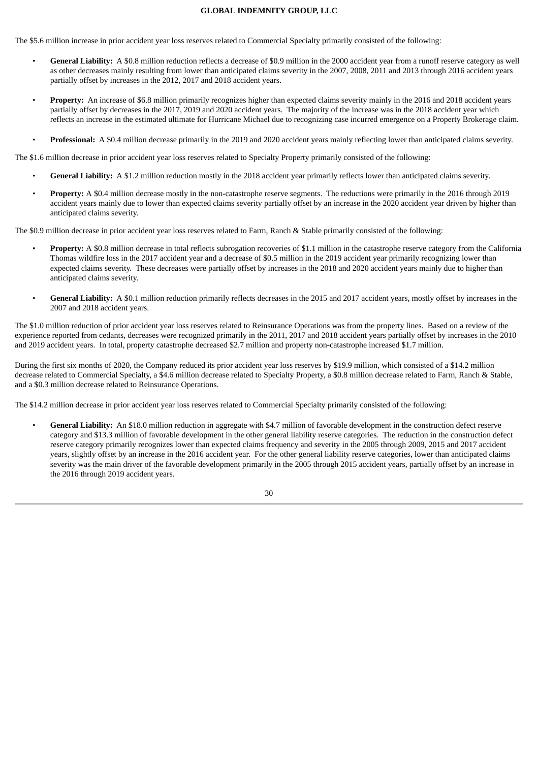The \$5.6 million increase in prior accident year loss reserves related to Commercial Specialty primarily consisted of the following:

- **General Liability:** A \$0.8 million reduction reflects a decrease of \$0.9 million in the 2000 accident year from a runoff reserve category as well as other decreases mainly resulting from lower than anticipated claims severity in the 2007, 2008, 2011 and 2013 through 2016 accident years partially offset by increases in the 2012, 2017 and 2018 accident years.
- **Property:** An increase of \$6.8 million primarily recognizes higher than expected claims severity mainly in the 2016 and 2018 accident years partially offset by decreases in the 2017, 2019 and 2020 accident years. The majority of the increase was in the 2018 accident year which reflects an increase in the estimated ultimate for Hurricane Michael due to recognizing case incurred emergence on a Property Brokerage claim.
- **Professional:** A \$0.4 million decrease primarily in the 2019 and 2020 accident years mainly reflecting lower than anticipated claims severity.

The \$1.6 million decrease in prior accident year loss reserves related to Specialty Property primarily consisted of the following:

- **General Liability:** A \$1.2 million reduction mostly in the 2018 accident year primarily reflects lower than anticipated claims severity.
- **Property:** A \$0.4 million decrease mostly in the non-catastrophe reserve segments. The reductions were primarily in the 2016 through 2019 accident years mainly due to lower than expected claims severity partially offset by an increase in the 2020 accident year driven by higher than anticipated claims severity.

The \$0.9 million decrease in prior accident year loss reserves related to Farm, Ranch & Stable primarily consisted of the following:

- **Property:** A \$0.8 million decrease in total reflects subrogation recoveries of \$1.1 million in the catastrophe reserve category from the California Thomas wildfire loss in the 2017 accident year and a decrease of \$0.5 million in the 2019 accident year primarily recognizing lower than expected claims severity. These decreases were partially offset by increases in the 2018 and 2020 accident years mainly due to higher than anticipated claims severity.
- **General Liability:** A \$0.1 million reduction primarily reflects decreases in the 2015 and 2017 accident years, mostly offset by increases in the 2007 and 2018 accident years.

The \$1.0 million reduction of prior accident year loss reserves related to Reinsurance Operations was from the property lines. Based on a review of the experience reported from cedants, decreases were recognized primarily in the 2011, 2017 and 2018 accident years partially offset by increases in the 2010 and 2019 accident years. In total, property catastrophe decreased \$2.7 million and property non-catastrophe increased \$1.7 million.

During the first six months of 2020, the Company reduced its prior accident year loss reserves by \$19.9 million, which consisted of a \$14.2 million decrease related to Commercial Specialty, a \$4.6 million decrease related to Specialty Property, a \$0.8 million decrease related to Farm, Ranch & Stable, and a \$0.3 million decrease related to Reinsurance Operations.

The \$14.2 million decrease in prior accident year loss reserves related to Commercial Specialty primarily consisted of the following:

• **General Liability:** An \$18.0 million reduction in aggregate with \$4.7 million of favorable development in the construction defect reserve category and \$13.3 million of favorable development in the other general liability reserve categories. The reduction in the construction defect reserve category primarily recognizes lower than expected claims frequency and severity in the 2005 through 2009, 2015 and 2017 accident years, slightly offset by an increase in the 2016 accident year. For the other general liability reserve categories, lower than anticipated claims severity was the main driver of the favorable development primarily in the 2005 through 2015 accident years, partially offset by an increase in the 2016 through 2019 accident years.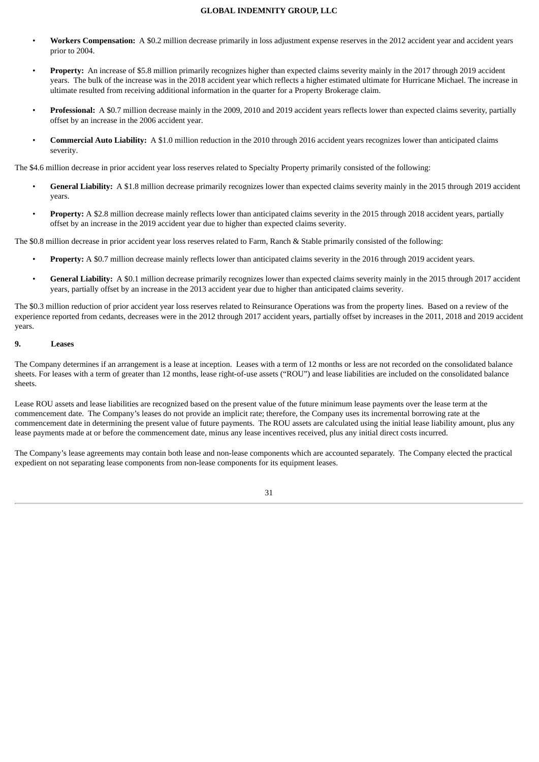- **Workers Compensation:** A \$0.2 million decrease primarily in loss adjustment expense reserves in the 2012 accident year and accident years prior to 2004.
- **Property:** An increase of \$5.8 million primarily recognizes higher than expected claims severity mainly in the 2017 through 2019 accident years. The bulk of the increase was in the 2018 accident year which reflects a higher estimated ultimate for Hurricane Michael. The increase in ultimate resulted from receiving additional information in the quarter for a Property Brokerage claim.
- **Professional:** A \$0.7 million decrease mainly in the 2009, 2010 and 2019 accident years reflects lower than expected claims severity, partially offset by an increase in the 2006 accident year.
- **Commercial Auto Liability:** A \$1.0 million reduction in the 2010 through 2016 accident years recognizes lower than anticipated claims severity.

The \$4.6 million decrease in prior accident year loss reserves related to Specialty Property primarily consisted of the following:

- **General Liability:** A \$1.8 million decrease primarily recognizes lower than expected claims severity mainly in the 2015 through 2019 accident years.
- **Property:** A \$2.8 million decrease mainly reflects lower than anticipated claims severity in the 2015 through 2018 accident years, partially offset by an increase in the 2019 accident year due to higher than expected claims severity.

The \$0.8 million decrease in prior accident year loss reserves related to Farm, Ranch & Stable primarily consisted of the following:

- **Property:** A \$0.7 million decrease mainly reflects lower than anticipated claims severity in the 2016 through 2019 accident years.
- **General Liability:** A \$0.1 million decrease primarily recognizes lower than expected claims severity mainly in the 2015 through 2017 accident years, partially offset by an increase in the 2013 accident year due to higher than anticipated claims severity.

The \$0.3 million reduction of prior accident year loss reserves related to Reinsurance Operations was from the property lines. Based on a review of the experience reported from cedants, decreases were in the 2012 through 2017 accident years, partially offset by increases in the 2011, 2018 and 2019 accident years.

## **9. Leases**

The Company determines if an arrangement is a lease at inception. Leases with a term of 12 months or less are not recorded on the consolidated balance sheets. For leases with a term of greater than 12 months, lease right-of-use assets ("ROU") and lease liabilities are included on the consolidated balance sheets.

Lease ROU assets and lease liabilities are recognized based on the present value of the future minimum lease payments over the lease term at the commencement date. The Company's leases do not provide an implicit rate; therefore, the Company uses its incremental borrowing rate at the commencement date in determining the present value of future payments. The ROU assets are calculated using the initial lease liability amount, plus any lease payments made at or before the commencement date, minus any lease incentives received, plus any initial direct costs incurred.

The Company's lease agreements may contain both lease and non-lease components which are accounted separately. The Company elected the practical expedient on not separating lease components from non-lease components for its equipment leases.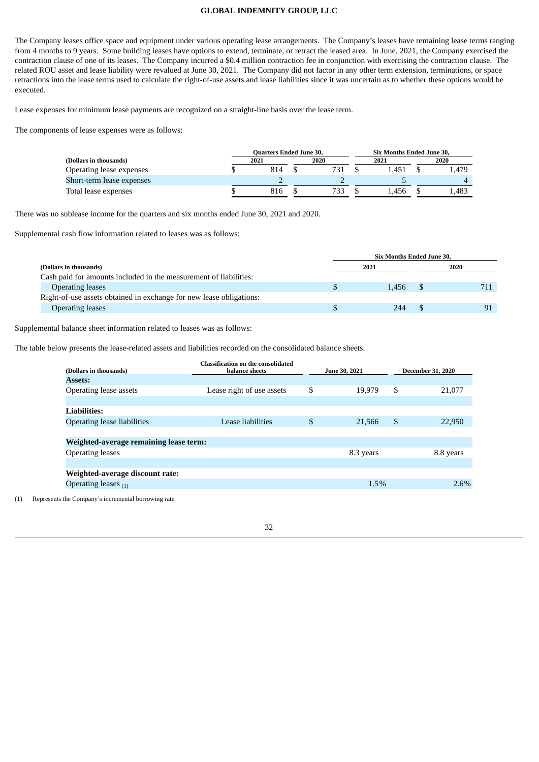The Company leases office space and equipment under various operating lease arrangements. The Company's leases have remaining lease terms ranging from 4 months to 9 years. Some building leases have options to extend, terminate, or retract the leased area. In June, 2021, the Company exercised the contraction clause of one of its leases. The Company incurred a \$0.4 million contraction fee in conjunction with exercising the contraction clause. The related ROU asset and lease liability were revalued at June 30, 2021. The Company did not factor in any other term extension, terminations, or space retractions into the lease terms used to calculate the right-of-use assets and lease liabilities since it was uncertain as to whether these options would be executed.

Lease expenses for minimum lease payments are recognized on a straight-line basis over the lease term.

The components of lease expenses were as follows:

|                           | Quarters Ended June 30, |  | <b>Six Months Ended June 30.</b> |  |       |  |       |  |  |
|---------------------------|-------------------------|--|----------------------------------|--|-------|--|-------|--|--|
| (Dollars in thousands)    | 2021                    |  | 2020                             |  | 2021  |  | 2020  |  |  |
| Operating lease expenses  | 814                     |  | 731                              |  | 1.451 |  | 1.479 |  |  |
| Short-term lease expenses |                         |  |                                  |  |       |  |       |  |  |
| Total lease expenses      | 816                     |  | 733                              |  | . 456 |  | 1.483 |  |  |

There was no sublease income for the quarters and six months ended June 30, 2021 and 2020.

Supplemental cash flow information related to leases was as follows:

Supplemental balance sheet information related to leases was as follows:

The table below presents the lease-related assets and liabilities recorded on the consolidated balance sheets.

| (Dollars in thousands)                 | <b>Classification on the consolidated</b><br>balance sheets | June 30, 2021 | <b>December 31, 2020</b> |
|----------------------------------------|-------------------------------------------------------------|---------------|--------------------------|
|                                        |                                                             |               |                          |
| <b>Assets:</b>                         |                                                             |               |                          |
| Operating lease assets                 | Lease right of use assets                                   | \$<br>19.979  | \$<br>21.077             |
|                                        |                                                             |               |                          |
| <b>Liabilities:</b>                    |                                                             |               |                          |
| <b>Operating lease liabilities</b>     | Lease liabilities                                           | \$<br>21.566  | \$<br>22,950             |
|                                        |                                                             |               |                          |
| Weighted-average remaining lease term: |                                                             |               |                          |
| <b>Operating leases</b>                |                                                             | 8.3 years     | 8.8 years                |
|                                        |                                                             |               |                          |
| Weighted-average discount rate:        |                                                             |               |                          |
| Operating leases $_{(1)}$              |                                                             | 1.5%          | $2.6\%$                  |
|                                        |                                                             |               |                          |

(1) Represents the Company's incremental borrowing rate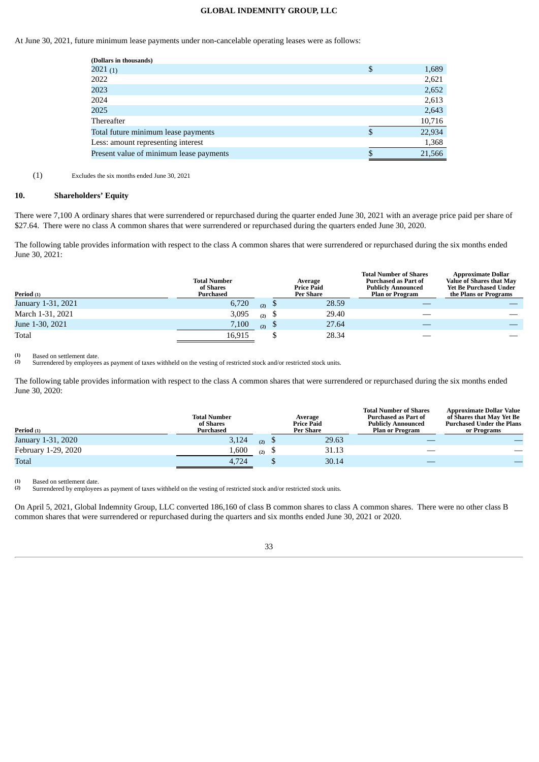At June 30, 2021, future minimum lease payments under non-cancelable operating leases were as follows:

| (Dollars in thousands)                  |             |
|-----------------------------------------|-------------|
| $2021_{(1)}$                            | \$<br>1,689 |
| 2022                                    | 2,621       |
| 2023                                    | 2,652       |
| 2024                                    | 2,613       |
| 2025                                    | 2,643       |
| Thereafter                              | 10,716      |
| Total future minimum lease payments     | 22,934      |
| Less: amount representing interest      | 1,368       |
| Present value of minimum lease payments | 21,566      |
|                                         |             |

#### (1) Excludes the six months ended June 30, 2021

#### **10. Shareholders' Equity**

There were 7,100 A ordinary shares that were surrendered or repurchased during the quarter ended June 30, 2021 with an average price paid per share of \$27.64. There were no class A common shares that were surrendered or repurchased during the quarters ended June 30, 2020.

The following table provides information with respect to the class A common shares that were surrendered or repurchased during the six months ended June 30, 2021:

| Period (1)         | <b>Total Number</b><br>of Shares<br>Purchased |     |   | Average<br><b>Price Paid</b><br><b>Per Share</b> | <b>Total Number of Shares</b><br>Purchased as Part of<br><b>Publicly Announced</b><br>Plan or Program | <b>Approximate Dollar</b><br><b>Value of Shares that May</b><br><b>Yet Be Purchased Under</b><br>the Plans or Programs |
|--------------------|-----------------------------------------------|-----|---|--------------------------------------------------|-------------------------------------------------------------------------------------------------------|------------------------------------------------------------------------------------------------------------------------|
| January 1-31, 2021 | 6,720                                         | (2) | ு | 28.59                                            |                                                                                                       |                                                                                                                        |
| March 1-31, 2021   | 3,095                                         | (2) |   | 29.40                                            |                                                                                                       |                                                                                                                        |
| June 1-30, 2021    | 7,100                                         | (2) |   | 27.64                                            |                                                                                                       |                                                                                                                        |
| Total              | 16,915                                        |     |   | 28.34                                            |                                                                                                       |                                                                                                                        |

**(1)** Based on settlement date.

Surrendered by employees as payment of taxes withheld on the vesting of restricted stock and/or restricted stock units.

The following table provides information with respect to the class A common shares that were surrendered or repurchased during the six months ended June 30, 2020:

| Period $(1)$        | <b>Total Number</b><br>of Shares<br>Purchased |     | Average<br><b>Price Paid</b><br><b>Per Share</b> | <b>Total Number of Shares</b><br><b>Purchased as Part of</b><br><b>Publicly Announced</b><br>Plan or Program | <b>Approximate Dollar Value</b><br>of Shares that May Yet Be<br><b>Purchased Under the Plans</b><br>or Programs |
|---------------------|-----------------------------------------------|-----|--------------------------------------------------|--------------------------------------------------------------------------------------------------------------|-----------------------------------------------------------------------------------------------------------------|
| January 1-31, 2020  | 3,124                                         | (2) | 29.63                                            |                                                                                                              |                                                                                                                 |
| February 1-29, 2020 | 1,600                                         | (2) | 31.13                                            |                                                                                                              |                                                                                                                 |
| <b>Total</b>        | 4.724                                         |     | 30.14                                            |                                                                                                              |                                                                                                                 |

**(1)** Based on settlement date.

**(2)** Surrendered by employees as payment of taxes withheld on the vesting of restricted stock and/or restricted stock units.

On April 5, 2021, Global Indemnity Group, LLC converted 186,160 of class B common shares to class A common shares. There were no other class B common shares that were surrendered or repurchased during the quarters and six months ended June 30, 2021 or 2020.

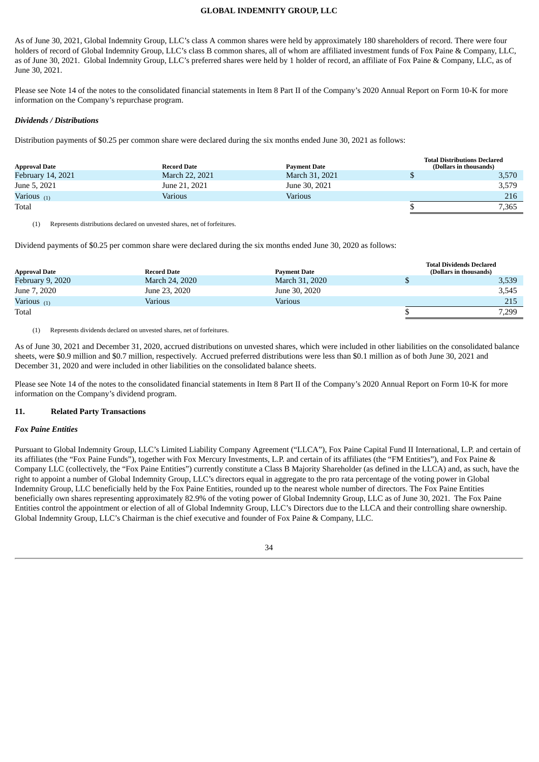As of June 30, 2021, Global Indemnity Group, LLC's class A common shares were held by approximately 180 shareholders of record. There were four holders of record of Global Indemnity Group, LLC's class B common shares, all of whom are affiliated investment funds of Fox Paine & Company, LLC, as of June 30, 2021. Global Indemnity Group, LLC's preferred shares were held by 1 holder of record, an affiliate of Fox Paine & Company, LLC, as of June 30, 2021.

Please see Note 14 of the notes to the consolidated financial statements in Item 8 Part II of the Company's 2020 Annual Report on Form 10-K for more information on the Company's repurchase program.

#### *Dividends / Distributions*

Distribution payments of \$0.25 per common share were declared during the six months ended June 30, 2021 as follows:

| <b>Record Date</b> | <b>Payment Date</b> | <b>Total Distributions Declared</b> |                        |
|--------------------|---------------------|-------------------------------------|------------------------|
| March 22, 2021     | March 31, 2021      |                                     | 3,570                  |
| June 21, 2021      | June 30, 2021       |                                     | 3,579                  |
| Various            | Various             |                                     | 216                    |
|                    |                     |                                     | 7,365                  |
|                    |                     |                                     | (Dollars in thousands) |

(1) Represents distributions declared on unvested shares, net of forfeitures.

Dividend payments of \$0.25 per common share were declared during the six months ended June 30, 2020 as follows:

| <b>Approval Date</b> | <b>Record Date</b> | <b>Payment Date</b> | <b>Total Dividends Declared</b><br>(Dollars in thousands) |
|----------------------|--------------------|---------------------|-----------------------------------------------------------|
| February 9, 2020     | March 24, 2020     | March 31, 2020      | 3,539                                                     |
| June 7, 2020         | June 23, 2020      | June 30, 2020       | 3,545                                                     |
| Various $(1)$        | Various            | Various             | 215                                                       |
| Total                |                    |                     | 7,299                                                     |

(1) Represents dividends declared on unvested shares, net of forfeitures.

As of June 30, 2021 and December 31, 2020, accrued distributions on unvested shares, which were included in other liabilities on the consolidated balance sheets, were \$0.9 million and \$0.7 million, respectively. Accrued preferred distributions were less than \$0.1 million as of both June 30, 2021 and December 31, 2020 and were included in other liabilities on the consolidated balance sheets.

Please see Note 14 of the notes to the consolidated financial statements in Item 8 Part II of the Company's 2020 Annual Report on Form 10-K for more information on the Company's dividend program.

#### **11. Related Party Transactions**

#### *Fox Paine Entities*

Pursuant to Global Indemnity Group, LLC's Limited Liability Company Agreement ("LLCA"), Fox Paine Capital Fund II International, L.P. and certain of its affiliates (the "Fox Paine Funds"), together with Fox Mercury Investments, L.P. and certain of its affiliates (the "FM Entities"), and Fox Paine & Company LLC (collectively, the "Fox Paine Entities") currently constitute a Class B Majority Shareholder (as defined in the LLCA) and, as such, have the right to appoint a number of Global Indemnity Group, LLC's directors equal in aggregate to the pro rata percentage of the voting power in Global Indemnity Group, LLC beneficially held by the Fox Paine Entities, rounded up to the nearest whole number of directors. The Fox Paine Entities beneficially own shares representing approximately 82.9% of the voting power of Global Indemnity Group, LLC as of June 30, 2021. The Fox Paine Entities control the appointment or election of all of Global Indemnity Group, LLC's Directors due to the LLCA and their controlling share ownership. Global Indemnity Group, LLC's Chairman is the chief executive and founder of Fox Paine & Company, LLC.

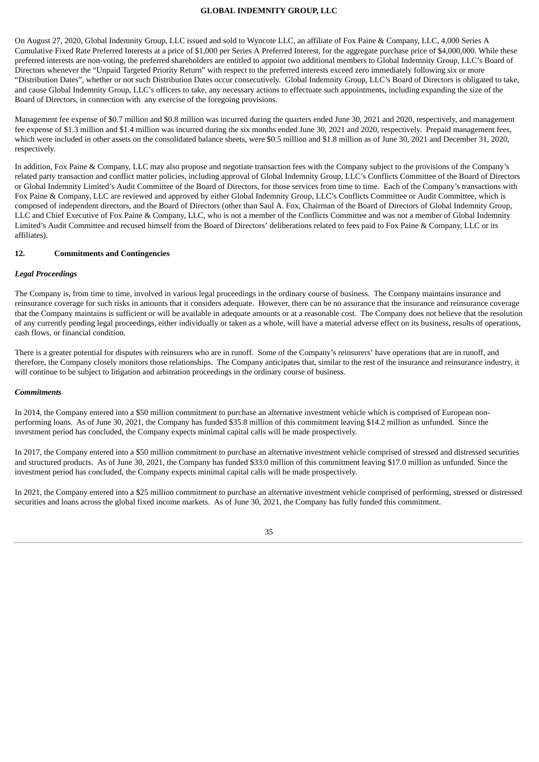On August 27, 2020, Global Indemnity Group, LLC issued and sold to Wyncote LLC, an affiliate of Fox Paine & Company, LLC, 4,000 Series A Cumulative Fixed Rate Preferred Interests at a price of \$1,000 per Series A Preferred Interest, for the aggregate purchase price of \$4,000,000. While these preferred interests are non-voting, the preferred shareholders are entitled to appoint two additional members to Global Indemnity Group, LLC's Board of Directors whenever the "Unpaid Targeted Priority Return" with respect to the preferred interests exceed zero immediately following six or more "Distribution Dates", whether or not such Distribution Dates occur consecutively. Global Indemnity Group, LLC's Board of Directors is obligated to take, and cause Global Indemnity Group, LLC's officers to take, any necessary actions to effectuate such appointments, including expanding the size of the Board of Directors, in connection with any exercise of the foregoing provisions.

Management fee expense of \$0.7 million and \$0.8 million was incurred during the quarters ended June 30, 2021 and 2020, respectively, and management fee expense of \$1.3 million and \$1.4 million was incurred during the six months ended June 30, 2021 and 2020, respectively. Prepaid management fees, which were included in other assets on the consolidated balance sheets, were \$0.5 million and \$1.8 million as of June 30, 2021 and December 31, 2020, respectively.

In addition, Fox Paine & Company, LLC may also propose and negotiate transaction fees with the Company subject to the provisions of the Company's related party transaction and conflict matter policies, including approval of Global Indemnity Group, LLC's Conflicts Committee of the Board of Directors or Global Indemnity Limited's Audit Committee of the Board of Directors, for those services from time to time. Each of the Company's transactions with Fox Paine & Company, LLC are reviewed and approved by either Global Indemnity Group, LLC's Conflicts Committee or Audit Committee, which is composed of independent directors, and the Board of Directors (other than Saul A. Fox, Chairman of the Board of Directors of Global Indemnity Group, LLC and Chief Executive of Fox Paine & Company, LLC, who is not a member of the Conflicts Committee and was not a member of Global Indemnity Limited's Audit Committee and recused himself from the Board of Directors' deliberations related to fees paid to Fox Paine & Company, LLC or its affiliates).

#### **12. Commitments and Contingencies**

#### *Legal Proceedings*

The Company is, from time to time, involved in various legal proceedings in the ordinary course of business. The Company maintains insurance and reinsurance coverage for such risks in amounts that it considers adequate. However, there can be no assurance that the insurance and reinsurance coverage that the Company maintains is sufficient or will be available in adequate amounts or at a reasonable cost. The Company does not believe that the resolution of any currently pending legal proceedings, either individually or taken as a whole, will have a material adverse effect on its business, results of operations, cash flows, or financial condition.

There is a greater potential for disputes with reinsurers who are in runoff. Some of the Company's reinsurers' have operations that are in runoff, and therefore, the Company closely monitors those relationships. The Company anticipates that, similar to the rest of the insurance and reinsurance industry, it will continue to be subject to litigation and arbitration proceedings in the ordinary course of business.

#### *Commitments*

In 2014, the Company entered into a \$50 million commitment to purchase an alternative investment vehicle which is comprised of European nonperforming loans. As of June 30, 2021, the Company has funded \$35.8 million of this commitment leaving \$14.2 million as unfunded. Since the investment period has concluded, the Company expects minimal capital calls will be made prospectively.

In 2017, the Company entered into a \$50 million commitment to purchase an alternative investment vehicle comprised of stressed and distressed securities and structured products. As of June 30, 2021, the Company has funded \$33.0 million of this commitment leaving \$17.0 million as unfunded. Since the investment period has concluded, the Company expects minimal capital calls will be made prospectively.

In 2021, the Company entered into a \$25 million commitment to purchase an alternative investment vehicle comprised of performing, stressed or distressed securities and loans across the global fixed income markets. As of June 30, 2021, the Company has fully funded this commitment.

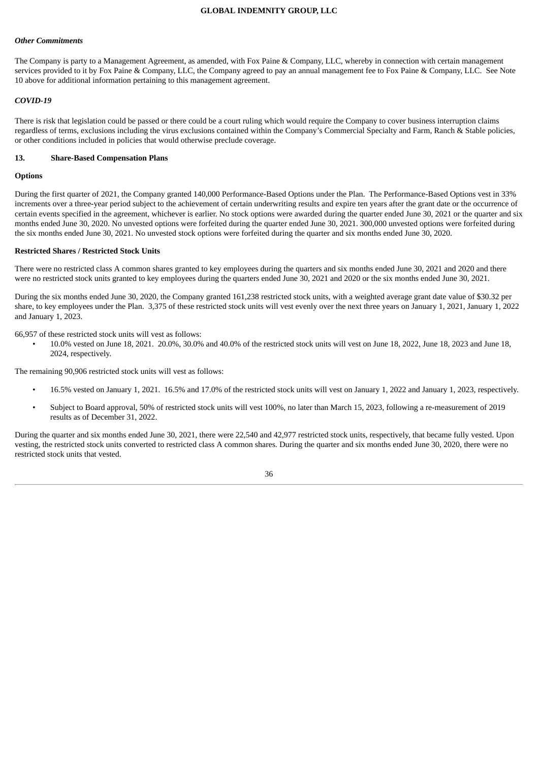#### *Other Commitments*

The Company is party to a Management Agreement, as amended, with Fox Paine & Company, LLC, whereby in connection with certain management services provided to it by Fox Paine & Company, LLC, the Company agreed to pay an annual management fee to Fox Paine & Company, LLC. See Note 10 above for additional information pertaining to this management agreement.

#### *COVID-19*

There is risk that legislation could be passed or there could be a court ruling which would require the Company to cover business interruption claims regardless of terms, exclusions including the virus exclusions contained within the Company's Commercial Specialty and Farm, Ranch & Stable policies, or other conditions included in policies that would otherwise preclude coverage.

#### **13. Share-Based Compensation Plans**

#### **Options**

During the first quarter of 2021, the Company granted 140,000 Performance-Based Options under the Plan. The Performance-Based Options vest in 33% increments over a three-year period subject to the achievement of certain underwriting results and expire ten years after the grant date or the occurrence of certain events specified in the agreement, whichever is earlier. No stock options were awarded during the quarter ended June 30, 2021 or the quarter and six months ended June 30, 2020. No unvested options were forfeited during the quarter ended June 30, 2021. 300,000 unvested options were forfeited during the six months ended June 30, 2021. No unvested stock options were forfeited during the quarter and six months ended June 30, 2020.

#### **Restricted Shares / Restricted Stock Units**

There were no restricted class A common shares granted to key employees during the quarters and six months ended June 30, 2021 and 2020 and there were no restricted stock units granted to key employees during the quarters ended June 30, 2021 and 2020 or the six months ended June 30, 2021.

During the six months ended June 30, 2020, the Company granted 161,238 restricted stock units, with a weighted average grant date value of \$30.32 per share, to key employees under the Plan. 3,375 of these restricted stock units will vest evenly over the next three years on January 1, 2021, January 1, 2022 and January 1, 2023.

66,957 of these restricted stock units will vest as follows:

• 10.0% vested on June 18, 2021. 20.0%, 30.0% and 40.0% of the restricted stock units will vest on June 18, 2022, June 18, 2023 and June 18, 2024, respectively.

The remaining 90,906 restricted stock units will vest as follows:

- 16.5% vested on January 1, 2021. 16.5% and 17.0% of the restricted stock units will vest on January 1, 2022 and January 1, 2023, respectively.
- Subject to Board approval, 50% of restricted stock units will vest 100%, no later than March 15, 2023, following a re-measurement of 2019 results as of December 31, 2022.

During the quarter and six months ended June 30, 2021, there were 22,540 and 42,977 restricted stock units, respectively, that became fully vested. Upon vesting, the restricted stock units converted to restricted class A common shares. During the quarter and six months ended June 30, 2020, there were no restricted stock units that vested.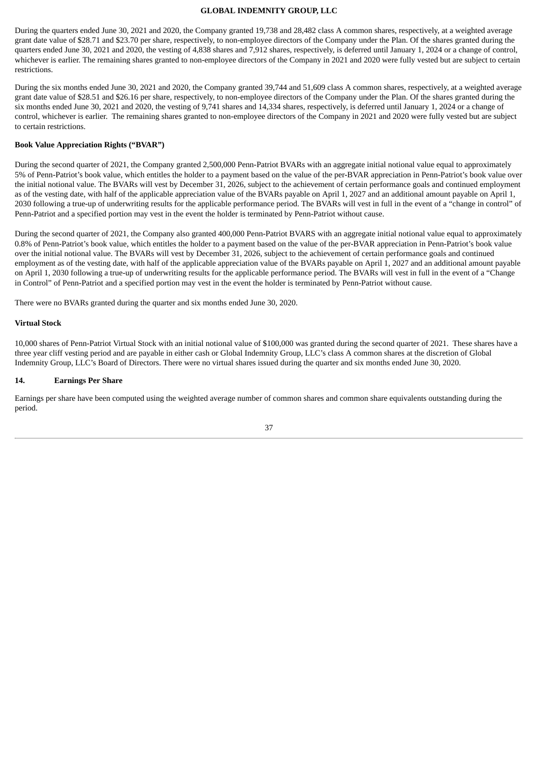During the quarters ended June 30, 2021 and 2020, the Company granted 19,738 and 28,482 class A common shares, respectively, at a weighted average grant date value of \$28.71 and \$23.70 per share, respectively, to non-employee directors of the Company under the Plan. Of the shares granted during the quarters ended June 30, 2021 and 2020, the vesting of 4,838 shares and 7,912 shares, respectively, is deferred until January 1, 2024 or a change of control, whichever is earlier. The remaining shares granted to non-employee directors of the Company in 2021 and 2020 were fully vested but are subject to certain restrictions.

During the six months ended June 30, 2021 and 2020, the Company granted 39,744 and 51,609 class A common shares, respectively, at a weighted average grant date value of \$28.51 and \$26.16 per share, respectively, to non-employee directors of the Company under the Plan. Of the shares granted during the six months ended June 30, 2021 and 2020, the vesting of 9,741 shares and 14,334 shares, respectively, is deferred until January 1, 2024 or a change of control, whichever is earlier. The remaining shares granted to non-employee directors of the Company in 2021 and 2020 were fully vested but are subject to certain restrictions.

## **Book Value Appreciation Rights ("BVAR")**

During the second quarter of 2021, the Company granted 2,500,000 Penn-Patriot BVARs with an aggregate initial notional value equal to approximately 5% of Penn-Patriot's book value, which entitles the holder to a payment based on the value of the per-BVAR appreciation in Penn-Patriot's book value over the initial notional value. The BVARs will vest by December 31, 2026, subject to the achievement of certain performance goals and continued employment as of the vesting date, with half of the applicable appreciation value of the BVARs payable on April 1, 2027 and an additional amount payable on April 1, 2030 following a true-up of underwriting results for the applicable performance period. The BVARs will vest in full in the event of a "change in control" of Penn-Patriot and a specified portion may vest in the event the holder is terminated by Penn-Patriot without cause.

During the second quarter of 2021, the Company also granted 400,000 Penn-Patriot BVARS with an aggregate initial notional value equal to approximately 0.8% of Penn-Patriot's book value, which entitles the holder to a payment based on the value of the per-BVAR appreciation in Penn-Patriot's book value over the initial notional value. The BVARs will vest by December 31, 2026, subject to the achievement of certain performance goals and continued employment as of the vesting date, with half of the applicable appreciation value of the BVARs payable on April 1, 2027 and an additional amount payable on April 1, 2030 following a true-up of underwriting results for the applicable performance period. The BVARs will vest in full in the event of a "Change in Control" of Penn-Patriot and a specified portion may vest in the event the holder is terminated by Penn-Patriot without cause.

There were no BVARs granted during the quarter and six months ended June 30, 2020.

#### **Virtual Stock**

10,000 shares of Penn-Patriot Virtual Stock with an initial notional value of \$100,000 was granted during the second quarter of 2021. These shares have a three year cliff vesting period and are payable in either cash or Global Indemnity Group, LLC's class A common shares at the discretion of Global Indemnity Group, LLC's Board of Directors. There were no virtual shares issued during the quarter and six months ended June 30, 2020.

# **14. Earnings Per Share**

Earnings per share have been computed using the weighted average number of common shares and common share equivalents outstanding during the period.

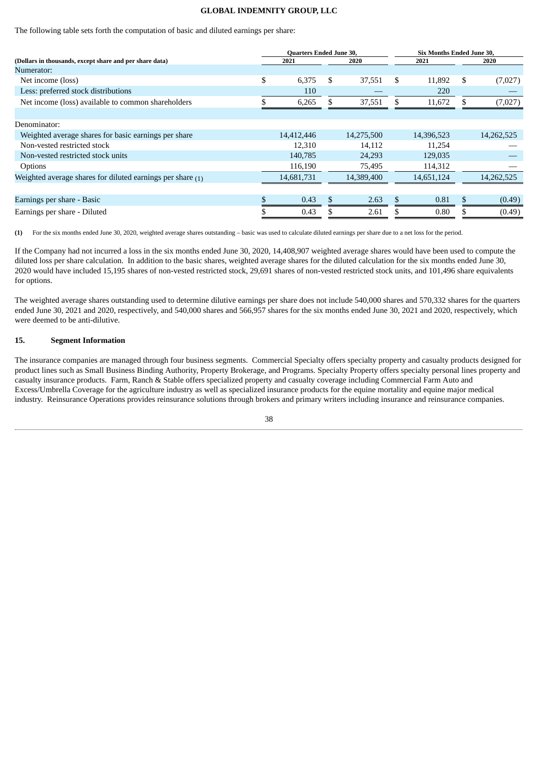The following table sets forth the computation of basic and diluted earnings per share:

|                                                              | <b>Quarters Ended June 30,</b> |            |     |            |     | <b>Six Months Ended June 30,</b> |    |            |  |
|--------------------------------------------------------------|--------------------------------|------------|-----|------------|-----|----------------------------------|----|------------|--|
| (Dollars in thousands, except share and per share data)      |                                | 2021       |     | 2020       |     | 2021                             |    | 2020       |  |
| Numerator:                                                   |                                |            |     |            |     |                                  |    |            |  |
| Net income (loss)                                            | \$                             | 6.375      | \$. | 37,551     | \$. | 11.892                           | \$ | (7,027)    |  |
| Less: preferred stock distributions                          |                                | 110        |     |            |     | 220                              |    |            |  |
| Net income (loss) available to common shareholders           |                                | 6,265      |     | 37,551     | S   | 11,672                           |    | (7,027)    |  |
|                                                              |                                |            |     |            |     |                                  |    |            |  |
| Denominator:                                                 |                                |            |     |            |     |                                  |    |            |  |
| Weighted average shares for basic earnings per share         |                                | 14,412,446 |     | 14,275,500 |     | 14,396,523                       |    | 14,262,525 |  |
| Non-vested restricted stock                                  |                                | 12,310     |     | 14,112     |     | 11,254                           |    |            |  |
| Non-vested restricted stock units                            |                                | 140,785    |     | 24,293     |     | 129,035                          |    |            |  |
| Options                                                      |                                | 116,190    |     | 75,495     |     | 114,312                          |    |            |  |
| Weighted average shares for diluted earnings per share $(1)$ |                                | 14,681,731 |     | 14,389,400 |     | 14,651,124                       |    | 14,262,525 |  |
|                                                              |                                |            |     |            |     |                                  |    |            |  |
| Earnings per share - Basic                                   | ¢                              | 0.43       | \$  | 2.63       | \$  | 0.81                             | \$ | (0.49)     |  |
| Earnings per share - Diluted                                 |                                | 0.43       |     | 2.61       |     | 0.80                             |    | (0.49)     |  |

**(1)** For the six months ended June 30, 2020, weighted average shares outstanding – basic was used to calculate diluted earnings per share due to a net loss for the period.

If the Company had not incurred a loss in the six months ended June 30, 2020, 14,408,907 weighted average shares would have been used to compute the diluted loss per share calculation. In addition to the basic shares, weighted average shares for the diluted calculation for the six months ended June 30, 2020 would have included 15,195 shares of non-vested restricted stock, 29,691 shares of non-vested restricted stock units, and 101,496 share equivalents for options.

The weighted average shares outstanding used to determine dilutive earnings per share does not include 540,000 shares and 570,332 shares for the quarters ended June 30, 2021 and 2020, respectively, and 540,000 shares and 566,957 shares for the six months ended June 30, 2021 and 2020, respectively, which were deemed to be anti-dilutive.

# **15. Segment Information**

The insurance companies are managed through four business segments. Commercial Specialty offers specialty property and casualty products designed for product lines such as Small Business Binding Authority, Property Brokerage, and Programs. Specialty Property offers specialty personal lines property and casualty insurance products. Farm, Ranch & Stable offers specialized property and casualty coverage including Commercial Farm Auto and Excess/Umbrella Coverage for the agriculture industry as well as specialized insurance products for the equine mortality and equine major medical industry. Reinsurance Operations provides reinsurance solutions through brokers and primary writers including insurance and reinsurance companies.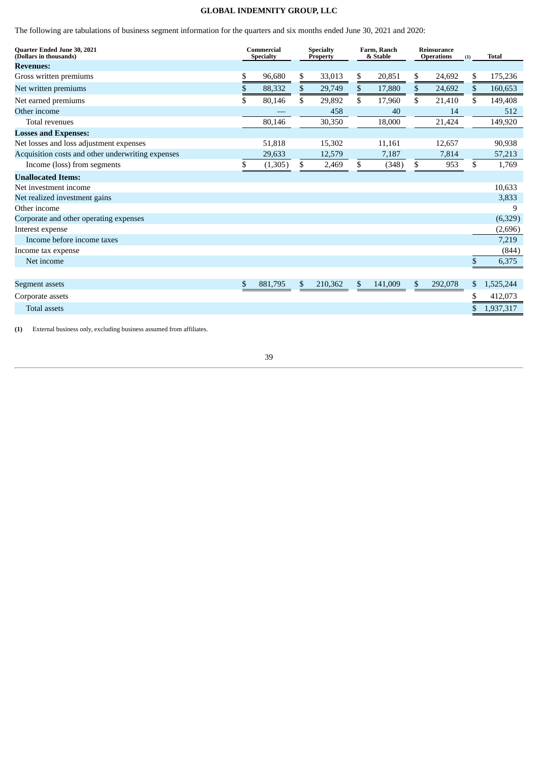The following are tabulations of business segment information for the quarters and six months ended June 30, 2021 and 2020:

| Quarter Ended June 30, 2021<br>(Dollars in thousands) | Commercial<br><b>Specialty</b> | <b>Specialty</b><br>Property | Farm. Ranch<br>& Stable | Reinsurance<br><b>Operations</b><br>(1) |         | <b>Total</b>    |
|-------------------------------------------------------|--------------------------------|------------------------------|-------------------------|-----------------------------------------|---------|-----------------|
| <b>Revenues:</b>                                      |                                |                              |                         |                                         |         |                 |
| Gross written premiums                                | \$<br>96,680                   | \$<br>33,013                 | \$<br>20,851            | \$                                      | 24,692  | \$<br>175,236   |
| Net written premiums                                  | \$<br>88,332                   | \$<br>29,749                 | \$<br>17,880            | \$                                      | 24,692  | \$<br>160,653   |
| Net earned premiums                                   | \$<br>80,146                   | \$<br>29,892                 | \$<br>17,960            | \$                                      | 21,410  | \$<br>149,408   |
| Other income                                          |                                | 458                          | 40                      |                                         | 14      | 512             |
| Total revenues                                        | 80,146                         | 30,350                       | 18,000                  |                                         | 21,424  | 149,920         |
| <b>Losses and Expenses:</b>                           |                                |                              |                         |                                         |         |                 |
| Net losses and loss adjustment expenses               | 51,818                         | 15,302                       | 11,161                  |                                         | 12,657  | 90,938          |
| Acquisition costs and other underwriting expenses     | 29,633                         | 12,579                       | 7,187                   |                                         | 7,814   | 57,213          |
| Income (loss) from segments                           | \$<br>(1,305)                  | \$<br>2,469                  | \$<br>(348)             | \$                                      | 953     | \$<br>1,769     |
| <b>Unallocated Items:</b>                             |                                |                              |                         |                                         |         |                 |
| Net investment income                                 |                                |                              |                         |                                         |         | 10,633          |
| Net realized investment gains                         |                                |                              |                         |                                         |         | 3,833           |
| Other income                                          |                                |                              |                         |                                         |         | 9               |
| Corporate and other operating expenses                |                                |                              |                         |                                         |         | (6,329)         |
| Interest expense                                      |                                |                              |                         |                                         |         | (2,696)         |
| Income before income taxes                            |                                |                              |                         |                                         |         | 7,219           |
| Income tax expense                                    |                                |                              |                         |                                         |         | (844)           |
| Net income                                            |                                |                              |                         |                                         |         | \$<br>6,375     |
|                                                       |                                |                              |                         |                                         |         |                 |
| Segment assets                                        | \$<br>881,795                  | \$<br>210,362                | \$<br>141,009           | \$                                      | 292,078 | \$<br>1,525,244 |
| Corporate assets                                      |                                |                              |                         |                                         |         | \$<br>412,073   |
| <b>Total assets</b>                                   |                                |                              |                         |                                         |         | \$<br>1,937,317 |
|                                                       |                                |                              |                         |                                         |         |                 |

**(1)** External business only, excluding business assumed from affiliates.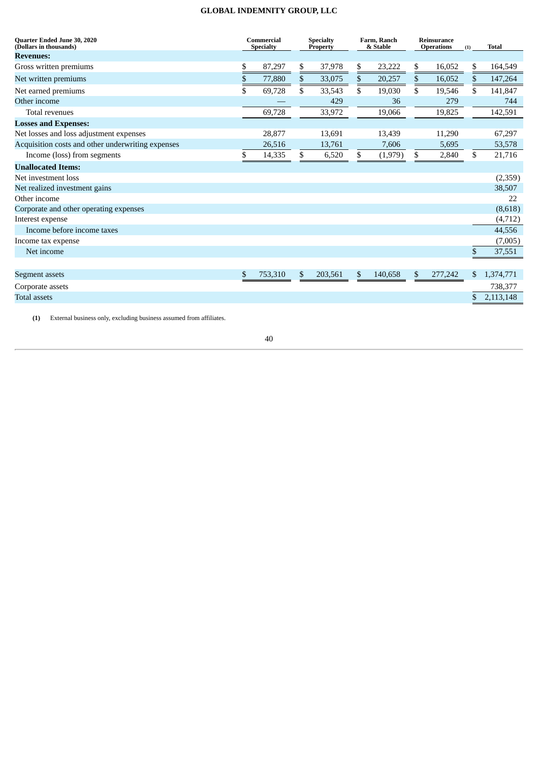| Quarter Ended June 30, 2020<br>(Dollars in thousands) | Commercial<br><b>Specialty</b> | <b>Specialty</b><br><b>Property</b> | Farm, Ranch<br>& Stable | Reinsurance<br><b>Operations</b> | (1) | <b>Total</b> |
|-------------------------------------------------------|--------------------------------|-------------------------------------|-------------------------|----------------------------------|-----|--------------|
| <b>Revenues:</b>                                      |                                |                                     |                         |                                  |     |              |
| Gross written premiums                                | \$<br>87,297                   | \$<br>37,978                        | \$<br>23,222            | \$<br>16,052                     | \$  | 164,549      |
| Net written premiums                                  | \$<br>77,880                   | \$<br>33,075                        | \$<br>20,257            | \$<br>16,052                     | \$  | 147,264      |
| Net earned premiums                                   | \$<br>69,728                   | \$<br>33,543                        | \$<br>19,030            | \$<br>19,546                     | \$  | 141,847      |
| Other income                                          |                                | 429                                 | 36                      | 279                              |     | 744          |
| Total revenues                                        | 69,728                         | 33,972                              | 19,066                  | 19,825                           |     | 142,591      |
| <b>Losses and Expenses:</b>                           |                                |                                     |                         |                                  |     |              |
| Net losses and loss adjustment expenses               | 28,877                         | 13,691                              | 13,439                  | 11,290                           |     | 67,297       |
| Acquisition costs and other underwriting expenses     | 26,516                         | 13,761                              | 7,606                   | 5,695                            |     | 53,578       |
| Income (loss) from segments                           | 14,335                         | \$<br>6,520                         | \$<br>(1,979)           | \$<br>2,840                      | \$  | 21,716       |
| <b>Unallocated Items:</b>                             |                                |                                     |                         |                                  |     |              |
| Net investment loss                                   |                                |                                     |                         |                                  |     | (2,359)      |
| Net realized investment gains                         |                                |                                     |                         |                                  |     | 38,507       |
| Other income                                          |                                |                                     |                         |                                  |     | 22           |
| Corporate and other operating expenses                |                                |                                     |                         |                                  |     | (8,618)      |
| Interest expense                                      |                                |                                     |                         |                                  |     | (4, 712)     |
| Income before income taxes                            |                                |                                     |                         |                                  |     | 44,556       |
| Income tax expense                                    |                                |                                     |                         |                                  |     | (7,005)      |
| Net income                                            |                                |                                     |                         |                                  | \$  | 37,551       |
|                                                       |                                |                                     |                         |                                  |     |              |
| Segment assets                                        | \$<br>753,310                  | \$<br>203,561                       | \$<br>140,658           | \$<br>277,242                    | \$  | 1,374,771    |
| Corporate assets                                      |                                |                                     |                         |                                  |     | 738,377      |
| <b>Total assets</b>                                   |                                |                                     |                         |                                  | \$  | 2,113,148    |
|                                                       |                                |                                     |                         |                                  |     |              |

**(1)** External business only, excluding business assumed from affiliates.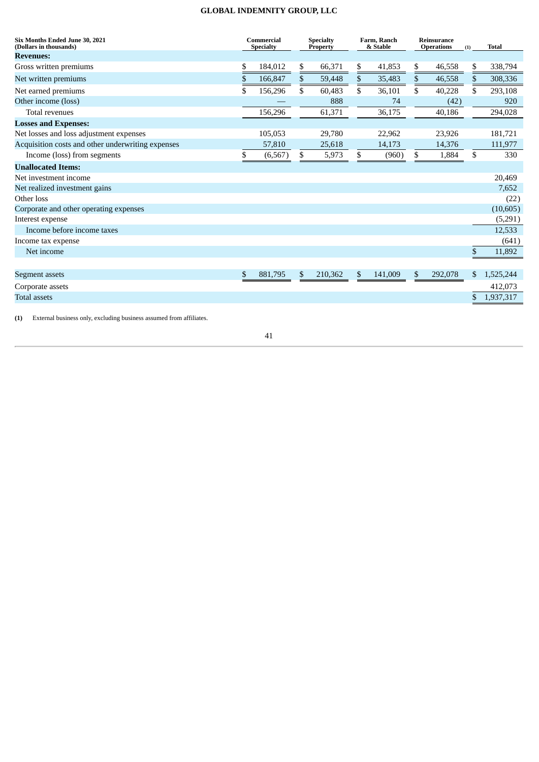| Six Months Ended June 30, 2021<br>(Dollars in thousands) |    | Commercial<br><b>Specialty</b> | <b>Specialty</b><br><b>Property</b> |              | Farm. Ranch<br>& Stable | Reinsurance<br><b>Operations</b> | (1) | <b>Total</b> |
|----------------------------------------------------------|----|--------------------------------|-------------------------------------|--------------|-------------------------|----------------------------------|-----|--------------|
| <b>Revenues:</b>                                         |    |                                |                                     |              |                         |                                  |     |              |
| Gross written premiums                                   | S  | 184,012                        | \$<br>66,371                        | \$           | 41,853                  | \$<br>46,558                     | \$  | 338,794      |
| Net written premiums                                     | \$ | 166,847                        | \$<br>59,448                        | \$           | 35,483                  | \$<br>46,558                     | \$  | 308,336      |
| Net earned premiums                                      | \$ | 156,296                        | \$<br>60,483                        | \$           | 36,101                  | \$<br>40,228                     | \$  | 293,108      |
| Other income (loss)                                      |    |                                | 888                                 |              | 74                      | (42)                             |     | 920          |
| Total revenues                                           |    | 156,296                        | 61,371                              |              | 36,175                  | 40,186                           |     | 294,028      |
| <b>Losses and Expenses:</b>                              |    |                                |                                     |              |                         |                                  |     |              |
| Net losses and loss adjustment expenses                  |    | 105,053                        | 29,780                              |              | 22,962                  | 23,926                           |     | 181,721      |
| Acquisition costs and other underwriting expenses        |    | 57,810                         | 25,618                              |              | 14,173                  | 14,376                           |     | 111,977      |
| Income (loss) from segments                              | \$ | (6, 567)                       | \$<br>5,973                         | \$           | (960)                   | \$<br>1,884                      | \$  | 330          |
| <b>Unallocated Items:</b>                                |    |                                |                                     |              |                         |                                  |     |              |
| Net investment income                                    |    |                                |                                     |              |                         |                                  |     | 20,469       |
| Net realized investment gains                            |    |                                |                                     |              |                         |                                  |     | 7,652        |
| Other loss                                               |    |                                |                                     |              |                         |                                  |     | (22)         |
| Corporate and other operating expenses                   |    |                                |                                     |              |                         |                                  |     | (10,605)     |
| Interest expense                                         |    |                                |                                     |              |                         |                                  |     | (5,291)      |
| Income before income taxes                               |    |                                |                                     |              |                         |                                  |     | 12,533       |
| Income tax expense                                       |    |                                |                                     |              |                         |                                  |     | (641)        |
| Net income                                               |    |                                |                                     |              |                         |                                  | \$  | 11,892       |
|                                                          |    |                                |                                     |              |                         |                                  |     |              |
| Segment assets                                           | \$ | 881,795                        | \$<br>210,362                       | $\mathbb{S}$ | 141,009                 | \$<br>292,078                    | \$  | 1,525,244    |
| Corporate assets                                         |    |                                |                                     |              |                         |                                  |     | 412,073      |
| <b>Total assets</b>                                      |    |                                |                                     |              |                         |                                  | S   | 1,937,317    |

**(1)** External business only, excluding business assumed from affiliates.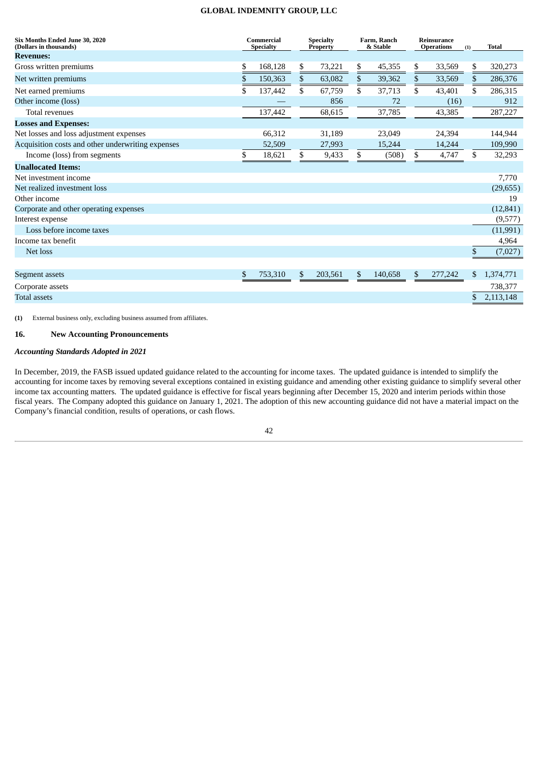| Six Months Ended June 30, 2020<br>(Dollars in thousands) |    | Commercial<br><b>Specialty</b> | <b>Specialty</b><br><b>Property</b> | Farm, Ranch<br>& Stable | Reinsurance<br><b>Operations</b> |         | (1) | <b>Total</b> |
|----------------------------------------------------------|----|--------------------------------|-------------------------------------|-------------------------|----------------------------------|---------|-----|--------------|
| <b>Revenues:</b>                                         |    |                                |                                     |                         |                                  |         |     |              |
| Gross written premiums                                   | \$ | 168,128                        | \$<br>73,221                        | \$<br>45,355            | \$                               | 33,569  | \$  | 320,273      |
| Net written premiums                                     | \$ | 150,363                        | \$<br>63,082                        | \$<br>39,362            | \$                               | 33,569  | \$  | 286,376      |
| Net earned premiums                                      | \$ | 137,442                        | \$<br>67,759                        | \$<br>37,713            | \$                               | 43,401  | \$  | 286,315      |
| Other income (loss)                                      |    |                                | 856                                 | 72                      |                                  | (16)    |     | 912          |
| Total revenues                                           |    | 137,442                        | 68,615                              | 37,785                  |                                  | 43,385  |     | 287,227      |
| <b>Losses and Expenses:</b>                              |    |                                |                                     |                         |                                  |         |     |              |
| Net losses and loss adjustment expenses                  |    | 66,312                         | 31,189                              | 23,049                  |                                  | 24,394  |     | 144,944      |
| Acquisition costs and other underwriting expenses        |    | 52,509                         | 27,993                              | 15,244                  |                                  | 14,244  |     | 109,990      |
| Income (loss) from segments                              | S. | 18,621                         | \$<br>9,433                         | \$<br>(508)             | \$                               | 4,747   | \$  | 32,293       |
| <b>Unallocated Items:</b>                                |    |                                |                                     |                         |                                  |         |     |              |
| Net investment income                                    |    |                                |                                     |                         |                                  |         |     | 7,770        |
| Net realized investment loss                             |    |                                |                                     |                         |                                  |         |     | (29, 655)    |
| Other income                                             |    |                                |                                     |                         |                                  |         |     | 19           |
| Corporate and other operating expenses                   |    |                                |                                     |                         |                                  |         |     | (12, 841)    |
| Interest expense                                         |    |                                |                                     |                         |                                  |         |     | (9,577)      |
| Loss before income taxes                                 |    |                                |                                     |                         |                                  |         |     | (11, 991)    |
| Income tax benefit                                       |    |                                |                                     |                         |                                  |         |     | 4,964        |
| Net loss                                                 |    |                                |                                     |                         |                                  |         | \$  | (7,027)      |
|                                                          |    |                                |                                     |                         |                                  |         |     |              |
| Segment assets                                           | \$ | 753,310                        | \$<br>203,561                       | \$<br>140,658           | \$                               | 277,242 | \$  | 1,374,771    |
| Corporate assets                                         |    |                                |                                     |                         |                                  |         |     | 738,377      |
| <b>Total assets</b>                                      |    |                                |                                     |                         |                                  |         | \$  | 2,113,148    |

**(1)** External business only, excluding business assumed from affiliates.

# **16. New Accounting Pronouncements**

#### *Accounting Standards Adopted in 2021*

In December, 2019, the FASB issued updated guidance related to the accounting for income taxes. The updated guidance is intended to simplify the accounting for income taxes by removing several exceptions contained in existing guidance and amending other existing guidance to simplify several other income tax accounting matters. The updated guidance is effective for fiscal years beginning after December 15, 2020 and interim periods within those fiscal years. The Company adopted this guidance on January 1, 2021. The adoption of this new accounting guidance did not have a material impact on the Company's financial condition, results of operations, or cash flows.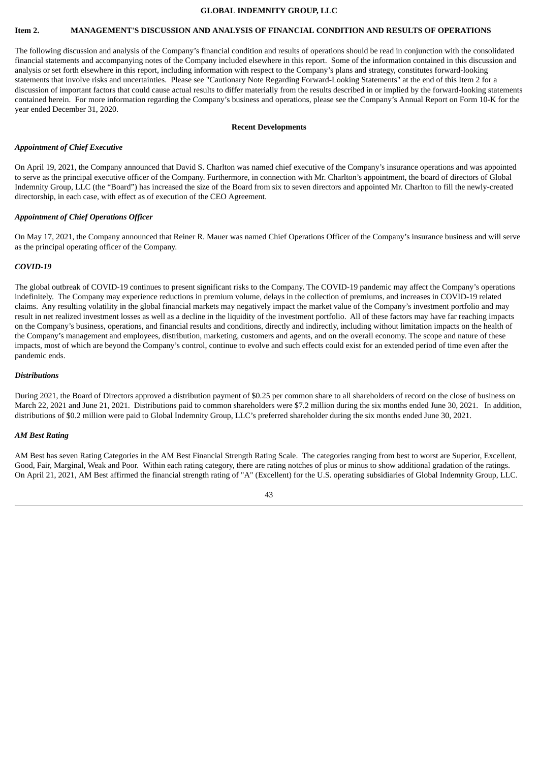# **Item 2. MANAGEMENT'S DISCUSSION AND ANALYSIS OF FINANCIAL CONDITION AND RESULTS OF OPERATIONS**

The following discussion and analysis of the Company's financial condition and results of operations should be read in conjunction with the consolidated financial statements and accompanying notes of the Company included elsewhere in this report. Some of the information contained in this discussion and analysis or set forth elsewhere in this report, including information with respect to the Company's plans and strategy, constitutes forward-looking statements that involve risks and uncertainties. Please see "Cautionary Note Regarding Forward-Looking Statements" at the end of this Item 2 for a discussion of important factors that could cause actual results to differ materially from the results described in or implied by the forward-looking statements contained herein. For more information regarding the Company's business and operations, please see the Company's Annual Report on Form 10-K for the year ended December 31, 2020.

#### **Recent Developments**

#### *Appointment of Chief Executive*

On April 19, 2021, the Company announced that David S. Charlton was named chief executive of the Company's insurance operations and was appointed to serve as the principal executive officer of the Company. Furthermore, in connection with Mr. Charlton's appointment, the board of directors of Global Indemnity Group, LLC (the "Board") has increased the size of the Board from six to seven directors and appointed Mr. Charlton to fill the newly-created directorship, in each case, with effect as of execution of the CEO Agreement.

#### *Appointment of Chief Operations Officer*

On May 17, 2021, the Company announced that Reiner R. Mauer was named Chief Operations Officer of the Company's insurance business and will serve as the principal operating officer of the Company.

#### *COVID-19*

The global outbreak of COVID-19 continues to present significant risks to the Company. The COVID-19 pandemic may affect the Company's operations indefinitely. The Company may experience reductions in premium volume, delays in the collection of premiums, and increases in COVID-19 related claims. Any resulting volatility in the global financial markets may negatively impact the market value of the Company's investment portfolio and may result in net realized investment losses as well as a decline in the liquidity of the investment portfolio. All of these factors may have far reaching impacts on the Company's business, operations, and financial results and conditions, directly and indirectly, including without limitation impacts on the health of the Company's management and employees, distribution, marketing, customers and agents, and on the overall economy. The scope and nature of these impacts, most of which are beyond the Company's control, continue to evolve and such effects could exist for an extended period of time even after the pandemic ends.

#### *Distributions*

During 2021, the Board of Directors approved a distribution payment of \$0.25 per common share to all shareholders of record on the close of business on March 22, 2021 and June 21, 2021. Distributions paid to common shareholders were \$7.2 million during the six months ended June 30, 2021. In addition, distributions of \$0.2 million were paid to Global Indemnity Group, LLC's preferred shareholder during the six months ended June 30, 2021.

#### *AM Best Rating*

AM Best has seven Rating Categories in the AM Best Financial Strength Rating Scale. The categories ranging from best to worst are Superior, Excellent, Good, Fair, Marginal, Weak and Poor. Within each rating category, there are rating notches of plus or minus to show additional gradation of the ratings. On April 21, 2021, AM Best affirmed the financial strength rating of "A" (Excellent) for the U.S. operating subsidiaries of Global Indemnity Group, LLC.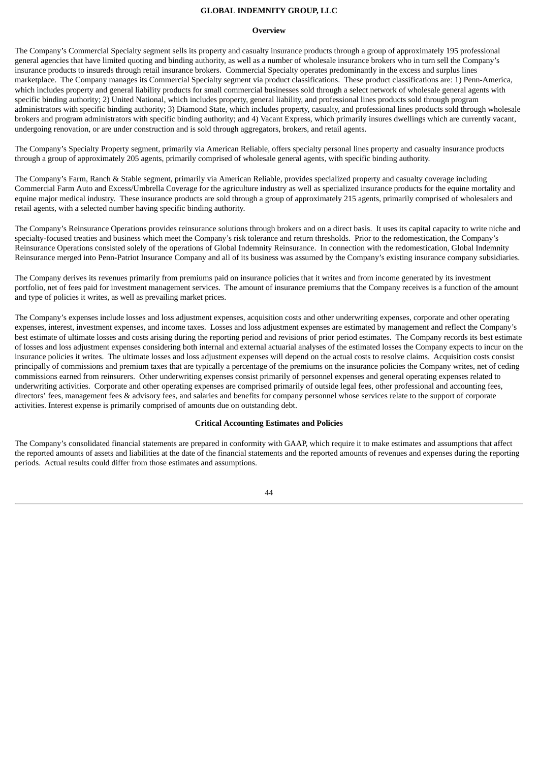#### **Overview**

The Company's Commercial Specialty segment sells its property and casualty insurance products through a group of approximately 195 professional general agencies that have limited quoting and binding authority, as well as a number of wholesale insurance brokers who in turn sell the Company's insurance products to insureds through retail insurance brokers. Commercial Specialty operates predominantly in the excess and surplus lines marketplace. The Company manages its Commercial Specialty segment via product classifications. These product classifications are: 1) Penn-America, which includes property and general liability products for small commercial businesses sold through a select network of wholesale general agents with specific binding authority; 2) United National, which includes property, general liability, and professional lines products sold through program administrators with specific binding authority; 3) Diamond State, which includes property, casualty, and professional lines products sold through wholesale brokers and program administrators with specific binding authority; and 4) Vacant Express, which primarily insures dwellings which are currently vacant, undergoing renovation, or are under construction and is sold through aggregators, brokers, and retail agents.

The Company's Specialty Property segment, primarily via American Reliable, offers specialty personal lines property and casualty insurance products through a group of approximately 205 agents, primarily comprised of wholesale general agents, with specific binding authority.

The Company's Farm, Ranch & Stable segment, primarily via American Reliable, provides specialized property and casualty coverage including Commercial Farm Auto and Excess/Umbrella Coverage for the agriculture industry as well as specialized insurance products for the equine mortality and equine major medical industry. These insurance products are sold through a group of approximately 215 agents, primarily comprised of wholesalers and retail agents, with a selected number having specific binding authority.

The Company's Reinsurance Operations provides reinsurance solutions through brokers and on a direct basis. It uses its capital capacity to write niche and specialty-focused treaties and business which meet the Company's risk tolerance and return thresholds. Prior to the redomestication, the Company's Reinsurance Operations consisted solely of the operations of Global Indemnity Reinsurance. In connection with the redomestication, Global Indemnity Reinsurance merged into Penn-Patriot Insurance Company and all of its business was assumed by the Company's existing insurance company subsidiaries.

The Company derives its revenues primarily from premiums paid on insurance policies that it writes and from income generated by its investment portfolio, net of fees paid for investment management services. The amount of insurance premiums that the Company receives is a function of the amount and type of policies it writes, as well as prevailing market prices.

The Company's expenses include losses and loss adjustment expenses, acquisition costs and other underwriting expenses, corporate and other operating expenses, interest, investment expenses, and income taxes. Losses and loss adjustment expenses are estimated by management and reflect the Company's best estimate of ultimate losses and costs arising during the reporting period and revisions of prior period estimates. The Company records its best estimate of losses and loss adjustment expenses considering both internal and external actuarial analyses of the estimated losses the Company expects to incur on the insurance policies it writes. The ultimate losses and loss adjustment expenses will depend on the actual costs to resolve claims. Acquisition costs consist principally of commissions and premium taxes that are typically a percentage of the premiums on the insurance policies the Company writes, net of ceding commissions earned from reinsurers. Other underwriting expenses consist primarily of personnel expenses and general operating expenses related to underwriting activities. Corporate and other operating expenses are comprised primarily of outside legal fees, other professional and accounting fees, directors' fees, management fees & advisory fees, and salaries and benefits for company personnel whose services relate to the support of corporate activities. Interest expense is primarily comprised of amounts due on outstanding debt.

#### **Critical Accounting Estimates and Policies**

The Company's consolidated financial statements are prepared in conformity with GAAP, which require it to make estimates and assumptions that affect the reported amounts of assets and liabilities at the date of the financial statements and the reported amounts of revenues and expenses during the reporting periods. Actual results could differ from those estimates and assumptions.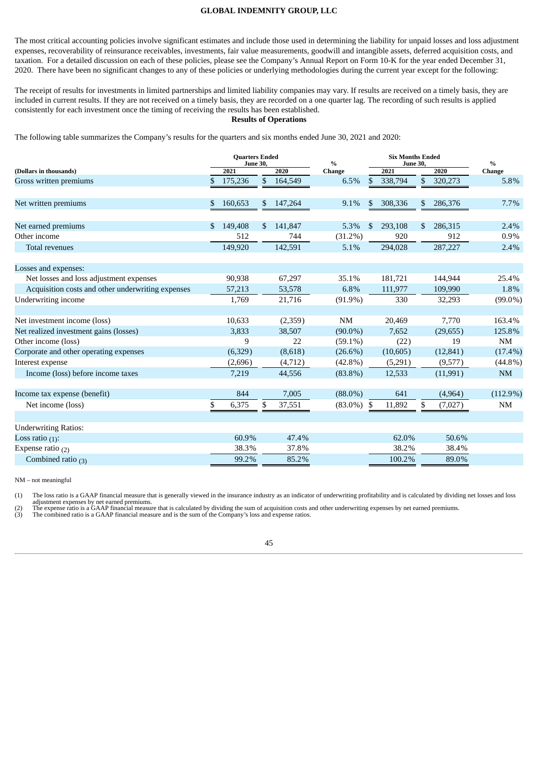The most critical accounting policies involve significant estimates and include those used in determining the liability for unpaid losses and loss adjustment expenses, recoverability of reinsurance receivables, investments, fair value measurements, goodwill and intangible assets, deferred acquisition costs, and taxation. For a detailed discussion on each of these policies, please see the Company's Annual Report on Form 10-K for the year ended December 31, 2020. There have been no significant changes to any of these policies or underlying methodologies during the current year except for the following:

The receipt of results for investments in limited partnerships and limited liability companies may vary. If results are received on a timely basis, they are included in current results. If they are not received on a timely basis, they are recorded on a one quarter lag. The recording of such results is applied consistently for each investment once the timing of receiving the results has been established. **Results of Operations**

The following table summarizes the Company's results for the quarters and six months ended June 30, 2021 and 2020:

|                                                   | <b>Quarters Ended</b><br><b>June 30,</b> |     |         | $\frac{0}{0}$ |              | <b>Six Months Ended</b><br><b>June 30,</b> | $\frac{0}{0}$ |             |
|---------------------------------------------------|------------------------------------------|-----|---------|---------------|--------------|--------------------------------------------|---------------|-------------|
| (Dollars in thousands)                            | 2021                                     |     | 2020    | <b>Change</b> |              | 2021                                       | 2020          | Change      |
| Gross written premiums                            | \$<br>175,236                            | \$  | 164,549 | 6.5%          | $\mathbb{S}$ | 338,794                                    | \$<br>320,273 | 5.8%        |
| Net written premiums                              | \$<br>160,653                            | \$. | 147,264 | 9.1%          | \$.          | 308,336                                    | \$<br>286,376 | 7.7%        |
| Net earned premiums                               | \$<br>149,408                            | \$  | 141,847 | 5.3%          | \$           | 293,108                                    | \$<br>286,315 | 2.4%        |
| Other income                                      | 512                                      |     | 744     | $(31.2\%)$    |              | 920                                        | 912           | 0.9%        |
| Total revenues                                    | 149,920                                  |     | 142,591 | 5.1%          |              | 294,028                                    | 287,227       | 2.4%        |
| Losses and expenses:                              |                                          |     |         |               |              |                                            |               |             |
| Net losses and loss adjustment expenses           | 90,938                                   |     | 67,297  | 35.1%         |              | 181,721                                    | 144,944       | 25.4%       |
| Acquisition costs and other underwriting expenses | 57,213                                   |     | 53,578  | 6.8%          |              | 111,977                                    | 109,990       | 1.8%        |
| Underwriting income                               | 1,769                                    |     | 21,716  | $(91.9\%)$    |              | 330                                        | 32,293        | $(99.0\%)$  |
| Net investment income (loss)                      | 10,633                                   |     | (2,359) | <b>NM</b>     |              | 20,469                                     | 7,770         | 163.4%      |
| Net realized investment gains (losses)            | 3,833                                    |     | 38,507  | $(90.0\%)$    |              | 7,652                                      | (29, 655)     | 125.8%      |
| Other income (loss)                               | 9                                        |     | 22      | $(59.1\%)$    |              | (22)                                       | 19            | NM          |
| Corporate and other operating expenses            | (6,329)                                  |     | (8,618) | $(26.6\%)$    |              | (10,605)                                   | (12, 841)     | $(17.4\%)$  |
| Interest expense                                  | (2,696)                                  |     | (4,712) | $(42.8\%)$    |              | (5,291)                                    | (9,577)       | $(44.8\%)$  |
| Income (loss) before income taxes                 | 7,219                                    |     | 44,556  | $(83.8\%)$    |              | 12,533                                     | (11,991)      | NM          |
| Income tax expense (benefit)                      | 844                                      |     | 7,005   | $(88.0\%)$    |              | 641                                        | (4,964)       | $(112.9\%)$ |
| Net income (loss)                                 | \$<br>6,375                              | \$  | 37,551  | $(83.0\%)$ \$ |              | 11,892                                     | \$<br>(7,027) | NM          |
| <b>Underwriting Ratios:</b>                       |                                          |     |         |               |              |                                            |               |             |
| Loss ratio $(1)$ :                                | 60.9%                                    |     | 47.4%   |               |              | 62.0%                                      | 50.6%         |             |
| Expense ratio $(2)$                               | 38.3%                                    |     | 37.8%   |               |              | 38.2%                                      | 38.4%         |             |
| Combined ratio $(3)$                              | 99.2%                                    |     | 85.2%   |               |              | 100.2%                                     | 89.0%         |             |

NM – not meaningful

(1) The loss ratio is a GAAP financial measure that is generally viewed in the insurance industry as an indicator of underwriting profitability and is calculated by dividing net losses and loss

adjustment expenses by net earned premiums. (2) The expense ratio is a GAAP financial measure that is calculated by dividing the sum of acquisition costs and other underwriting expenses by net earned premiums.

(3) The combined ratio is a GAAP financial measure and is the sum of the Company's loss and expense ratios.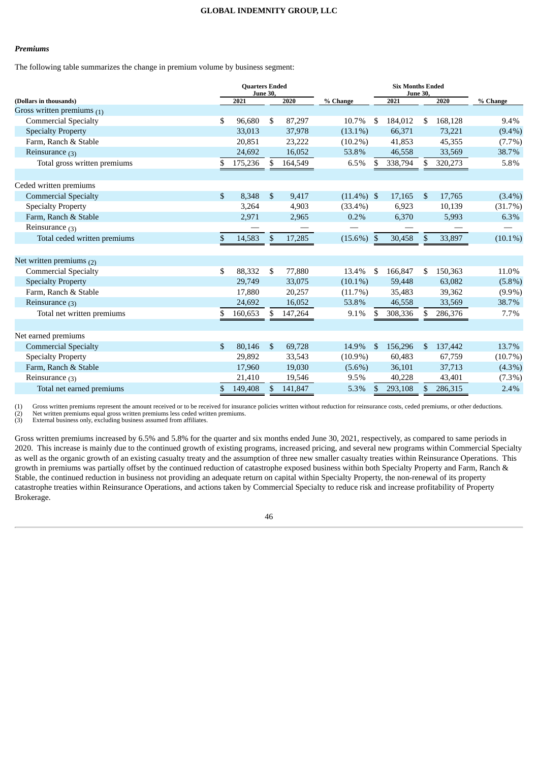# *Premiums*

The following table summarizes the change in premium volume by business segment:

|                              |                | <b>Ouarters Ended</b><br><b>June 30,</b> |               |         |               | <b>Six Months Ended</b><br><b>June 30,</b> |         |     |         |            |
|------------------------------|----------------|------------------------------------------|---------------|---------|---------------|--------------------------------------------|---------|-----|---------|------------|
| (Dollars in thousands)       |                | 2021                                     |               | 2020    | % Change      |                                            | 2021    |     | 2020    | % Change   |
| Gross written premiums $(1)$ |                |                                          |               |         |               |                                            |         |     |         |            |
| <b>Commercial Specialty</b>  | \$             | 96,680                                   | S.            | 87,297  | 10.7%         | - \$                                       | 184,012 | S.  | 168,128 | 9.4%       |
| <b>Specialty Property</b>    |                | 33.013                                   |               | 37,978  | $(13.1\%)$    |                                            | 66,371  |     | 73,221  | $(9.4\%)$  |
| Farm, Ranch & Stable         |                | 20,851                                   |               | 23,222  | $(10.2\%)$    |                                            | 41,853  |     | 45,355  | $(7.7\%)$  |
| Reinsurance $(3)$            |                | 24,692                                   |               | 16,052  | 53.8%         |                                            | 46,558  |     | 33,569  | 38.7%      |
| Total gross written premiums | \$             | 175,236                                  | \$.           | 164,549 | 6.5%          | \$                                         | 338,794 | \$  | 320,273 | 5.8%       |
| Ceded written premiums       |                |                                          |               |         |               |                                            |         |     |         |            |
| <b>Commercial Specialty</b>  | $\mathfrak{S}$ | 8.348                                    | $\mathbb{S}$  | 9.417   | $(11.4\%)$ \$ |                                            | 17,165  | \$  | 17,765  | $(3.4\%)$  |
| <b>Specialty Property</b>    |                | 3,264                                    |               | 4,903   | $(33.4\%)$    |                                            | 6,923   |     | 10,139  | (31.7%)    |
| Farm, Ranch & Stable         |                | 2,971                                    |               | 2,965   | $0.2\%$       |                                            | 6,370   |     | 5,993   | 6.3%       |
| Reinsurance (3)              |                |                                          |               |         |               |                                            |         |     |         |            |
| Total ceded written premiums | \$             | 14,583                                   | $\mathbb{S}$  | 17,285  | $(15.6\%)$    | $\mathfrak{S}$                             | 30,458  | \$  | 33,897  | $(10.1\%)$ |
| Net written premiums (2)     |                |                                          |               |         |               |                                            |         |     |         |            |
| <b>Commercial Specialty</b>  | \$             | 88,332                                   | \$            | 77,880  | 13.4%         | S.                                         | 166,847 | \$. | 150,363 | 11.0%      |
| <b>Specialty Property</b>    |                | 29,749                                   |               | 33,075  | $(10.1\%)$    |                                            | 59,448  |     | 63,082  | $(5.8\%)$  |
| Farm, Ranch & Stable         |                | 17,880                                   |               | 20,257  | (11.7%)       |                                            | 35,483  |     | 39,362  | $(9.9\%)$  |
| Reinsurance $(3)$            |                | 24,692                                   |               | 16,052  | 53.8%         |                                            | 46,558  |     | 33,569  | 38.7%      |
| Total net written premiums   | \$             | 160,653                                  |               | 147,264 | 9.1%          | \$                                         | 308,336 | \$  | 286,376 | 7.7%       |
| Net earned premiums          |                |                                          |               |         |               |                                            |         |     |         |            |
| <b>Commercial Specialty</b>  | $\mathbb{S}$   | 80,146                                   | $\mathbb{S}$  | 69,728  | 14.9%         | $\mathbb{S}$                               | 156,296 | \$  | 137,442 | 13.7%      |
| <b>Specialty Property</b>    |                | 29,892                                   |               | 33,543  | $(10.9\%)$    |                                            | 60,483  |     | 67,759  | $(10.7\%)$ |
| Farm, Ranch & Stable         |                | 17,960                                   |               | 19,030  | $(5.6\%)$     |                                            | 36,101  |     | 37,713  | $(4.3\%)$  |
| Reinsurance $(3)$            |                | 21,410                                   |               | 19,546  | 9.5%          |                                            | 40,228  |     | 43,401  | $(7.3\%)$  |
| Total net earned premiums    | \$             | 149,408                                  | <sup>\$</sup> | 141,847 | 5.3%          | \$                                         | 293,108 | \$  | 286,315 | 2.4%       |

(1) Gross written premiums represent the amount received or to be received for insurance policies written without reduction for reinsurance costs, ceded premiums, or other deductions.

(2) Net written premiums equal gross written premiums less ceded written premiums. (3) External business only, excluding business assumed from affiliates.

Gross written premiums increased by 6.5% and 5.8% for the quarter and six months ended June 30, 2021, respectively, as compared to same periods in 2020. This increase is mainly due to the continued growth of existing programs, increased pricing, and several new programs within Commercial Specialty as well as the organic growth of an existing casualty treaty and the assumption of three new smaller casualty treaties within Reinsurance Operations. This growth in premiums was partially offset by the continued reduction of catastrophe exposed business within both Specialty Property and Farm, Ranch & Stable, the continued reduction in business not providing an adequate return on capital within Specialty Property, the non-renewal of its property catastrophe treaties within Reinsurance Operations, and actions taken by Commercial Specialty to reduce risk and increase profitability of Property Brokerage.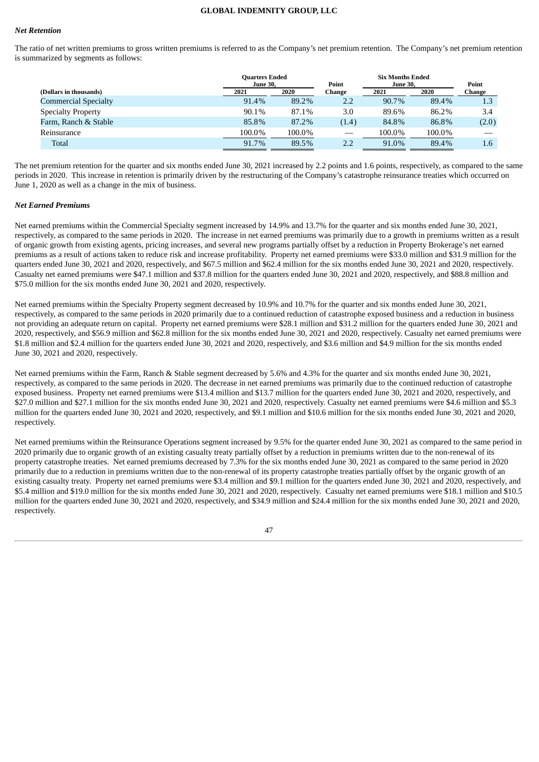#### *Net Retention*

The ratio of net written premiums to gross written premiums is referred to as the Company's net premium retention. The Company's net premium retention is summarized by segments as follows:

|                             | <b>Quarters Ended</b><br><b>June 30,</b> |        | Point  | <b>Six Months Ended</b><br><b>June 30,</b> |        | Point  |
|-----------------------------|------------------------------------------|--------|--------|--------------------------------------------|--------|--------|
| (Dollars in thousands)      | 2021                                     | 2020   | Change | 2021                                       | 2020   | Change |
| <b>Commercial Specialty</b> | 91.4%                                    | 89.2%  | 2.2    | 90.7%                                      | 89.4%  | 1.3    |
| <b>Specialty Property</b>   | 90.1%                                    | 87.1%  | 3.0    | 89.6%                                      | 86.2%  | 3.4    |
| Farm, Ranch & Stable        | 85.8%                                    | 87.2%  | (1.4)  | 84.8%                                      | 86.8%  | (2.0)  |
| Reinsurance                 | 100.0%                                   | 100.0% |        | 100.0%                                     | 100.0% |        |
| Total                       | 91.7%                                    | 89.5%  | 2.2    | 91.0%                                      | 89.4%  | 1.6    |
|                             |                                          |        |        |                                            |        |        |

The net premium retention for the quarter and six months ended June 30, 2021 increased by 2.2 points and 1.6 points, respectively, as compared to the same periods in 2020. This increase in retention is primarily driven by the restructuring of the Company's catastrophe reinsurance treaties which occurred on June 1, 2020 as well as a change in the mix of business.

#### *Net Earned Premiums*

Net earned premiums within the Commercial Specialty segment increased by 14.9% and 13.7% for the quarter and six months ended June 30, 2021, respectively, as compared to the same periods in 2020. The increase in net earned premiums was primarily due to a growth in premiums written as a result of organic growth from existing agents, pricing increases, and several new programs partially offset by a reduction in Property Brokerage's net earned premiums as a result of actions taken to reduce risk and increase profitability. Property net earned premiums were \$33.0 million and \$31.9 million for the quarters ended June 30, 2021 and 2020, respectively, and \$67.5 million and \$62.4 million for the six months ended June 30, 2021 and 2020, respectively. Casualty net earned premiums were \$47.1 million and \$37.8 million for the quarters ended June 30, 2021 and 2020, respectively, and \$88.8 million and \$75.0 million for the six months ended June 30, 2021 and 2020, respectively.

Net earned premiums within the Specialty Property segment decreased by 10.9% and 10.7% for the quarter and six months ended June 30, 2021, respectively, as compared to the same periods in 2020 primarily due to a continued reduction of catastrophe exposed business and a reduction in business not providing an adequate return on capital. Property net earned premiums were \$28.1 million and \$31.2 million for the quarters ended June 30, 2021 and 2020, respectively, and \$56.9 million and \$62.8 million for the six months ended June 30, 2021 and 2020, respectively. Casualty net earned premiums were \$1.8 million and \$2.4 million for the quarters ended June 30, 2021 and 2020, respectively, and \$3.6 million and \$4.9 million for the six months ended June 30, 2021 and 2020, respectively.

Net earned premiums within the Farm, Ranch & Stable segment decreased by 5.6% and 4.3% for the quarter and six months ended June 30, 2021, respectively, as compared to the same periods in 2020. The decrease in net earned premiums was primarily due to the continued reduction of catastrophe exposed business. Property net earned premiums were \$13.4 million and \$13.7 million for the quarters ended June 30, 2021 and 2020, respectively, and \$27.0 million and \$27.1 million for the six months ended June 30, 2021 and 2020, respectively. Casualty net earned premiums were \$4.6 million and \$5.3 million for the quarters ended June 30, 2021 and 2020, respectively, and \$9.1 million and \$10.6 million for the six months ended June 30, 2021 and 2020, respectively.

Net earned premiums within the Reinsurance Operations segment increased by 9.5% for the quarter ended June 30, 2021 as compared to the same period in 2020 primarily due to organic growth of an existing casualty treaty partially offset by a reduction in premiums written due to the non-renewal of its property catastrophe treaties. Net earned premiums decreased by 7.3% for the six months ended June 30, 2021 as compared to the same period in 2020 primarily due to a reduction in premiums written due to the non-renewal of its property catastrophe treaties partially offset by the organic growth of an existing casualty treaty. Property net earned premiums were \$3.4 million and \$9.1 million for the quarters ended June 30, 2021 and 2020, respectively, and \$5.4 million and \$19.0 million for the six months ended June 30, 2021 and 2020, respectively. Casualty net earned premiums were \$18.1 million and \$10.5 million for the quarters ended June 30, 2021 and 2020, respectively, and \$34.9 million and \$24.4 million for the six months ended June 30, 2021 and 2020, respectively.

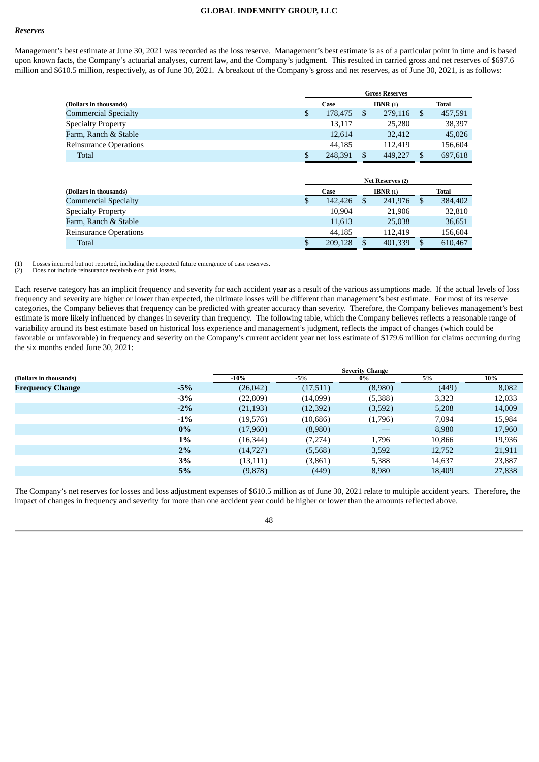#### *Reserves*

Management's best estimate at June 30, 2021 was recorded as the loss reserve. Management's best estimate is as of a particular point in time and is based upon known facts, the Company's actuarial analyses, current law, and the Company's judgment. This resulted in carried gross and net reserves of \$697.6 million and \$610.5 million, respectively, as of June 30, 2021. A breakout of the Company's gross and net reserves, as of June 30, 2021, is as follows:

|                               | <b>Gross Reserves</b> |         |    |                  |               |              |  |  |
|-------------------------------|-----------------------|---------|----|------------------|---------------|--------------|--|--|
| (Dollars in thousands)        | IBNR $(1)$<br>Case    |         |    |                  |               | <b>Total</b> |  |  |
| <b>Commercial Specialty</b>   | \$                    | 178,475 | \$ | 279,116          | <sup>\$</sup> | 457,591      |  |  |
| <b>Specialty Property</b>     |                       | 13,117  |    | 25,280           |               | 38,397       |  |  |
| Farm, Ranch & Stable          |                       | 12,614  |    | 32,412           |               | 45,026       |  |  |
| <b>Reinsurance Operations</b> |                       | 44,185  |    | 112,419          |               | 156,604      |  |  |
| Total                         | \$                    | 248,391 | \$ | 449,227          | <sup>\$</sup> | 697,618      |  |  |
|                               |                       |         |    |                  |               |              |  |  |
|                               |                       |         |    | Net Reserves (2) |               |              |  |  |
| (Dollars in thousands)        |                       | Case    |    | IBNR(1)          |               | <b>Total</b> |  |  |
| <b>Commercial Specialty</b>   | \$                    | 142,426 | \$ | 241,976          | $\mathbb{S}$  | 384,402      |  |  |
| <b>Specialty Property</b>     |                       | 10,904  |    | 21,906           |               | 32,810       |  |  |
| Farm, Ranch & Stable          |                       | 11.613  |    | 25,038           |               | 36.651       |  |  |
|                               |                       |         |    |                  |               |              |  |  |

Reinsurance Operations **112,419** 156,604 Total \$ 209,128 \$ 401,339 \$ 610,467

(1) Losses incurred but not reported, including the expected future emergence of case reserves.

Does not include reinsurance receivable on paid losses.

Each reserve category has an implicit frequency and severity for each accident year as a result of the various assumptions made. If the actual levels of loss frequency and severity are higher or lower than expected, the ultimate losses will be different than management's best estimate. For most of its reserve categories, the Company believes that frequency can be predicted with greater accuracy than severity. Therefore, the Company believes management's best estimate is more likely influenced by changes in severity than frequency. The following table, which the Company believes reflects a reasonable range of variability around its best estimate based on historical loss experience and management's judgment, reflects the impact of changes (which could be favorable or unfavorable) in frequency and severity on the Company's current accident year net loss estimate of \$179.6 million for claims occurring during the six months ended June 30, 2021:

|                         |        | <b>Severity Change</b> |           |         |        |        |  |  |  |  |  |
|-------------------------|--------|------------------------|-----------|---------|--------|--------|--|--|--|--|--|
| (Dollars in thousands)  |        | $-10%$                 | $-5%$     | $0\%$   | 5%     | 10%    |  |  |  |  |  |
| <b>Frequency Change</b> | $-5%$  | (26, 042)              | (17,511)  | (8,980) | (449)  | 8,082  |  |  |  |  |  |
|                         | $-3%$  | (22, 809)              | (14,099)  | (5,388) | 3,323  | 12,033 |  |  |  |  |  |
|                         | $-2\%$ | (21, 193)              | (12, 392) | (3,592) | 5,208  | 14,009 |  |  |  |  |  |
|                         | $-1\%$ | (19,576)               | (10, 686) | (1,796) | 7,094  | 15,984 |  |  |  |  |  |
|                         | $0\%$  | (17,960)               | (8,980)   |         | 8,980  | 17,960 |  |  |  |  |  |
|                         | 1%     | (16, 344)              | (7,274)   | 1,796   | 10,866 | 19,936 |  |  |  |  |  |
|                         | 2%     | (14, 727)              | (5,568)   | 3,592   | 12,752 | 21,911 |  |  |  |  |  |
|                         | 3%     | (13, 111)              | (3,861)   | 5,388   | 14,637 | 23,887 |  |  |  |  |  |
|                         | 5%     | (9,878)                | (449)     | 8,980   | 18,409 | 27,838 |  |  |  |  |  |
|                         |        |                        |           |         |        |        |  |  |  |  |  |

The Company's net reserves for losses and loss adjustment expenses of \$610.5 million as of June 30, 2021 relate to multiple accident years. Therefore, the impact of changes in frequency and severity for more than one accident year could be higher or lower than the amounts reflected above.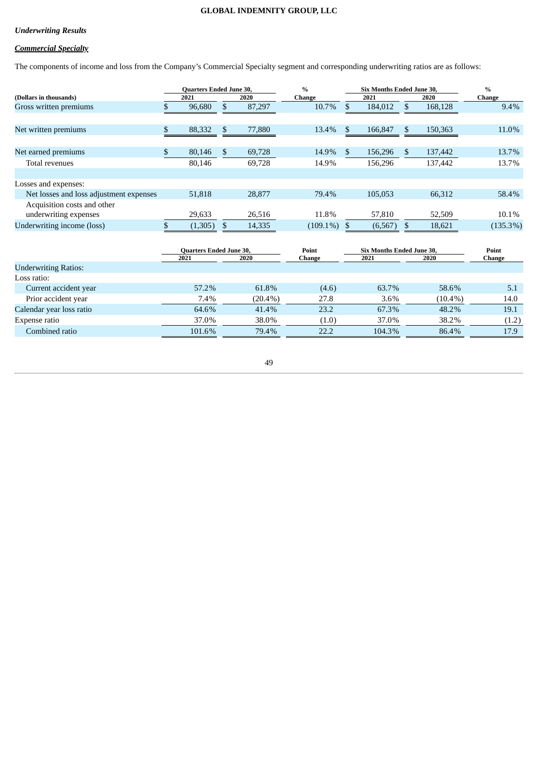# *Underwriting Results*

# *Commercial Specialty*

The components of income and loss from the Company's Commercial Specialty segment and corresponding underwriting ratios are as follows:

|                                         | <b>Ouarters Ended June 30.</b> |         |               |        | $\%$        |     | <b>Six Months Ended June 30.</b> |               | $\frac{0}{0}$ |
|-----------------------------------------|--------------------------------|---------|---------------|--------|-------------|-----|----------------------------------|---------------|---------------|
| (Dollars in thousands)                  |                                | 2021    |               | 2020   | Change      |     | 2021                             | 2020          | Change        |
| Gross written premiums                  |                                | 96,680  |               | 87,297 | 10.7%       |     | 184,012                          | 168,128       | $9.4\%$       |
|                                         |                                |         |               |        |             |     |                                  |               |               |
| Net written premiums                    |                                | 88,332  | <sup>\$</sup> | 77,880 | 13.4%       | \$. | 166,847                          | \$<br>150,363 | 11.0%         |
|                                         |                                |         |               |        |             |     |                                  |               |               |
| Net earned premiums                     |                                | 80,146  |               | 69,728 | 14.9%       | \$  | 156,296                          | 137,442       | 13.7%         |
| Total revenues                          |                                | 80,146  |               | 69,728 | 14.9%       |     | 156,296                          | 137,442       | 13.7%         |
|                                         |                                |         |               |        |             |     |                                  |               |               |
| Losses and expenses:                    |                                |         |               |        |             |     |                                  |               |               |
| Net losses and loss adjustment expenses |                                | 51,818  |               | 28,877 | 79.4%       |     | 105,053                          | 66,312        | 58.4%         |
| Acquisition costs and other             |                                |         |               |        |             |     |                                  |               |               |
| underwriting expenses                   |                                | 29,633  |               | 26,516 | 11.8%       |     | 57,810                           | 52,509        | 10.1%         |
| Underwriting income (loss)              |                                | (1,305) |               | 14,335 | $(109.1\%)$ |     | (6, 567)                         | 18,621        | $(135.3\%)$   |
|                                         |                                |         |               |        |             |     |                                  |               |               |

|                             | <b>Quarters Ended June 30,</b> |            | Point  | Six Months Ended June 30, |            | Point  |
|-----------------------------|--------------------------------|------------|--------|---------------------------|------------|--------|
|                             | 2021                           | 2020       | Change | 2021                      | 2020       | Change |
| <b>Underwriting Ratios:</b> |                                |            |        |                           |            |        |
| Loss ratio:                 |                                |            |        |                           |            |        |
| Current accident year       | 57.2%                          | 61.8%      | (4.6)  | 63.7%                     | 58.6%      | 5.1    |
| Prior accident year         | 7.4%                           | $(20.4\%)$ | 27.8   | 3.6%                      | $(10.4\%)$ | 14.0   |
| Calendar year loss ratio    | 64.6%                          | 41.4%      | 23.2   | 67.3%                     | 48.2%      | 19.1   |
| Expense ratio               | 37.0%                          | 38.0%      | (1.0)  | 37.0%                     | 38.2%      | (1.2)  |
| Combined ratio              | 101.6%                         | 79.4%      | 22.2   | 104.3%                    | 86.4%      | 17.9   |
|                             |                                |            |        |                           |            |        |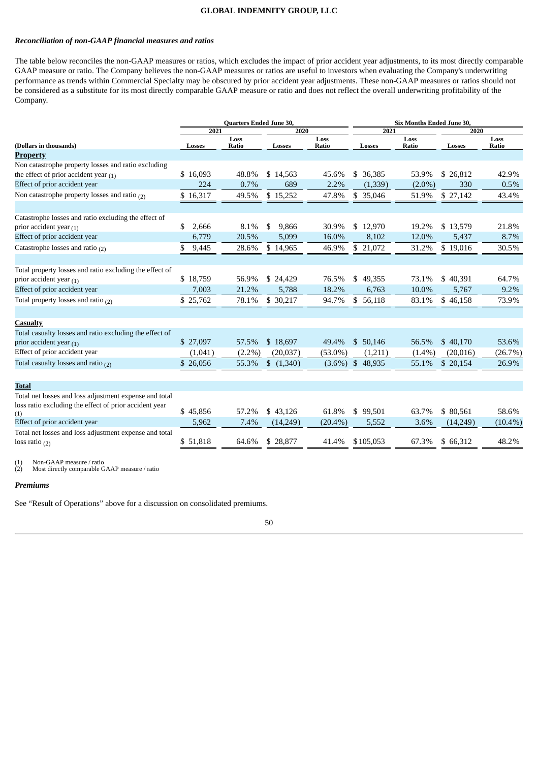# *Reconciliation of non-GAAP financial measures and ratios*

The table below reconciles the non-GAAP measures or ratios, which excludes the impact of prior accident year adjustments, to its most directly comparable GAAP measure or ratio. The Company believes the non-GAAP measures or ratios are useful to investors when evaluating the Company's underwriting performance as trends within Commercial Specialty may be obscured by prior accident year adjustments. These non-GAAP measures or ratios should not be considered as a substitute for its most directly comparable GAAP measure or ratio and does not reflect the overall underwriting profitability of the Company.

|                                                                                                                                                                                                                                                                                                      |                                                      | Quarters Ended June 30,                       |                                                        |                                                | Six Months Ended June 30,                                    |                                               |                                                        |                                            |  |  |  |  |
|------------------------------------------------------------------------------------------------------------------------------------------------------------------------------------------------------------------------------------------------------------------------------------------------------|------------------------------------------------------|-----------------------------------------------|--------------------------------------------------------|------------------------------------------------|--------------------------------------------------------------|-----------------------------------------------|--------------------------------------------------------|--------------------------------------------|--|--|--|--|
|                                                                                                                                                                                                                                                                                                      | 2021                                                 |                                               | 2020                                                   |                                                | 2021                                                         |                                               | 2020                                                   |                                            |  |  |  |  |
| (Dollars in thousands)                                                                                                                                                                                                                                                                               | Losses                                               | Loss<br>Ratio                                 | Losses                                                 | Loss<br>Ratio                                  | Losses                                                       | Loss<br>Ratio                                 | Losses                                                 | Loss<br>Ratio                              |  |  |  |  |
| <b>Property</b>                                                                                                                                                                                                                                                                                      |                                                      |                                               |                                                        |                                                |                                                              |                                               |                                                        |                                            |  |  |  |  |
| Non catastrophe property losses and ratio excluding<br>the effect of prior accident year $(1)$                                                                                                                                                                                                       | \$16,093                                             | 48.8%                                         | \$14,563                                               | 45.6%                                          | \$ 36,385                                                    | 53.9%                                         | \$ 26,812                                              | 42.9%                                      |  |  |  |  |
| Effect of prior accident year                                                                                                                                                                                                                                                                        | 224                                                  | $0.7\%$                                       | 689                                                    | 2.2%                                           | (1,339)                                                      | $(2.0\%)$                                     | 330                                                    | 0.5%                                       |  |  |  |  |
| Non catastrophe property losses and ratio $(2)$                                                                                                                                                                                                                                                      | \$16,317                                             | 49.5%                                         | \$15,252                                               | 47.8%                                          | \$ 35,046                                                    | 51.9%                                         | \$ 27,142                                              | 43.4%                                      |  |  |  |  |
| Catastrophe losses and ratio excluding the effect of<br>prior accident year $(1)$                                                                                                                                                                                                                    | \$<br>2,666                                          | 8.1%                                          | \$<br>9,866                                            | 30.9%                                          | \$12,970                                                     | 19.2%                                         | \$13,579                                               | 21.8%                                      |  |  |  |  |
| Effect of prior accident year                                                                                                                                                                                                                                                                        | 6,779                                                | 20.5%                                         | 5,099                                                  | 16.0%                                          | 8,102                                                        | 12.0%                                         | 5,437                                                  | 8.7%                                       |  |  |  |  |
| Catastrophe losses and ratio $(2)$                                                                                                                                                                                                                                                                   | \$<br>9,445                                          | 28.6%                                         | \$14,965                                               | 46.9%                                          | \$21,072                                                     | 31.2%                                         | \$19,016                                               | 30.5%                                      |  |  |  |  |
| Total property losses and ratio excluding the effect of<br>prior accident year (1)<br>Effect of prior accident year<br>Total property losses and ratio (2)<br><b>Casualty</b><br>Total casualty losses and ratio excluding the effect of<br>prior accident year (1)<br>Effect of prior accident year | \$18,759<br>7,003<br>\$25,762<br>\$27,097<br>(1,041) | 56.9%<br>21.2%<br>78.1%<br>57.5%<br>$(2.2\%)$ | \$24,429<br>5,788<br>\$ 30,217<br>\$18,697<br>(20,037) | 76.5%<br>18.2%<br>94.7%<br>49.4%<br>$(53.0\%)$ | 49,355<br>\$<br>6,763<br>\$<br>56,118<br>\$50,146<br>(1,211) | 73.1%<br>10.0%<br>83.1%<br>56.5%<br>$(1.4\%)$ | \$40,391<br>5,767<br>\$46,158<br>\$40,170<br>(20, 016) | 64.7%<br>9.2%<br>73.9%<br>53.6%<br>(26.7%) |  |  |  |  |
| Total casualty losses and ratio $(2)$                                                                                                                                                                                                                                                                | \$<br>26,056                                         | 55.3%                                         | $\mathbb{S}$<br>(1,340)                                | $(3.6\%)$                                      | $\mathbb{S}$<br>48,935                                       | 55.1%                                         | \$ 20,154                                              | 26.9%                                      |  |  |  |  |
| <b>Total</b>                                                                                                                                                                                                                                                                                         |                                                      |                                               |                                                        |                                                |                                                              |                                               |                                                        |                                            |  |  |  |  |
| Total net losses and loss adjustment expense and total<br>loss ratio excluding the effect of prior accident year<br>(1)<br>Effect of prior accident year                                                                                                                                             | \$45,856<br>5,962                                    | 57.2%<br>7.4%                                 | \$43,126<br>(14,249)                                   | 61.8%<br>$(20.4\%)$                            | \$99,501<br>5,552                                            | 63.7%<br>3.6%                                 | \$80,561<br>(14,249)                                   | 58.6%<br>$(10.4\%)$                        |  |  |  |  |
| Total net losses and loss adjustment expense and total<br>loss ratio $(2)$                                                                                                                                                                                                                           | \$ 51,818                                            | 64.6%                                         | \$28,877                                               | 41.4%                                          | \$105,053                                                    | 67.3%                                         | \$66,312                                               | 48.2%                                      |  |  |  |  |

(1) Non-GAAP measure / ratio<br>(2) Most directly comparable G

Most directly comparable GAAP measure / ratio

#### *Premiums*

See "Result of Operations" above for a discussion on consolidated premiums.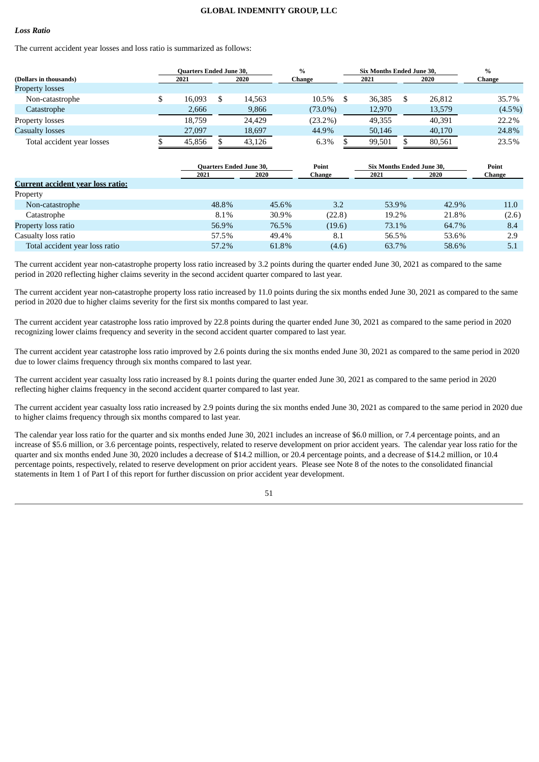## *Loss Ratio*

The current accident year losses and loss ratio is summarized as follows:

|                                          | <b>Quarters Ended June 30,</b> |       |                                        | $\%$            |    | <b>Six Months Ended June 30,</b> |                                          | $\%$            |
|------------------------------------------|--------------------------------|-------|----------------------------------------|-----------------|----|----------------------------------|------------------------------------------|-----------------|
| (Dollars in thousands)                   | 2021                           |       | 2020                                   | Change          |    | 2021                             | 2020                                     | Change          |
| <b>Property losses</b>                   |                                |       |                                        |                 |    |                                  |                                          |                 |
| Non-catastrophe                          | \$<br>16,093                   | \$    | 14,563                                 | 10.5%           | S. | 36,385                           | \$<br>26,812                             | 35.7%           |
| Catastrophe                              | 2,666                          |       | 9,866                                  | $(73.0\%)$      |    | 12,970                           | 13,579                                   | $(4.5\%)$       |
| Property losses                          | 18,759                         |       | 24,429                                 | $(23.2\%)$      |    | 49,355                           | 40,391                                   | 22.2%           |
| <b>Casualty losses</b>                   | 27,097                         |       | 18,697                                 | 44.9%           |    | 50,146                           | 40,170                                   | 24.8%           |
| Total accident year losses               | 45,856                         | \$.   | 43,126                                 | 6.3%            |    | 99,501                           | \$<br>80,561                             | 23.5%           |
|                                          | 2021                           |       | <b>Quarters Ended June 30,</b><br>2020 | Point<br>Change |    | 2021                             | <b>Six Months Ended June 30,</b><br>2020 | Point<br>Change |
| <b>Current accident year loss ratio:</b> |                                |       |                                        |                 |    |                                  |                                          |                 |
| Property                                 |                                |       |                                        |                 |    |                                  |                                          |                 |
| Non-catastrophe                          |                                | 48.8% |                                        | 45.6%<br>3.2    |    | 53.9%                            | 42.9%                                    | 11.0            |
| Catastrophe                              |                                | 8.1%  |                                        | 30.9%<br>(22.8) |    | 19.2%                            | 21.8%                                    | (2.6)           |
| Property loss ratio                      |                                | 56.9% |                                        | 76.5%<br>(19.6) |    | 73.1%                            | 64.7%                                    | 8.4             |
| Casualty loss ratio                      |                                | 57.5% |                                        | 49.4%<br>8.1    |    | 56.5%                            | 53.6%                                    | 2.9             |
| Total accident year loss ratio           |                                | 57.2% |                                        | (4.6)<br>61.8%  |    | 63.7%                            | 58.6%                                    | 5.1             |

The current accident year non-catastrophe property loss ratio increased by 3.2 points during the quarter ended June 30, 2021 as compared to the same period in 2020 reflecting higher claims severity in the second accident quarter compared to last year.

The current accident year non-catastrophe property loss ratio increased by 11.0 points during the six months ended June 30, 2021 as compared to the same period in 2020 due to higher claims severity for the first six months compared to last year.

The current accident year catastrophe loss ratio improved by 22.8 points during the quarter ended June 30, 2021 as compared to the same period in 2020 recognizing lower claims frequency and severity in the second accident quarter compared to last year.

The current accident year catastrophe loss ratio improved by 2.6 points during the six months ended June 30, 2021 as compared to the same period in 2020 due to lower claims frequency through six months compared to last year.

The current accident year casualty loss ratio increased by 8.1 points during the quarter ended June 30, 2021 as compared to the same period in 2020 reflecting higher claims frequency in the second accident quarter compared to last year.

The current accident year casualty loss ratio increased by 2.9 points during the six months ended June 30, 2021 as compared to the same period in 2020 due to higher claims frequency through six months compared to last year.

The calendar year loss ratio for the quarter and six months ended June 30, 2021 includes an increase of \$6.0 million, or 7.4 percentage points, and an increase of \$5.6 million, or 3.6 percentage points, respectively, related to reserve development on prior accident years. The calendar year loss ratio for the quarter and six months ended June 30, 2020 includes a decrease of \$14.2 million, or 20.4 percentage points, and a decrease of \$14.2 million, or 10.4 percentage points, respectively, related to reserve development on prior accident years. Please see Note 8 of the notes to the consolidated financial statements in Item 1 of Part I of this report for further discussion on prior accident year development.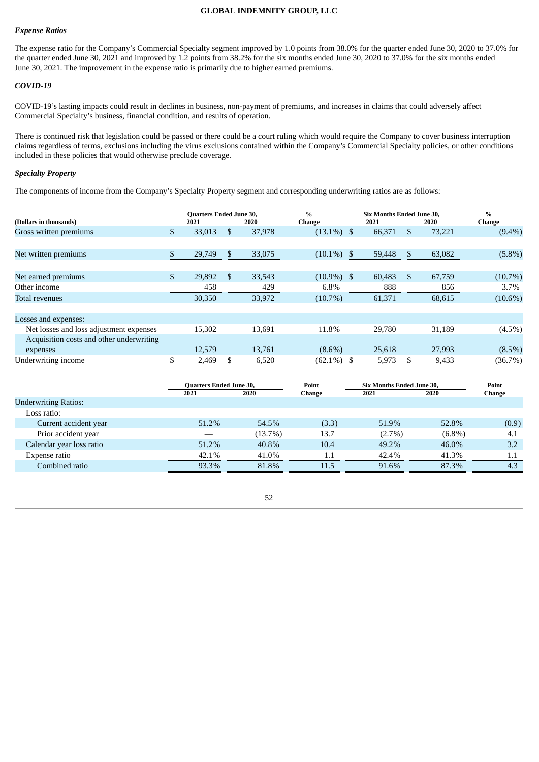## *Expense Ratios*

The expense ratio for the Company's Commercial Specialty segment improved by 1.0 points from 38.0% for the quarter ended June 30, 2020 to 37.0% for the quarter ended June 30, 2021 and improved by 1.2 points from 38.2% for the six months ended June 30, 2020 to 37.0% for the six months ended June 30, 2021. The improvement in the expense ratio is primarily due to higher earned premiums.

#### *COVID-19*

COVID-19's lasting impacts could result in declines in business, non-payment of premiums, and increases in claims that could adversely affect Commercial Specialty's business, financial condition, and results of operation.

There is continued risk that legislation could be passed or there could be a court ruling which would require the Company to cover business interruption claims regardless of terms, exclusions including the virus exclusions contained within the Company's Commercial Specialty policies, or other conditions included in these policies that would otherwise preclude coverage.

# *Specialty Property*

The components of income from the Company's Specialty Property segment and corresponding underwriting ratios are as follows:

|                                          |     | <b>Quarters Ended June 30,</b> |    | $\%$   | <b>Six Months Ended June 30.</b> |      | $\frac{0}{0}$ |              |               |
|------------------------------------------|-----|--------------------------------|----|--------|----------------------------------|------|---------------|--------------|---------------|
| (Dollars in thousands)                   |     | 2021                           |    | 2020   | <b>Change</b>                    |      | 2021          | 2020         | <b>Change</b> |
| Gross written premiums                   |     | 33,013                         |    | 37,978 | $(13.1\%)$                       |      | 66,371        | \$<br>73,221 | $(9.4\%)$     |
| Net written premiums                     |     | 29,749                         |    | 33,075 | $(10.1\%)$                       | - \$ | 59,448        | \$<br>63,082 | $(5.8\%)$     |
|                                          |     |                                |    |        |                                  |      |               |              |               |
| Net earned premiums                      | \$. | 29,892                         | \$ | 33,543 | $(10.9\%)$ \$                    |      | 60,483        | \$<br>67,759 | $(10.7\%)$    |
| Other income                             |     | 458                            |    | 429    | 6.8%                             |      | 888           | 856          | 3.7%          |
| Total revenues                           |     | 30,350                         |    | 33,972 | $(10.7\%)$                       |      | 61,371        | 68,615       | $(10.6\%)$    |
| Losses and expenses:                     |     |                                |    |        |                                  |      |               |              |               |
| Net losses and loss adjustment expenses  |     | 15,302                         |    | 13,691 | 11.8%                            |      | 29,780        | 31,189       | $(4.5\%)$     |
| Acquisition costs and other underwriting |     |                                |    |        |                                  |      |               |              |               |
| expenses                                 |     | 12,579                         |    | 13,761 | $(8.6\%)$                        |      | 25,618        | 27,993       | $(8.5\%)$     |
| Underwriting income                      |     | 2,469                          |    | 6,520  | $(62.1\%)$                       |      | 5,973         | \$<br>9,433  | (36.7%)       |

|                             | Quarters Ended June 30, |         | Point  | Six Months Ended June 30, |           | Point         |
|-----------------------------|-------------------------|---------|--------|---------------------------|-----------|---------------|
|                             | 2021                    | 2020    | Change | 2021                      | 2020      | <b>Change</b> |
| <b>Underwriting Ratios:</b> |                         |         |        |                           |           |               |
| Loss ratio:                 |                         |         |        |                           |           |               |
| Current accident year       | 51.2%                   | 54.5%   | (3.3)  | 51.9%                     | 52.8%     | (0.9)         |
| Prior accident year         |                         | (13.7%) | 13.7   | $(2.7\%)$                 | $(6.8\%)$ | 4.1           |
| Calendar year loss ratio    | 51.2%                   | 40.8%   | 10.4   | 49.2%                     | 46.0%     | 3.2           |
| Expense ratio               | 42.1%                   | 41.0%   | 1.1    | 42.4%                     | 41.3%     | 1.1           |
| Combined ratio              | 93.3%                   | 81.8%   | 11.5   | 91.6%                     | 87.3%     | 4.3           |
|                             |                         |         |        |                           |           |               |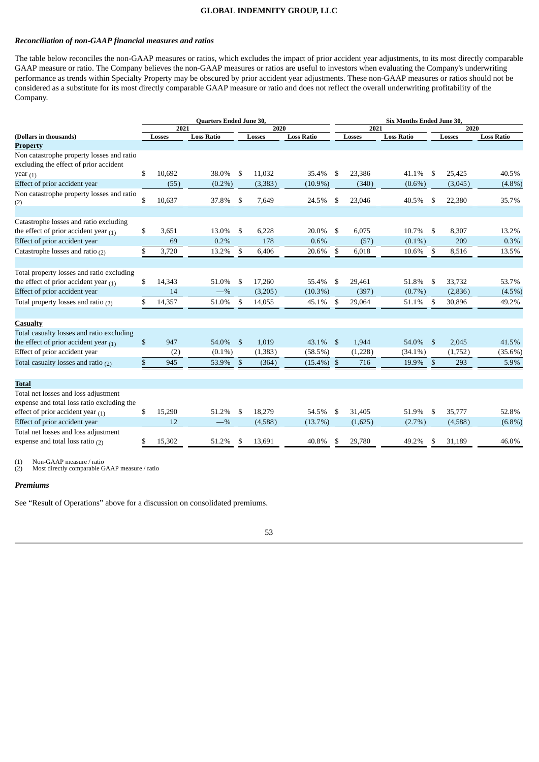## *Reconciliation of non-GAAP financial measures and ratios*

The table below reconciles the non-GAAP measures or ratios, which excludes the impact of prior accident year adjustments, to its most directly comparable GAAP measure or ratio. The Company believes the non-GAAP measures or ratios are useful to investors when evaluating the Company's underwriting performance as trends within Specialty Property may be obscured by prior accident year adjustments. These non-GAAP measures or ratios should not be considered as a substitute for its most directly comparable GAAP measure or ratio and does not reflect the overall underwriting profitability of the Company.

|                                                                                      |              |        | Quarters Ended June 30, |     |          |                   | <b>Six Months Ended June 30,</b> |         |                   |              |         |                   |
|--------------------------------------------------------------------------------------|--------------|--------|-------------------------|-----|----------|-------------------|----------------------------------|---------|-------------------|--------------|---------|-------------------|
|                                                                                      |              | 2021   |                         |     | 2020     |                   |                                  | 2021    |                   | 2020         |         |                   |
| (Dollars in thousands)                                                               |              | Losses | <b>Loss Ratio</b>       |     | Losses   | <b>Loss Ratio</b> |                                  | Losses  | <b>Loss Ratio</b> |              | Losses  | <b>Loss Ratio</b> |
| <b>Property</b>                                                                      |              |        |                         |     |          |                   |                                  |         |                   |              |         |                   |
| Non catastrophe property losses and ratio<br>excluding the effect of prior accident  |              |        |                         |     |          |                   |                                  |         |                   |              |         |                   |
| year $(1)$                                                                           | \$           | 10,692 | 38.0%                   | \$  | 11,032   | 35.4%             | \$                               | 23,386  | 41.1%             | \$           | 25,425  | 40.5%             |
| Effect of prior accident year                                                        |              | (55)   | $(0.2\%)$               |     | (3,383)  | $(10.9\%)$        |                                  | (340)   | $(0.6\%)$         |              | (3,045) | $(4.8\%)$         |
| Non catastrophe property losses and ratio<br>(2)                                     | \$           | 10,637 | 37.8%                   | \$  | 7,649    | 24.5%             | \$                               | 23,046  | 40.5%             | \$           | 22,380  | 35.7%             |
| Catastrophe losses and ratio excluding                                               |              |        |                         |     |          |                   |                                  |         |                   |              |         |                   |
| the effect of prior accident year $(1)$                                              | \$           | 3,651  | 13.0%                   | \$  | 6,228    | 20.0%             | \$                               | 6,075   | 10.7%             | \$           | 8,307   | 13.2%             |
| Effect of prior accident year                                                        |              | 69     | 0.2%                    |     | 178      | 0.6%              |                                  | (57)    | $(0.1\%)$         |              | 209     | 0.3%              |
| Catastrophe losses and ratio $(2)$                                                   | \$           | 3,720  | 13.2%                   | \$  | 6,406    | 20.6%             | \$                               | 6,018   | 10.6%             | \$           | 8,516   | 13.5%             |
|                                                                                      |              |        |                         |     |          |                   |                                  |         |                   |              |         |                   |
| Total property losses and ratio excluding<br>the effect of prior accident year $(1)$ | \$           | 14,343 | 51.0%                   | \$  | 17,260   | 55.4%             | \$                               | 29,461  | 51.8%             | \$           | 33,732  | 53.7%             |
| Effect of prior accident year                                                        |              | 14     | $-$ %                   |     | (3,205)  | $(10.3\%)$        |                                  | (397)   | $(0.7\%)$         |              | (2,836) | $(4.5\%)$         |
| Total property losses and ratio $(2)$                                                | \$           | 14,357 | 51.0%                   | \$  | 14,055   | 45.1%             | \$                               | 29,064  | 51.1%             | \$           | 30,896  | 49.2%             |
| <b>Casualty</b>                                                                      |              |        |                         |     |          |                   |                                  |         |                   |              |         |                   |
| Total casualty losses and ratio excluding                                            |              |        |                         |     |          |                   |                                  |         |                   |              |         |                   |
| the effect of prior accident year $(1)$                                              | \$           | 947    | 54.0%                   | \$  | 1,019    | 43.1%             | -\$                              | 1,944   | 54.0%             | $\mathbf{s}$ | 2,045   | 41.5%             |
| Effect of prior accident year                                                        |              | (2)    | $(0.1\%)$               |     | (1, 383) | (58.5%)           |                                  | (1,228) | $(34.1\%)$        |              | (1,752) | $(35.6\%)$        |
| Total casualty losses and ratio (2)                                                  | $\mathbb{S}$ | 945    | 53.9%                   | \$  | (364)    | $(15.4\%)$        | $\mathbf{\mathcal{S}}$           | 716     | 19.9%             | $\mathbb{S}$ | 293     | 5.9%              |
| <b>Total</b>                                                                         |              |        |                         |     |          |                   |                                  |         |                   |              |         |                   |
| Total net losses and loss adjustment<br>expense and total loss ratio excluding the   |              |        |                         |     |          |                   |                                  |         |                   |              |         |                   |
| effect of prior accident year (1)                                                    | \$           | 15,290 | 51.2%                   | -\$ | 18,279   | 54.5%             | \$                               | 31,405  | 51.9%             | \$           | 35,777  | 52.8%             |
| Effect of prior accident year                                                        |              | 12     | $-$ %                   |     | (4,588)  | (13.7%)           |                                  | (1,625) | $(2.7\%)$         |              | (4,588) | $(6.8\%)$         |
| Total net losses and loss adjustment<br>expense and total loss ratio $(2)$           | \$           | 15,302 | 51.2%                   | S   | 13,691   | 40.8%             | \$                               | 29,780  | 49.2%             | S            | 31,189  | 46.0%             |
|                                                                                      |              |        |                         |     |          |                   |                                  |         |                   |              |         |                   |

(1) Non-GAAP measure / ratio (2) Most directly comparable GAAP measure / ratio

# *Premiums*

See "Result of Operations" above for a discussion on consolidated premiums.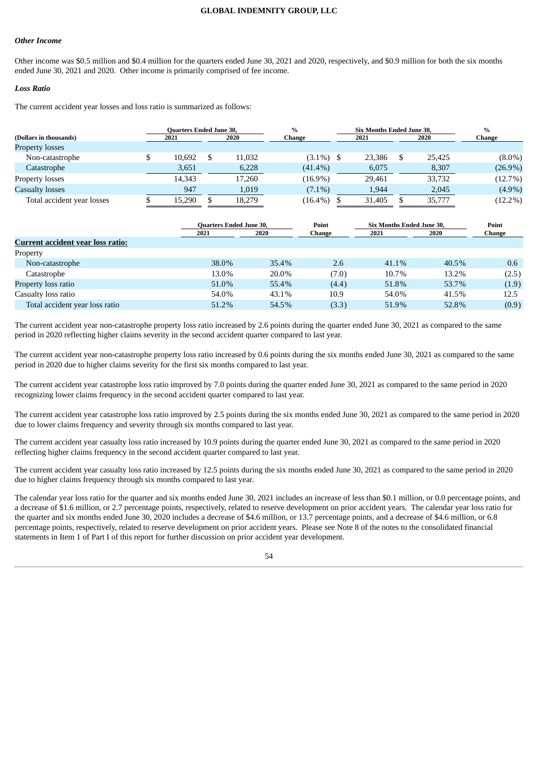#### *Other Income*

Other income was \$0.5 million and \$0.4 million for the quarters ended June 30, 2021 and 2020, respectively, and \$0.9 million for both the six months ended June 30, 2021 and 2020. Other income is primarily comprised of fee income.

## *Loss Ratio*

The current accident year losses and loss ratio is summarized as follows:

|                            | <b>Ouarters Ended June 30.</b> |        | $\frac{0}{0}$ | <b>Six Months Ended June 30.</b> |        | $\frac{0}{0}$ |
|----------------------------|--------------------------------|--------|---------------|----------------------------------|--------|---------------|
| (Dollars in thousands)     | 2021                           | 2020   | Change        | 2021                             | 2020   | Change        |
| <b>Property losses</b>     |                                |        |               |                                  |        |               |
| Non-catastrophe            | 10.692                         | 11.032 | $(3.1\%)$ \$  | 23,386                           | 25.425 | $(8.0\%)$     |
| Catastrophe                | 3,651                          | 6,228  | $(41.4\%)$    | 6,075                            | 8,307  | $(26.9\%)$    |
| Property losses            | 14.343                         | 17,260 | $(16.9\%)$    | 29.461                           | 33,732 | (12.7%)       |
| Casualty losses            | 947                            | 1,019  | $(7.1\%)$     | 1,944                            | 2,045  | $(4.9\%)$     |
| Total accident year losses | 15.290                         | 18,279 | $(16.4\%)$ \$ | 31,405                           | 35,777 | $(12.2\%)$    |

|                                          | <b>Ouarters Ended June 30.</b> |       | Point  | Six Months Ended June 30. |       | Point  |
|------------------------------------------|--------------------------------|-------|--------|---------------------------|-------|--------|
|                                          | 2021                           | 2020  | Change | 2021                      | 2020  | Change |
| <b>Current accident year loss ratio:</b> |                                |       |        |                           |       |        |
| Property                                 |                                |       |        |                           |       |        |
| Non-catastrophe                          | 38.0%                          | 35.4% | 2.6    | 41.1%                     | 40.5% | 0.6    |
| Catastrophe                              | 13.0%                          | 20.0% | (7.0)  | 10.7%                     | 13.2% | (2.5)  |
| Property loss ratio                      | 51.0%                          | 55.4% | (4.4)  | 51.8%                     | 53.7% | (1.9)  |
| Casualty loss ratio                      | 54.0%                          | 43.1% | 10.9   | 54.0%                     | 41.5% | 12.5   |
| Total accident year loss ratio           | 51.2%                          | 54.5% | (3.3)  | 51.9%                     | 52.8% | (0.9)  |

The current accident year non-catastrophe property loss ratio increased by 2.6 points during the quarter ended June 30, 2021 as compared to the same period in 2020 reflecting higher claims severity in the second accident quarter compared to last year.

The current accident year non-catastrophe property loss ratio increased by 0.6 points during the six months ended June 30, 2021 as compared to the same period in 2020 due to higher claims severity for the first six months compared to last year.

The current accident year catastrophe loss ratio improved by 7.0 points during the quarter ended June 30, 2021 as compared to the same period in 2020 recognizing lower claims frequency in the second accident quarter compared to last year.

The current accident year catastrophe loss ratio improved by 2.5 points during the six months ended June 30, 2021 as compared to the same period in 2020 due to lower claims frequency and severity through six months compared to last year.

The current accident year casualty loss ratio increased by 10.9 points during the quarter ended June 30, 2021 as compared to the same period in 2020 reflecting higher claims frequency in the second accident quarter compared to last year.

The current accident year casualty loss ratio increased by 12.5 points during the six months ended June 30, 2021 as compared to the same period in 2020 due to higher claims frequency through six months compared to last year.

The calendar year loss ratio for the quarter and six months ended June 30, 2021 includes an increase of less than \$0.1 million, or 0.0 percentage points, and a decrease of \$1.6 million, or 2.7 percentage points, respectively, related to reserve development on prior accident years. The calendar year loss ratio for the quarter and six months ended June 30, 2020 includes a decrease of \$4.6 million, or 13.7 percentage points, and a decrease of \$4.6 million, or 6.8 percentage points, respectively, related to reserve development on prior accident years. Please see Note 8 of the notes to the consolidated financial statements in Item 1 of Part I of this report for further discussion on prior accident year development.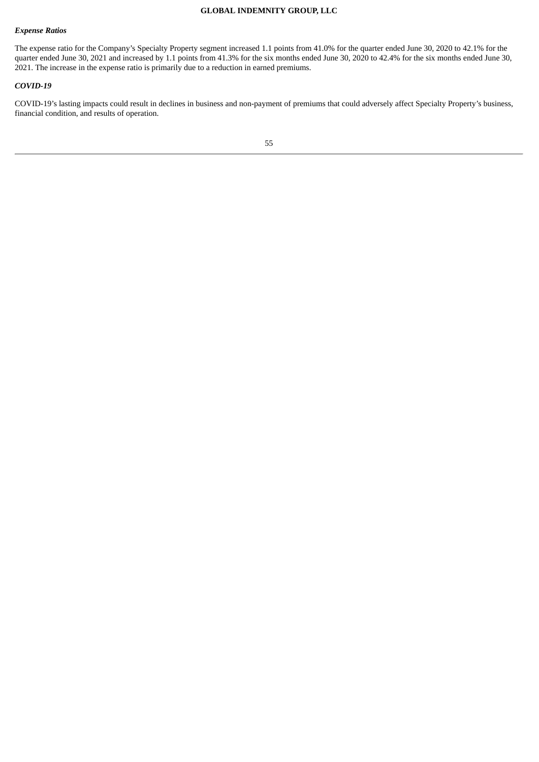## *Expense Ratios*

The expense ratio for the Company's Specialty Property segment increased 1.1 points from 41.0% for the quarter ended June 30, 2020 to 42.1% for the quarter ended June 30, 2021 and increased by 1.1 points from 41.3% for the six months ended June 30, 2020 to 42.4% for the six months ended June 30, 2021. The increase in the expense ratio is primarily due to a reduction in earned premiums.

## *COVID-19*

COVID-19's lasting impacts could result in declines in business and non-payment of premiums that could adversely affect Specialty Property's business, financial condition, and results of operation.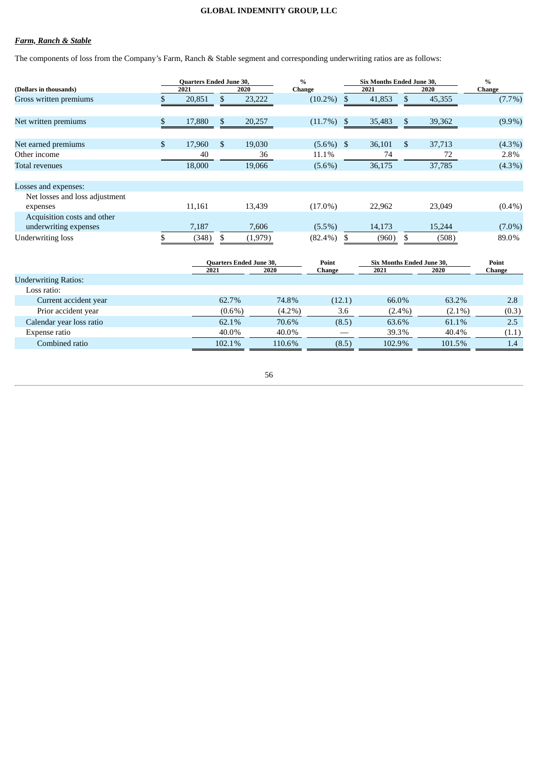# *Farm, Ranch & Stable*

The components of loss from the Company's Farm, Ranch & Stable segment and corresponding underwriting ratios are as follows:

|                                | $\%$<br><b>Six Months Ended June 30,</b><br><b>Quarters Ended June 30,</b> |        |     |                                |              | $\%$   |                                  |               |
|--------------------------------|----------------------------------------------------------------------------|--------|-----|--------------------------------|--------------|--------|----------------------------------|---------------|
| (Dollars in thousands)         |                                                                            | 2021   |     | 2020                           | Change       | 2021   | 2020                             | <b>Change</b> |
| Gross written premiums         |                                                                            | 20,851 | \$  | 23,222                         | $(10.2\%)$   | 41,853 | \$<br>45,355                     | $(7.7\%)$     |
|                                |                                                                            |        |     |                                |              |        |                                  |               |
| Net written premiums           |                                                                            | 17,880 | \$  | 20,257                         | $(11.7\%)$   | 35,483 | \$<br>39,362                     | $(9.9\%)$     |
|                                |                                                                            |        |     |                                |              |        |                                  |               |
| Net earned premiums            | \$                                                                         | 17,960 | \$  | 19,030                         | $(5.6\%)$ \$ | 36,101 | \$<br>37,713                     | $(4.3\%)$     |
| Other income                   |                                                                            | 40     |     | 36                             | 11.1%        | 74     | 72                               | 2.8%          |
| Total revenues                 |                                                                            | 18,000 |     | 19,066                         | $(5.6\%)$    | 36,175 | 37,785                           | $(4.3\%)$     |
| Losses and expenses:           |                                                                            |        |     |                                |              |        |                                  |               |
| Net losses and loss adjustment |                                                                            |        |     |                                |              |        |                                  |               |
| expenses                       |                                                                            | 11,161 |     | 13,439                         | $(17.0\%)$   | 22,962 | 23,049                           | $(0.4\%)$     |
| Acquisition costs and other    |                                                                            |        |     |                                |              |        |                                  |               |
| underwriting expenses          |                                                                            | 7,187  |     | 7,606                          | $(5.5\%)$    | 14,173 | 15,244                           | $(7.0\%)$     |
| <b>Underwriting loss</b>       |                                                                            | (348)  | \$. | (1,979)                        | $(82.4\%)$   | (960)  | \$<br>(508)                      | 89.0%         |
|                                |                                                                            |        |     | <b>Quarters Ended June 30,</b> | Point        |        | <b>Six Months Ended June 30,</b> | Point         |

|                             | 2021      | 2020      | Change | 2021      | 2020      | Change |
|-----------------------------|-----------|-----------|--------|-----------|-----------|--------|
| <b>Underwriting Ratios:</b> |           |           |        |           |           |        |
| Loss ratio:                 |           |           |        |           |           |        |
| Current accident year       | 62.7%     | 74.8%     | (12.1) | 66.0%     | 63.2%     | 2.8    |
| Prior accident year         | $(0.6\%)$ | $(4.2\%)$ | 3.6    | $(2.4\%)$ | $(2.1\%)$ | (0.3)  |
| Calendar year loss ratio    | 62.1%     | 70.6%     | (8.5)  | 63.6%     | 61.1%     | 2.5    |
| Expense ratio               | 40.0%     | 40.0%     |        | 39.3%     | 40.4%     | (1.1)  |
| Combined ratio              | 102.1%    | 110.6%    | (8.5)  | 102.9%    | 101.5%    | 1.4    |
|                             |           |           |        |           |           |        |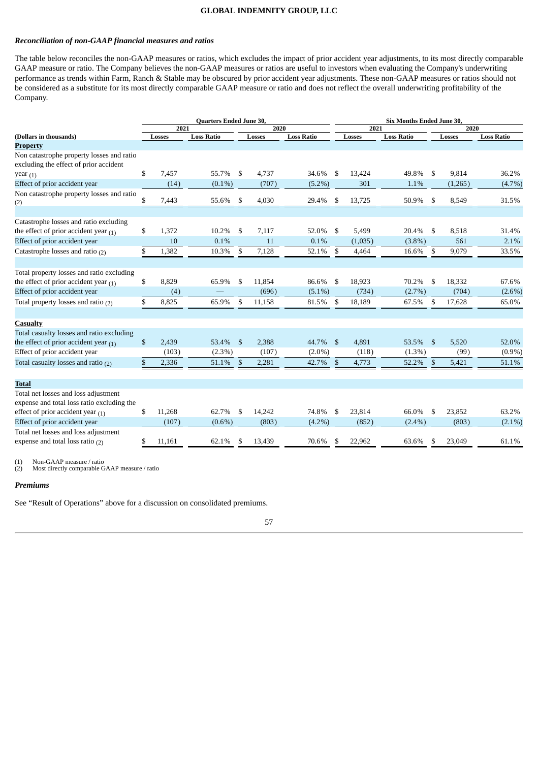# *Reconciliation of non-GAAP financial measures and ratios*

The table below reconciles the non-GAAP measures or ratios, which excludes the impact of prior accident year adjustments, to its most directly comparable GAAP measure or ratio. The Company believes the non-GAAP measures or ratios are useful to investors when evaluating the Company's underwriting performance as trends within Farm, Ranch & Stable may be obscured by prior accident year adjustments. These non-GAAP measures or ratios should not be considered as a substitute for its most directly comparable GAAP measure or ratio and does not reflect the overall underwriting profitability of the Company.

| Quarters Ended June 30,<br>Six Months Ended June 30,                                |    |        |                   |      |        |                   |                |         |                   |              |         |                   |
|-------------------------------------------------------------------------------------|----|--------|-------------------|------|--------|-------------------|----------------|---------|-------------------|--------------|---------|-------------------|
|                                                                                     |    | 2021   |                   |      | 2020   |                   |                | 2021    |                   | 2020         |         |                   |
| (Dollars in thousands)                                                              |    | Losses | <b>Loss Ratio</b> |      | Losses | <b>Loss Ratio</b> |                | Losses  | <b>Loss Ratio</b> |              | Losses  | <b>Loss Ratio</b> |
| <b>Property</b>                                                                     |    |        |                   |      |        |                   |                |         |                   |              |         |                   |
| Non catastrophe property losses and ratio<br>excluding the effect of prior accident |    |        |                   |      |        |                   |                |         |                   |              |         |                   |
| year $(1)$                                                                          | \$ | 7,457  | 55.7%             | \$   | 4,737  | 34.6%             | \$             | 13,424  | 49.8%             | \$           | 9,814   | 36.2%             |
| Effect of prior accident year                                                       |    | (14)   | $(0.1\%)$         |      | (707)  | $(5.2\%)$         |                | 301     | 1.1%              |              | (1,265) | $(4.7\%)$         |
| Non catastrophe property losses and ratio<br>(2)                                    | \$ | 7,443  | 55.6%             | \$   | 4,030  | 29.4%             | \$             | 13,725  | 50.9%             | \$           | 8,549   | 31.5%             |
| Catastrophe losses and ratio excluding                                              |    |        |                   |      |        |                   |                |         |                   |              |         |                   |
| the effect of prior accident year $(1)$                                             | \$ | 1,372  | 10.2%             | \$   | 7,117  | 52.0%             | \$             | 5,499   | 20.4%             | \$           | 8,518   | 31.4%             |
| Effect of prior accident year                                                       |    | 10     | 0.1%              |      | 11     | 0.1%              |                | (1,035) | $(3.8\%)$         |              | 561     | 2.1%              |
| Catastrophe losses and ratio $(2)$                                                  | \$ | 1,382  | 10.3%             | \$   | 7,128  | 52.1%             | \$             | 4,464   | 16.6%             | \$           | 9,079   | 33.5%             |
| Total property losses and ratio excluding                                           |    |        |                   |      |        |                   |                |         |                   |              |         |                   |
| the effect of prior accident year $(1)$                                             | \$ | 8,829  | 65.9%             | \$   | 11,854 | 86.6%             | \$             | 18,923  | 70.2%             | \$           | 18,332  | 67.6%             |
| Effect of prior accident year                                                       |    | (4)    |                   |      | (696)  | $(5.1\%)$         |                | (734)   | (2.7%)            |              | (704)   | $(2.6\%)$         |
| Total property losses and ratio $(2)$                                               | \$ | 8,825  | 65.9%             | \$   | 11,158 | 81.5%             | \$             | 18,189  | 67.5%             | \$           | 17,628  | 65.0%             |
| <b>Casualty</b>                                                                     |    |        |                   |      |        |                   |                |         |                   |              |         |                   |
| Total casualty losses and ratio excluding                                           |    |        |                   |      |        |                   |                |         |                   |              |         |                   |
| the effect of prior accident year $(1)$                                             | \$ | 2,439  | 53.4%             | \$   | 2,388  | 44.7%             | -\$            | 4,891   | 53.5%             | $\mathbf{s}$ | 5,520   | 52.0%             |
| Effect of prior accident year                                                       |    | (103)  | $(2.3\%)$         |      | (107)  | $(2.0\%)$         |                | (118)   | $(1.3\%)$         |              | (99)    | $(0.9\%)$         |
| Total casualty losses and ratio $(2)$                                               | \$ | 2,336  | 51.1%             | \$   | 2,281  | 42.7%             | $\mathfrak{S}$ | 4,773   | 52.2%             | \$           | 5,421   | 51.1%             |
| <b>Total</b>                                                                        |    |        |                   |      |        |                   |                |         |                   |              |         |                   |
| Total net losses and loss adjustment<br>expense and total loss ratio excluding the  |    |        |                   |      |        |                   |                |         |                   |              |         |                   |
| effect of prior accident year $(1)$                                                 | \$ | 11,268 | 62.7%             | - \$ | 14,242 | 74.8%             | \$             | 23,814  | 66.0%             | \$           | 23,852  | 63.2%             |
| Effect of prior accident year                                                       |    | (107)  | $(0.6\%)$         |      | (803)  | $(4.2\%)$         |                | (852)   | $(2.4\%)$         |              | (803)   | $(2.1\%)$         |
| Total net losses and loss adjustment                                                |    |        |                   |      |        |                   |                |         |                   |              |         |                   |
| expense and total loss ratio $(2)$                                                  | \$ | 11,161 | 62.1%             | \$   | 13,439 | 70.6%             | \$             | 22,962  | 63.6%             | \$           | 23,049  | 61.1%             |

(1) Non-GAAP measure / ratio (2) Most directly comparable GAAP measure / ratio

# *Premiums*

See "Result of Operations" above for a discussion on consolidated premiums.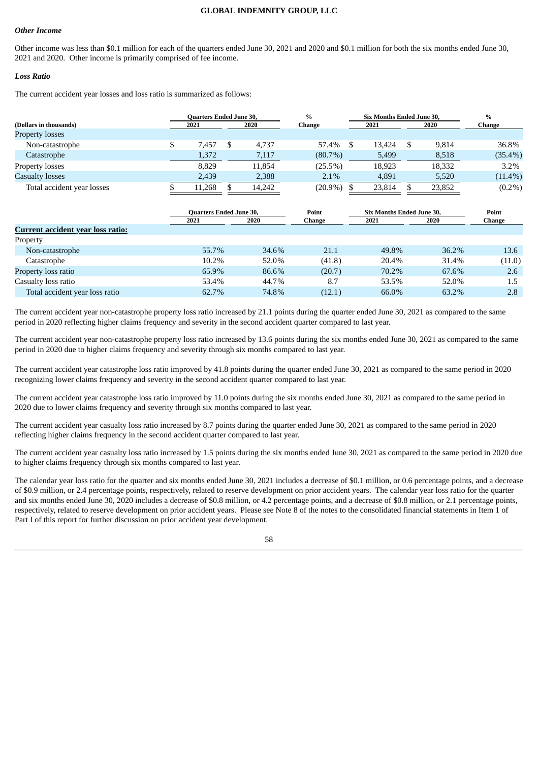## *Other Income*

Other income was less than \$0.1 million for each of the quarters ended June 30, 2021 and 2020 and \$0.1 million for both the six months ended June 30, 2021 and 2020. Other income is primarily comprised of fee income.

#### *Loss Ratio*

The current accident year losses and loss ratio is summarized as follows:

|                            | <b>Quarters Ended June 30,</b> |        | $\%$       | <b>Six Months Ended June 30.</b> |  |        | $\%$       |
|----------------------------|--------------------------------|--------|------------|----------------------------------|--|--------|------------|
| (Dollars in thousands)     | 2021                           | 2020   | Change     | 2021                             |  | 2020   | Change     |
| <b>Property losses</b>     |                                |        |            |                                  |  |        |            |
| Non-catastrophe            | 7.457                          | 4.737  | 57.4%      | 13.424                           |  | 9,814  | 36.8%      |
| Catastrophe                | 1,372                          | 7,117  | $(80.7\%)$ | 5,499                            |  | 8,518  | $(35.4\%)$ |
| Property losses            | 8,829                          | 11.854 | (25.5%)    | 18,923                           |  | 18,332 | 3.2%       |
| <b>Casualty losses</b>     | 2,439                          | 2,388  | 2.1%       | 4,891                            |  | 5,520  | $(11.4\%)$ |
| Total accident year losses | 11,268                         | 14,242 | $(20.9\%)$ | 23,814                           |  | 23,852 | $(0.2\%)$  |

|                                          | <b>Ouarters Ended June 30.</b> |       | Point  | <b>Six Months Ended June 30.</b> |       | Point  |  |
|------------------------------------------|--------------------------------|-------|--------|----------------------------------|-------|--------|--|
|                                          | 2021                           | 2020  | Change | 2021                             | 2020  | Change |  |
| <b>Current accident year loss ratio:</b> |                                |       |        |                                  |       |        |  |
| Property                                 |                                |       |        |                                  |       |        |  |
| Non-catastrophe                          | 55.7%                          | 34.6% | 21.1   | 49.8%                            | 36.2% | 13.6   |  |
| Catastrophe                              | 10.2%                          | 52.0% | (41.8) | 20.4%                            | 31.4% | (11.0) |  |
| Property loss ratio                      | 65.9%                          | 86.6% | (20.7) | 70.2%                            | 67.6% | 2.6    |  |
| Casualty loss ratio                      | 53.4%                          | 44.7% | 8.7    | 53.5%                            | 52.0% | 1.5    |  |
| Total accident year loss ratio           | 62.7%                          | 74.8% | (12.1) | 66.0%                            | 63.2% | 2.8    |  |

The current accident year non-catastrophe property loss ratio increased by 21.1 points during the quarter ended June 30, 2021 as compared to the same period in 2020 reflecting higher claims frequency and severity in the second accident quarter compared to last year.

The current accident year non-catastrophe property loss ratio increased by 13.6 points during the six months ended June 30, 2021 as compared to the same period in 2020 due to higher claims frequency and severity through six months compared to last year.

The current accident year catastrophe loss ratio improved by 41.8 points during the quarter ended June 30, 2021 as compared to the same period in 2020 recognizing lower claims frequency and severity in the second accident quarter compared to last year.

The current accident year catastrophe loss ratio improved by 11.0 points during the six months ended June 30, 2021 as compared to the same period in 2020 due to lower claims frequency and severity through six months compared to last year.

The current accident year casualty loss ratio increased by 8.7 points during the quarter ended June 30, 2021 as compared to the same period in 2020 reflecting higher claims frequency in the second accident quarter compared to last year.

The current accident year casualty loss ratio increased by 1.5 points during the six months ended June 30, 2021 as compared to the same period in 2020 due to higher claims frequency through six months compared to last year.

The calendar year loss ratio for the quarter and six months ended June 30, 2021 includes a decrease of \$0.1 million, or 0.6 percentage points, and a decrease of \$0.9 million, or 2.4 percentage points, respectively, related to reserve development on prior accident years. The calendar year loss ratio for the quarter and six months ended June 30, 2020 includes a decrease of \$0.8 million, or 4.2 percentage points, and a decrease of \$0.8 million, or 2.1 percentage points, respectively, related to reserve development on prior accident years. Please see Note 8 of the notes to the consolidated financial statements in Item 1 of Part I of this report for further discussion on prior accident year development.

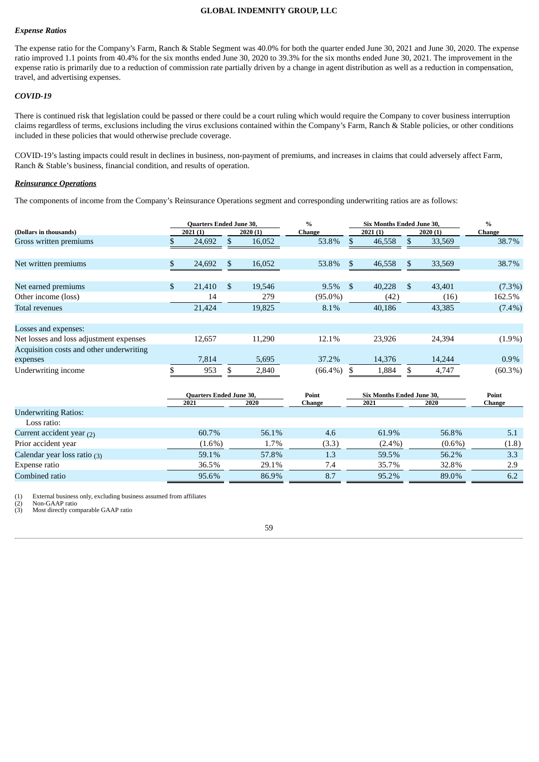## *Expense Ratios*

The expense ratio for the Company's Farm, Ranch & Stable Segment was 40.0% for both the quarter ended June 30, 2021 and June 30, 2020. The expense ratio improved 1.1 points from 40.4% for the six months ended June 30, 2020 to 39.3% for the six months ended June 30, 2021. The improvement in the expense ratio is primarily due to a reduction of commission rate partially driven by a change in agent distribution as well as a reduction in compensation, travel, and advertising expenses.

#### *COVID-19*

There is continued risk that legislation could be passed or there could be a court ruling which would require the Company to cover business interruption claims regardless of terms, exclusions including the virus exclusions contained within the Company's Farm, Ranch & Stable policies, or other conditions included in these policies that would otherwise preclude coverage.

COVID-19's lasting impacts could result in declines in business, non-payment of premiums, and increases in claims that could adversely affect Farm, Ranch & Stable's business, financial condition, and results of operation.

#### *Reinsurance Operations*

The components of income from the Company's Reinsurance Operations segment and corresponding underwriting ratios are as follows:

|                                          | <b>Ouarters Ended June 30.</b> |    | $\%$    | <b>Six Months Ended June 30.</b> |               |         |    | $\frac{0}{0}$ |            |
|------------------------------------------|--------------------------------|----|---------|----------------------------------|---------------|---------|----|---------------|------------|
| (Dollars in thousands)                   | 2021(1)                        |    | 2020(1) | Change                           |               | 2021(1) |    | 2020(1)       | Change     |
| Gross written premiums                   | 24,692                         |    | 16,052  | 53.8%                            |               | 46,558  | \$ | 33,569        | 38.7%      |
|                                          |                                |    |         |                                  |               |         |    |               |            |
| Net written premiums                     | 24,692                         | S  | 16,052  | 53.8%                            | \$            | 46,558  | \$ | 33,569        | 38.7%      |
|                                          |                                |    |         |                                  |               |         |    |               |            |
| Net earned premiums                      | \$<br>21,410                   | \$ | 19,546  | 9.5%                             | <sup>\$</sup> | 40,228  | \$ | 43,401        | $(7.3\%)$  |
| Other income (loss)                      | 14                             |    | 279     | $(95.0\%)$                       |               | (42)    |    | (16)          | 162.5%     |
| Total revenues                           | 21,424                         |    | 19,825  | 8.1%                             |               | 40,186  |    | 43,385        | $(7.4\%)$  |
|                                          |                                |    |         |                                  |               |         |    |               |            |
| Losses and expenses:                     |                                |    |         |                                  |               |         |    |               |            |
| Net losses and loss adjustment expenses  | 12,657                         |    | 11,290  | 12.1%                            |               | 23,926  |    | 24,394        | $(1.9\%)$  |
| Acquisition costs and other underwriting |                                |    |         |                                  |               |         |    |               |            |
| expenses                                 | 7,814                          |    | 5,695   | 37.2%                            |               | 14,376  |    | 14,244        | $0.9\%$    |
| Underwriting income                      | 953                            |    | 2,840   | $(66.4\%)$                       |               | 1,884   |    | 4,747         | $(60.3\%)$ |

| <b>Quarters Ended June 30,</b> |       | Point  |           | Point     |                                  |
|--------------------------------|-------|--------|-----------|-----------|----------------------------------|
| 2021                           | 2020  | Change | 2021      | 2020      | Change                           |
|                                |       |        |           |           |                                  |
|                                |       |        |           |           |                                  |
| 60.7%                          | 56.1% | 4.6    | 61.9%     | 56.8%     | 5.1                              |
| $(1.6\%)$                      | 1.7%  | (3.3)  | $(2.4\%)$ | $(0.6\%)$ | (1.8)                            |
| 59.1%                          | 57.8% | 1.3    | 59.5%     | 56.2%     | 3.3                              |
| 36.5%                          | 29.1% | 7.4    | 35.7%     | 32.8%     | 2.9                              |
| 95.6%                          | 86.9% | 8.7    | 95.2%     | 89.0%     | 6.2                              |
|                                |       |        |           |           | <b>Six Months Ended June 30.</b> |

External business only, excluding business assumed from affiliates

(2) Non-GAAP ratio<br>(3) Most directly con Most directly comparable GAAP ratio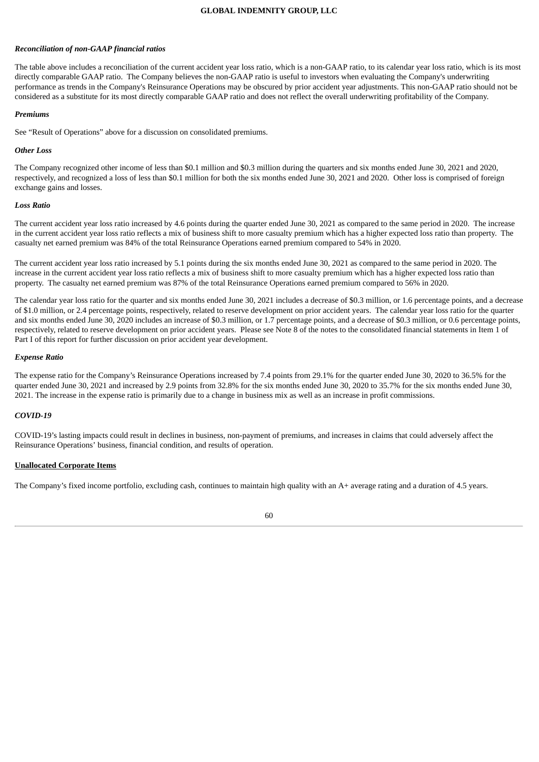#### *Reconciliation of non-GAAP financial ratios*

The table above includes a reconciliation of the current accident year loss ratio, which is a non-GAAP ratio, to its calendar year loss ratio, which is its most directly comparable GAAP ratio. The Company believes the non-GAAP ratio is useful to investors when evaluating the Company's underwriting performance as trends in the Company's Reinsurance Operations may be obscured by prior accident year adjustments. This non-GAAP ratio should not be considered as a substitute for its most directly comparable GAAP ratio and does not reflect the overall underwriting profitability of the Company.

#### *Premiums*

See "Result of Operations" above for a discussion on consolidated premiums.

#### *Other Loss*

The Company recognized other income of less than \$0.1 million and \$0.3 million during the quarters and six months ended June 30, 2021 and 2020, respectively, and recognized a loss of less than \$0.1 million for both the six months ended June 30, 2021 and 2020. Other loss is comprised of foreign exchange gains and losses.

#### *Loss Ratio*

The current accident year loss ratio increased by 4.6 points during the quarter ended June 30, 2021 as compared to the same period in 2020. The increase in the current accident year loss ratio reflects a mix of business shift to more casualty premium which has a higher expected loss ratio than property. The casualty net earned premium was 84% of the total Reinsurance Operations earned premium compared to 54% in 2020.

The current accident year loss ratio increased by 5.1 points during the six months ended June 30, 2021 as compared to the same period in 2020. The increase in the current accident year loss ratio reflects a mix of business shift to more casualty premium which has a higher expected loss ratio than property. The casualty net earned premium was 87% of the total Reinsurance Operations earned premium compared to 56% in 2020.

The calendar year loss ratio for the quarter and six months ended June 30, 2021 includes a decrease of \$0.3 million, or 1.6 percentage points, and a decrease of \$1.0 million, or 2.4 percentage points, respectively, related to reserve development on prior accident years. The calendar year loss ratio for the quarter and six months ended June 30, 2020 includes an increase of \$0.3 million, or 1.7 percentage points, and a decrease of \$0.3 million, or 0.6 percentage points, respectively, related to reserve development on prior accident years. Please see Note 8 of the notes to the consolidated financial statements in Item 1 of Part I of this report for further discussion on prior accident year development.

#### *Expense Ratio*

The expense ratio for the Company's Reinsurance Operations increased by 7.4 points from 29.1% for the quarter ended June 30, 2020 to 36.5% for the quarter ended June 30, 2021 and increased by 2.9 points from 32.8% for the six months ended June 30, 2020 to 35.7% for the six months ended June 30, 2021. The increase in the expense ratio is primarily due to a change in business mix as well as an increase in profit commissions.

## *COVID-19*

COVID-19's lasting impacts could result in declines in business, non-payment of premiums, and increases in claims that could adversely affect the Reinsurance Operations' business, financial condition, and results of operation.

#### **Unallocated Corporate Items**

The Company's fixed income portfolio, excluding cash, continues to maintain high quality with an A+ average rating and a duration of 4.5 years.

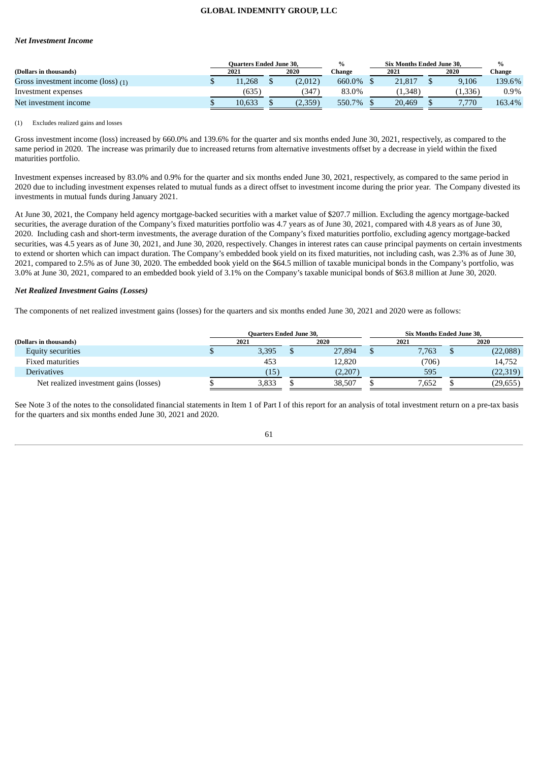#### *Net Investment Income*

|                                      | <b>Ouarters Ended June 30.</b> |        |  |         |        | <b>Six Months Ended June 30,</b> |       | $\%$    |
|--------------------------------------|--------------------------------|--------|--|---------|--------|----------------------------------|-------|---------|
| (Dollars in thousands)               |                                | 2021   |  | 2020    | Change | 2021                             | 2020  | Change  |
| Gross investment income (loss) $(1)$ |                                | 11.268 |  | (2,012) | 660.0% | 21.817                           | 9,106 | 139.6%  |
| Investment expenses                  |                                | (635)  |  | 347     | 83.0%  | (1,348)                          | 1,336 | $0.9\%$ |
| Net investment income                |                                | 10.633 |  | (2,359) | 550.7% | 20,469                           | 7,770 | 163.4%  |

#### (1) Excludes realized gains and losses

Gross investment income (loss) increased by 660.0% and 139.6% for the quarter and six months ended June 30, 2021, respectively, as compared to the same period in 2020. The increase was primarily due to increased returns from alternative investments offset by a decrease in yield within the fixed maturities portfolio.

Investment expenses increased by 83.0% and 0.9% for the quarter and six months ended June 30, 2021, respectively, as compared to the same period in 2020 due to including investment expenses related to mutual funds as a direct offset to investment income during the prior year. The Company divested its investments in mutual funds during January 2021.

At June 30, 2021, the Company held agency mortgage-backed securities with a market value of \$207.7 million. Excluding the agency mortgage-backed securities, the average duration of the Company's fixed maturities portfolio was 4.7 years as of June 30, 2021, compared with 4.8 years as of June 30, 2020. Including cash and short-term investments, the average duration of the Company's fixed maturities portfolio, excluding agency mortgage-backed securities, was 4.5 years as of June 30, 2021, and June 30, 2020, respectively. Changes in interest rates can cause principal payments on certain investments to extend or shorten which can impact duration. The Company's embedded book yield on its fixed maturities, not including cash, was 2.3% as of June 30, 2021, compared to 2.5% as of June 30, 2020. The embedded book yield on the \$64.5 million of taxable municipal bonds in the Company's portfolio, was 3.0% at June 30, 2021, compared to an embedded book yield of 3.1% on the Company's taxable municipal bonds of \$63.8 million at June 30, 2020.

#### *Net Realized Investment Gains (Losses)*

The components of net realized investment gains (losses) for the quarters and six months ended June 30, 2021 and 2020 were as follows:

|                                        | Quarters Ended June 30, |  | Six Months Ended June 30, |       |  |           |
|----------------------------------------|-------------------------|--|---------------------------|-------|--|-----------|
| (Dollars in thousands)                 | 2021                    |  | 2020                      | 2021  |  | 2020      |
| <b>Equity securities</b>               | 3,395                   |  | 27,894                    | 7,763 |  | (22,088)  |
| <b>Fixed maturities</b>                | 453                     |  | 12,820                    | (706) |  | 14,752    |
| Derivatives                            | (15)                    |  | (2,207                    | 595   |  | (22, 319) |
| Net realized investment gains (losses) | 3.833                   |  | 38,507                    | 7.652 |  | (29, 655) |
|                                        |                         |  |                           |       |  |           |

See Note 3 of the notes to the consolidated financial statements in Item 1 of Part I of this report for an analysis of total investment return on a pre-tax basis for the quarters and six months ended June 30, 2021 and 2020.

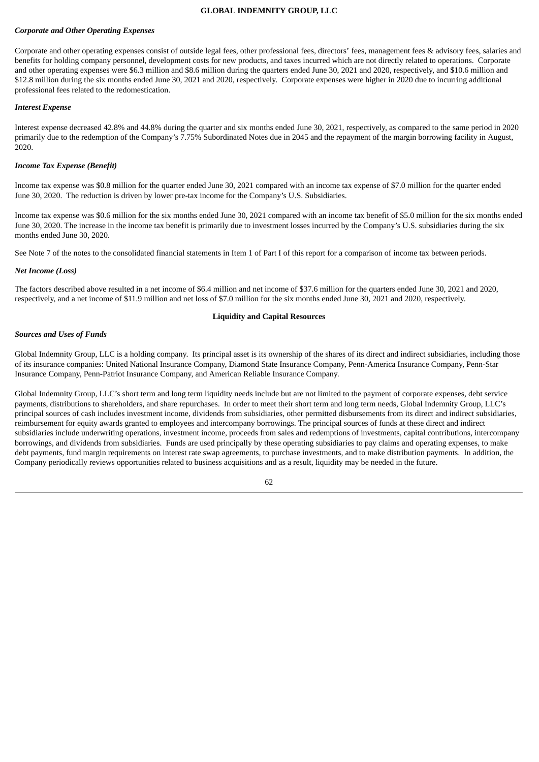#### *Corporate and Other Operating Expenses*

Corporate and other operating expenses consist of outside legal fees, other professional fees, directors' fees, management fees & advisory fees, salaries and benefits for holding company personnel, development costs for new products, and taxes incurred which are not directly related to operations. Corporate and other operating expenses were \$6.3 million and \$8.6 million during the quarters ended June 30, 2021 and 2020, respectively, and \$10.6 million and \$12.8 million during the six months ended June 30, 2021 and 2020, respectively. Corporate expenses were higher in 2020 due to incurring additional professional fees related to the redomestication.

#### *Interest Expense*

Interest expense decreased 42.8% and 44.8% during the quarter and six months ended June 30, 2021, respectively, as compared to the same period in 2020 primarily due to the redemption of the Company's 7.75% Subordinated Notes due in 2045 and the repayment of the margin borrowing facility in August, 2020.

## *Income Tax Expense (Benefit)*

Income tax expense was \$0.8 million for the quarter ended June 30, 2021 compared with an income tax expense of \$7.0 million for the quarter ended June 30, 2020. The reduction is driven by lower pre-tax income for the Company's U.S. Subsidiaries.

Income tax expense was \$0.6 million for the six months ended June 30, 2021 compared with an income tax benefit of \$5.0 million for the six months ended June 30, 2020. The increase in the income tax benefit is primarily due to investment losses incurred by the Company's U.S. subsidiaries during the six months ended June 30, 2020.

See Note 7 of the notes to the consolidated financial statements in Item 1 of Part I of this report for a comparison of income tax between periods.

#### *Net Income (Loss)*

The factors described above resulted in a net income of \$6.4 million and net income of \$37.6 million for the quarters ended June 30, 2021 and 2020, respectively, and a net income of \$11.9 million and net loss of \$7.0 million for the six months ended June 30, 2021 and 2020, respectively.

#### **Liquidity and Capital Resources**

#### *Sources and Uses of Funds*

Global Indemnity Group, LLC is a holding company. Its principal asset is its ownership of the shares of its direct and indirect subsidiaries, including those of its insurance companies: United National Insurance Company, Diamond State Insurance Company, Penn-America Insurance Company, Penn-Star Insurance Company, Penn-Patriot Insurance Company, and American Reliable Insurance Company.

Global Indemnity Group, LLC's short term and long term liquidity needs include but are not limited to the payment of corporate expenses, debt service payments, distributions to shareholders, and share repurchases. In order to meet their short term and long term needs, Global Indemnity Group, LLC's principal sources of cash includes investment income, dividends from subsidiaries, other permitted disbursements from its direct and indirect subsidiaries, reimbursement for equity awards granted to employees and intercompany borrowings. The principal sources of funds at these direct and indirect subsidiaries include underwriting operations, investment income, proceeds from sales and redemptions of investments, capital contributions, intercompany borrowings, and dividends from subsidiaries. Funds are used principally by these operating subsidiaries to pay claims and operating expenses, to make debt payments, fund margin requirements on interest rate swap agreements, to purchase investments, and to make distribution payments. In addition, the Company periodically reviews opportunities related to business acquisitions and as a result, liquidity may be needed in the future.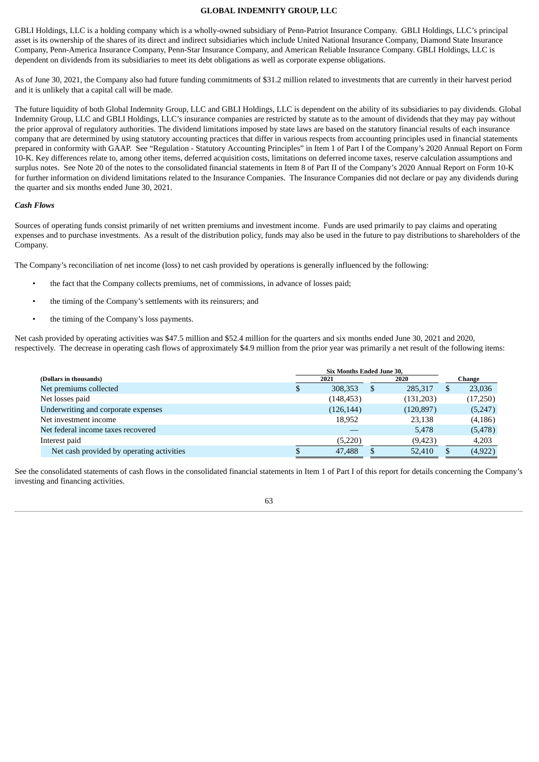GBLI Holdings, LLC is a holding company which is a wholly-owned subsidiary of Penn-Patriot Insurance Company. GBLI Holdings, LLC's principal asset is its ownership of the shares of its direct and indirect subsidiaries which include United National Insurance Company, Diamond State Insurance Company, Penn-America Insurance Company, Penn-Star Insurance Company, and American Reliable Insurance Company. GBLI Holdings, LLC is dependent on dividends from its subsidiaries to meet its debt obligations as well as corporate expense obligations.

As of June 30, 2021, the Company also had future funding commitments of \$31.2 million related to investments that are currently in their harvest period and it is unlikely that a capital call will be made.

The future liquidity of both Global Indemnity Group, LLC and GBLI Holdings, LLC is dependent on the ability of its subsidiaries to pay dividends. Global Indemnity Group, LLC and GBLI Holdings, LLC's insurance companies are restricted by statute as to the amount of dividends that they may pay without the prior approval of regulatory authorities. The dividend limitations imposed by state laws are based on the statutory financial results of each insurance company that are determined by using statutory accounting practices that differ in various respects from accounting principles used in financial statements prepared in conformity with GAAP. See "Regulation - Statutory Accounting Principles" in Item 1 of Part I of the Company's 2020 Annual Report on Form 10-K. Key differences relate to, among other items, deferred acquisition costs, limitations on deferred income taxes, reserve calculation assumptions and surplus notes. See Note 20 of the notes to the consolidated financial statements in Item 8 of Part II of the Company's 2020 Annual Report on Form 10-K for further information on dividend limitations related to the Insurance Companies. The Insurance Companies did not declare or pay any dividends during the quarter and six months ended June 30, 2021.

#### *Cash Flows*

Sources of operating funds consist primarily of net written premiums and investment income. Funds are used primarily to pay claims and operating expenses and to purchase investments. As a result of the distribution policy, funds may also be used in the future to pay distributions to shareholders of the Company.

The Company's reconciliation of net income (loss) to net cash provided by operations is generally influenced by the following:

- the fact that the Company collects premiums, net of commissions, in advance of losses paid;
- the timing of the Company's settlements with its reinsurers; and
- the timing of the Company's loss payments.

Net cash provided by operating activities was \$47.5 million and \$52.4 million for the quarters and six months ended June 30, 2021 and 2020, respectively. The decrease in operating cash flows of approximately \$4.9 million from the prior year was primarily a net result of the following items:

|                                           | <b>Six Months Ended June 30.</b> |            |    |            |  |          |
|-------------------------------------------|----------------------------------|------------|----|------------|--|----------|
| (Dollars in thousands)                    |                                  | 2021       |    | 2020       |  | Change   |
| Net premiums collected                    | \$                               | 308,353    | -S | 285,317    |  | 23,036   |
| Net losses paid                           |                                  | (148, 453) |    | (131,203)  |  | (17,250) |
| Underwriting and corporate expenses       |                                  | (126, 144) |    | (120, 897) |  | (5,247)  |
| Net investment income                     |                                  | 18,952     |    | 23,138     |  | (4, 186) |
| Net federal income taxes recovered        |                                  |            |    | 5,478      |  | (5, 478) |
| Interest paid                             |                                  | (5,220)    |    | (9, 423)   |  | 4,203    |
| Net cash provided by operating activities |                                  | 47,488     |    | 52,410     |  | (4,922)  |

See the consolidated statements of cash flows in the consolidated financial statements in Item 1 of Part I of this report for details concerning the Company's investing and financing activities.

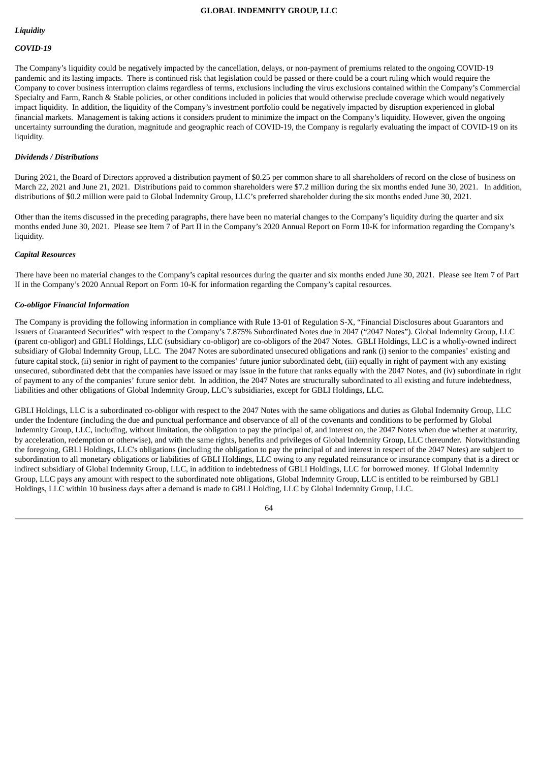#### *Liquidity*

#### *COVID-19*

The Company's liquidity could be negatively impacted by the cancellation, delays, or non-payment of premiums related to the ongoing COVID-19 pandemic and its lasting impacts. There is continued risk that legislation could be passed or there could be a court ruling which would require the Company to cover business interruption claims regardless of terms, exclusions including the virus exclusions contained within the Company's Commercial Specialty and Farm, Ranch & Stable policies, or other conditions included in policies that would otherwise preclude coverage which would negatively impact liquidity. In addition, the liquidity of the Company's investment portfolio could be negatively impacted by disruption experienced in global financial markets. Management is taking actions it considers prudent to minimize the impact on the Company's liquidity. However, given the ongoing uncertainty surrounding the duration, magnitude and geographic reach of COVID-19, the Company is regularly evaluating the impact of COVID-19 on its liquidity.

#### *Dividends / Distributions*

During 2021, the Board of Directors approved a distribution payment of \$0.25 per common share to all shareholders of record on the close of business on March 22, 2021 and June 21, 2021. Distributions paid to common shareholders were \$7.2 million during the six months ended June 30, 2021. In addition, distributions of \$0.2 million were paid to Global Indemnity Group, LLC's preferred shareholder during the six months ended June 30, 2021.

Other than the items discussed in the preceding paragraphs, there have been no material changes to the Company's liquidity during the quarter and six months ended June 30, 2021. Please see Item 7 of Part II in the Company's 2020 Annual Report on Form 10-K for information regarding the Company's liquidity.

#### *Capital Resources*

There have been no material changes to the Company's capital resources during the quarter and six months ended June 30, 2021. Please see Item 7 of Part II in the Company's 2020 Annual Report on Form 10-K for information regarding the Company's capital resources.

# *Co-obligor Financial Information*

The Company is providing the following information in compliance with Rule 13-01 of Regulation S-X, "Financial Disclosures about Guarantors and Issuers of Guaranteed Securities" with respect to the Company's 7.875% Subordinated Notes due in 2047 ("2047 Notes"). Global Indemnity Group, LLC (parent co-obligor) and GBLI Holdings, LLC (subsidiary co-obligor) are co-obligors of the 2047 Notes. GBLI Holdings, LLC is a wholly-owned indirect subsidiary of Global Indemnity Group, LLC. The 2047 Notes are subordinated unsecured obligations and rank (i) senior to the companies' existing and future capital stock, (ii) senior in right of payment to the companies' future junior subordinated debt, (iii) equally in right of payment with any existing unsecured, subordinated debt that the companies have issued or may issue in the future that ranks equally with the 2047 Notes, and (iv) subordinate in right of payment to any of the companies' future senior debt. In addition, the 2047 Notes are structurally subordinated to all existing and future indebtedness, liabilities and other obligations of Global Indemnity Group, LLC's subsidiaries, except for GBLI Holdings, LLC.

GBLI Holdings, LLC is a subordinated co-obligor with respect to the 2047 Notes with the same obligations and duties as Global Indemnity Group, LLC under the Indenture (including the due and punctual performance and observance of all of the covenants and conditions to be performed by Global Indemnity Group, LLC, including, without limitation, the obligation to pay the principal of, and interest on, the 2047 Notes when due whether at maturity, by acceleration, redemption or otherwise), and with the same rights, benefits and privileges of Global Indemnity Group, LLC thereunder. Notwithstanding the foregoing, GBLI Holdings, LLC's obligations (including the obligation to pay the principal of and interest in respect of the 2047 Notes) are subject to subordination to all monetary obligations or liabilities of GBLI Holdings, LLC owing to any regulated reinsurance or insurance company that is a direct or indirect subsidiary of Global Indemnity Group, LLC, in addition to indebtedness of GBLI Holdings, LLC for borrowed money. If Global Indemnity Group, LLC pays any amount with respect to the subordinated note obligations, Global Indemnity Group, LLC is entitled to be reimbursed by GBLI Holdings, LLC within 10 business days after a demand is made to GBLI Holding, LLC by Global Indemnity Group, LLC.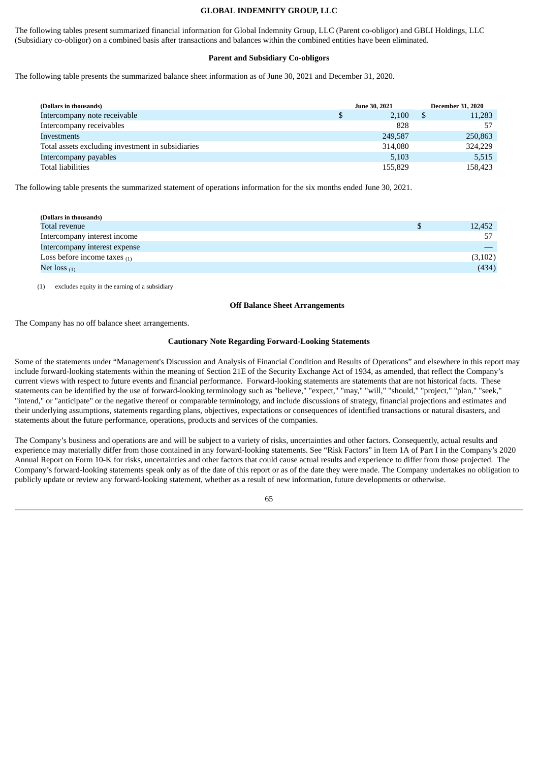The following tables present summarized financial information for Global Indemnity Group, LLC (Parent co-obligor) and GBLI Holdings, LLC (Subsidiary co-obligor) on a combined basis after transactions and balances within the combined entities have been eliminated.

#### **Parent and Subsidiary Co-obligors**

The following table presents the summarized balance sheet information as of June 30, 2021 and December 31, 2020.

| (Dollars in thousands)                            | June 30, 2021 | <b>December 31, 2020</b> |
|---------------------------------------------------|---------------|--------------------------|
| Intercompany note receivable                      | 2,100         | 11,283                   |
| Intercompany receivables                          | 828           |                          |
| <b>Investments</b>                                | 249,587       | 250,863                  |
| Total assets excluding investment in subsidiaries | 314,080       | 324,229                  |
| Intercompany payables                             | 5,103         | 5,515                    |
| Total liabilities                                 | 155,829       | 158,423                  |

The following table presents the summarized statement of operations information for the six months ended June 30, 2021.

| (Dollars in thousands)         |          |
|--------------------------------|----------|
| Total revenue                  | 12,452   |
| Intercompany interest income   | 57       |
| Intercompany interest expense  |          |
| Loss before income taxes $(1)$ | (3, 102) |
| Net loss $_{(1)}$              | (434)    |

(1) excludes equity in the earning of a subsidiary

#### **Off Balance Sheet Arrangements**

The Company has no off balance sheet arrangements.

#### **Cautionary Note Regarding Forward-Looking Statements**

Some of the statements under "Management's Discussion and Analysis of Financial Condition and Results of Operations" and elsewhere in this report may include forward-looking statements within the meaning of Section 21E of the Security Exchange Act of 1934, as amended, that reflect the Company's current views with respect to future events and financial performance. Forward-looking statements are statements that are not historical facts. These statements can be identified by the use of forward-looking terminology such as "believe," "expect," "may," "will," "should," "project," "plan," "seek," "intend," or "anticipate" or the negative thereof or comparable terminology, and include discussions of strategy, financial projections and estimates and their underlying assumptions, statements regarding plans, objectives, expectations or consequences of identified transactions or natural disasters, and statements about the future performance, operations, products and services of the companies.

The Company's business and operations are and will be subject to a variety of risks, uncertainties and other factors. Consequently, actual results and experience may materially differ from those contained in any forward-looking statements. See "Risk Factors" in Item 1A of Part I in the Company's 2020 Annual Report on Form 10-K for risks, uncertainties and other factors that could cause actual results and experience to differ from those projected. The Company's forward-looking statements speak only as of the date of this report or as of the date they were made. The Company undertakes no obligation to publicly update or review any forward-looking statement, whether as a result of new information, future developments or otherwise.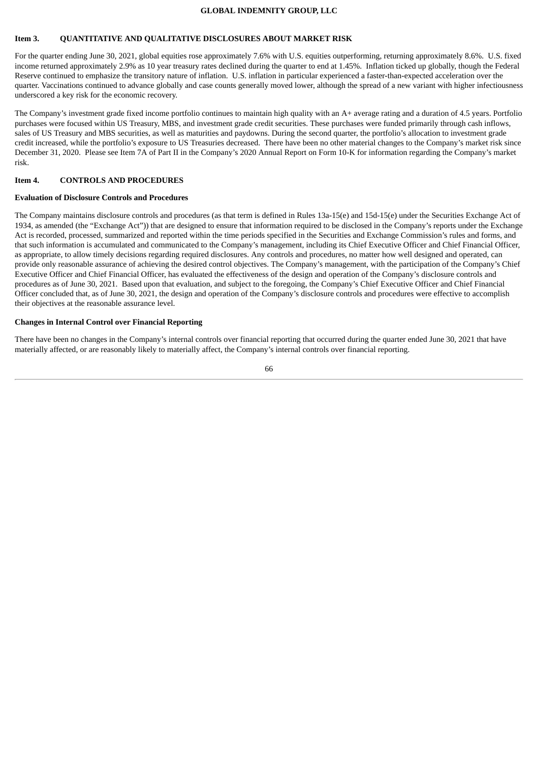# **Item 3. QUANTITATIVE AND QUALITATIVE DISCLOSURES ABOUT MARKET RISK**

For the quarter ending June 30, 2021, global equities rose approximately 7.6% with U.S. equities outperforming, returning approximately 8.6%. U.S. fixed income returned approximately 2.9% as 10 year treasury rates declined during the quarter to end at 1.45%. Inflation ticked up globally, though the Federal Reserve continued to emphasize the transitory nature of inflation. U.S. inflation in particular experienced a faster-than-expected acceleration over the quarter. Vaccinations continued to advance globally and case counts generally moved lower, although the spread of a new variant with higher infectiousness underscored a key risk for the economic recovery.

The Company's investment grade fixed income portfolio continues to maintain high quality with an A+ average rating and a duration of 4.5 years. Portfolio purchases were focused within US Treasury, MBS, and investment grade credit securities. These purchases were funded primarily through cash inflows, sales of US Treasury and MBS securities, as well as maturities and paydowns. During the second quarter, the portfolio's allocation to investment grade credit increased, while the portfolio's exposure to US Treasuries decreased. There have been no other material changes to the Company's market risk since December 31, 2020. Please see Item 7A of Part II in the Company's 2020 Annual Report on Form 10-K for information regarding the Company's market risk.

#### **Item 4. CONTROLS AND PROCEDURES**

#### **Evaluation of Disclosure Controls and Procedures**

The Company maintains disclosure controls and procedures (as that term is defined in Rules 13a-15(e) and 15d-15(e) under the Securities Exchange Act of 1934, as amended (the "Exchange Act")) that are designed to ensure that information required to be disclosed in the Company's reports under the Exchange Act is recorded, processed, summarized and reported within the time periods specified in the Securities and Exchange Commission's rules and forms, and that such information is accumulated and communicated to the Company's management, including its Chief Executive Officer and Chief Financial Officer, as appropriate, to allow timely decisions regarding required disclosures. Any controls and procedures, no matter how well designed and operated, can provide only reasonable assurance of achieving the desired control objectives. The Company's management, with the participation of the Company's Chief Executive Officer and Chief Financial Officer, has evaluated the effectiveness of the design and operation of the Company's disclosure controls and procedures as of June 30, 2021. Based upon that evaluation, and subject to the foregoing, the Company's Chief Executive Officer and Chief Financial Officer concluded that, as of June 30, 2021, the design and operation of the Company's disclosure controls and procedures were effective to accomplish their objectives at the reasonable assurance level.

# **Changes in Internal Control over Financial Reporting**

There have been no changes in the Company's internal controls over financial reporting that occurred during the quarter ended June 30, 2021 that have materially affected, or are reasonably likely to materially affect, the Company's internal controls over financial reporting.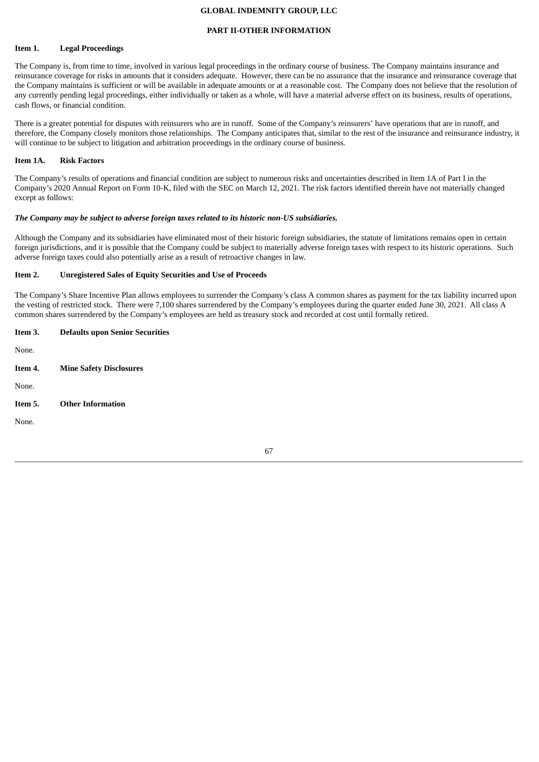# **PART II-OTHER INFORMATION**

## **Item 1. Legal Proceedings**

The Company is, from time to time, involved in various legal proceedings in the ordinary course of business. The Company maintains insurance and reinsurance coverage for risks in amounts that it considers adequate. However, there can be no assurance that the insurance and reinsurance coverage that the Company maintains is sufficient or will be available in adequate amounts or at a reasonable cost. The Company does not believe that the resolution of any currently pending legal proceedings, either individually or taken as a whole, will have a material adverse effect on its business, results of operations, cash flows, or financial condition.

There is a greater potential for disputes with reinsurers who are in runoff. Some of the Company's reinsurers' have operations that are in runoff, and therefore, the Company closely monitors those relationships. The Company anticipates that, similar to the rest of the insurance and reinsurance industry, it will continue to be subject to litigation and arbitration proceedings in the ordinary course of business.

## **Item 1A. Risk Factors**

The Company's results of operations and financial condition are subject to numerous risks and uncertainties described in Item 1A of Part I in the Company's 2020 Annual Report on Form 10-K, filed with the SEC on March 12, 2021. The risk factors identified therein have not materially changed except as follows:

#### *The Company may be subject to adverse foreign taxes related to its historic non-US subsidiaries.*

Although the Company and its subsidiaries have eliminated most of their historic foreign subsidiaries, the statute of limitations remains open in certain foreign jurisdictions, and it is possible that the Company could be subject to materially adverse foreign taxes with respect to its historic operations. Such adverse foreign taxes could also potentially arise as a result of retroactive changes in law.

# **Item 2. Unregistered Sales of Equity Securities and Use of Proceeds**

The Company's Share Incentive Plan allows employees to surrender the Company's class A common shares as payment for the tax liability incurred upon the vesting of restricted stock. There were 7,100 shares surrendered by the Company's employees during the quarter ended June 30, 2021. All class A common shares surrendered by the Company's employees are held as treasury stock and recorded at cost until formally retired.

| Item 3. | <b>Defaults upon Senior Securities</b> |
|---------|----------------------------------------|
| None.   |                                        |
| Item 4. | <b>Mine Safety Disclosures</b>         |
| None.   |                                        |
| Item 5. | <b>Other Information</b>               |
| None.   |                                        |
|         |                                        |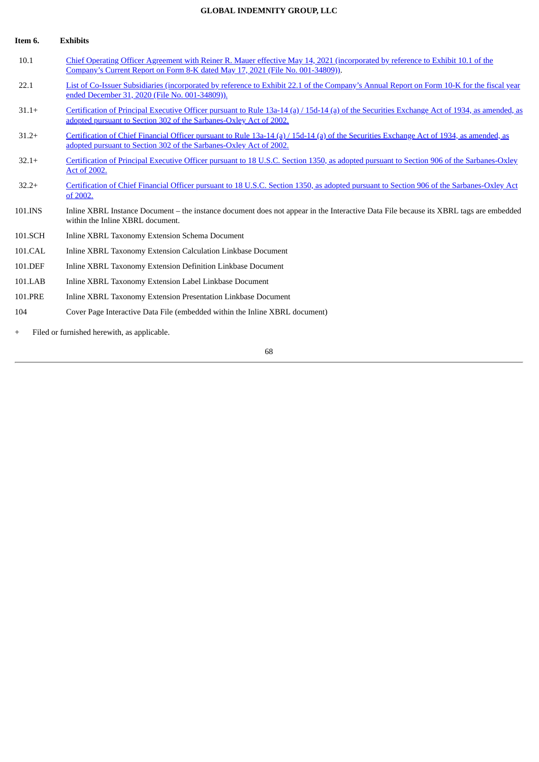| Item 6. | <b>Exhibits</b>                                                                                                                                                                                                    |
|---------|--------------------------------------------------------------------------------------------------------------------------------------------------------------------------------------------------------------------|
| 10.1    | Chief Operating Officer Agreement with Reiner R. Mauer effective May 14, 2021 (incorporated by reference to Exhibit 10.1 of the<br>Company's Current Report on Form 8-K dated May 17, 2021 (File No. 001-34809)).  |
| 22.1    | List of Co-Issuer Subsidiaries (incorporated by reference to Exhibit 22.1 of the Company's Annual Report on Form 10-K for the fiscal year<br>ended December 31, 2020 (File No. 001-34809)).                        |
| $31.1+$ | Certification of Principal Executive Officer pursuant to Rule 13a-14 (a) / 15d-14 (a) of the Securities Exchange Act of 1934, as amended, as<br>adopted pursuant to Section 302 of the Sarbanes-Oxley Act of 2002. |
| $31.2+$ | Certification of Chief Financial Officer pursuant to Rule 13a-14 (a) / 15d-14 (a) of the Securities Exchange Act of 1934, as amended, as<br>adopted pursuant to Section 302 of the Sarbanes-Oxley Act of 2002.     |
| $32.1+$ | Certification of Principal Executive Officer pursuant to 18 U.S.C. Section 1350, as adopted pursuant to Section 906 of the Sarbanes-Oxley<br>Act of 2002.                                                          |
| $32.2+$ | Certification of Chief Financial Officer pursuant to 18 U.S.C. Section 1350, as adopted pursuant to Section 906 of the Sarbanes-Oxley Act<br>of 2002.                                                              |
| 101.INS | Inline XBRL Instance Document – the instance document does not appear in the Interactive Data File because its XBRL tags are embedded<br>within the Inline XBRL document.                                          |
| 101.SCH | Inline XBRL Taxonomy Extension Schema Document                                                                                                                                                                     |
| 101.CAL | Inline XBRL Taxonomy Extension Calculation Linkbase Document                                                                                                                                                       |
| 101.DEF | Inline XBRL Taxonomy Extension Definition Linkbase Document                                                                                                                                                        |
| 101.LAB | Inline XBRL Taxonomy Extension Label Linkbase Document                                                                                                                                                             |
| 101.PRE | Inline XBRL Taxonomy Extension Presentation Linkbase Document                                                                                                                                                      |
| 104     | Cover Page Interactive Data File (embedded within the Inline XBRL document)                                                                                                                                        |
| $^{+}$  | Filed or furnished herewith, as applicable.                                                                                                                                                                        |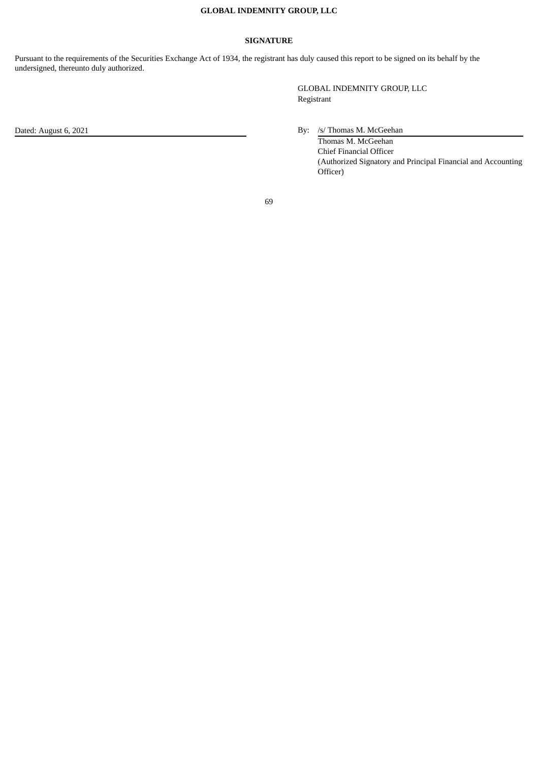# **SIGNATURE**

Pursuant to the requirements of the Securities Exchange Act of 1934, the registrant has duly caused this report to be signed on its behalf by the undersigned, thereunto duly authorized.

> GLOBAL INDEMNITY GROUP, LLC Registrant

Dated: August 6, 2021 **By:** /s/ Thomas M. McGeehan

Thomas M. McGeehan Chief Financial Officer (Authorized Signatory and Principal Financial and Accounting Officer)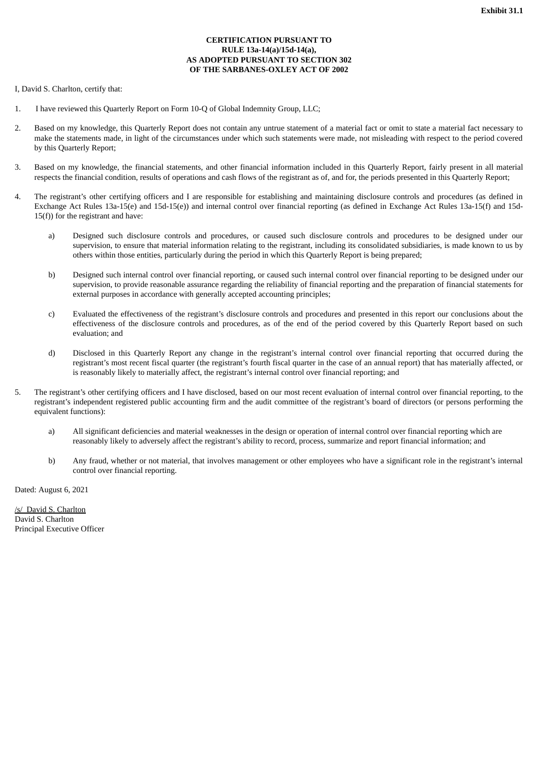# **CERTIFICATION PURSUANT TO RULE 13a-14(a)/15d-14(a), AS ADOPTED PURSUANT TO SECTION 302 OF THE SARBANES-OXLEY ACT OF 2002**

<span id="page-69-0"></span>I, David S. Charlton, certify that:

- 1. I have reviewed this Quarterly Report on Form 10-Q of Global Indemnity Group, LLC;
- 2. Based on my knowledge, this Quarterly Report does not contain any untrue statement of a material fact or omit to state a material fact necessary to make the statements made, in light of the circumstances under which such statements were made, not misleading with respect to the period covered by this Quarterly Report;
- 3. Based on my knowledge, the financial statements, and other financial information included in this Quarterly Report, fairly present in all material respects the financial condition, results of operations and cash flows of the registrant as of, and for, the periods presented in this Quarterly Report;
- 4. The registrant's other certifying officers and I are responsible for establishing and maintaining disclosure controls and procedures (as defined in Exchange Act Rules 13a-15(e) and 15d-15(e)) and internal control over financial reporting (as defined in Exchange Act Rules 13a-15(f) and 15d-15(f)) for the registrant and have:
	- a) Designed such disclosure controls and procedures, or caused such disclosure controls and procedures to be designed under our supervision, to ensure that material information relating to the registrant, including its consolidated subsidiaries, is made known to us by others within those entities, particularly during the period in which this Quarterly Report is being prepared;
	- b) Designed such internal control over financial reporting, or caused such internal control over financial reporting to be designed under our supervision, to provide reasonable assurance regarding the reliability of financial reporting and the preparation of financial statements for external purposes in accordance with generally accepted accounting principles;
	- c) Evaluated the effectiveness of the registrant's disclosure controls and procedures and presented in this report our conclusions about the effectiveness of the disclosure controls and procedures, as of the end of the period covered by this Quarterly Report based on such evaluation; and
	- d) Disclosed in this Quarterly Report any change in the registrant's internal control over financial reporting that occurred during the registrant's most recent fiscal quarter (the registrant's fourth fiscal quarter in the case of an annual report) that has materially affected, or is reasonably likely to materially affect, the registrant's internal control over financial reporting; and
- 5. The registrant's other certifying officers and I have disclosed, based on our most recent evaluation of internal control over financial reporting, to the registrant's independent registered public accounting firm and the audit committee of the registrant's board of directors (or persons performing the equivalent functions):
	- a) All significant deficiencies and material weaknesses in the design or operation of internal control over financial reporting which are reasonably likely to adversely affect the registrant's ability to record, process, summarize and report financial information; and
	- b) Any fraud, whether or not material, that involves management or other employees who have a significant role in the registrant's internal control over financial reporting.

Dated: August 6, 2021

/s/ David S. Charlton David S. Charlton Principal Executive Officer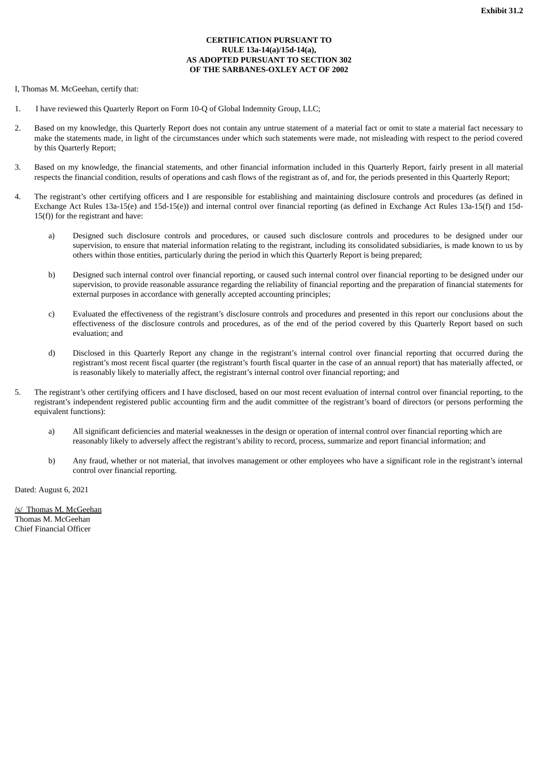# **CERTIFICATION PURSUANT TO RULE 13a-14(a)/15d-14(a), AS ADOPTED PURSUANT TO SECTION 302 OF THE SARBANES-OXLEY ACT OF 2002**

<span id="page-70-0"></span>I, Thomas M. McGeehan, certify that:

- 1. I have reviewed this Quarterly Report on Form 10-Q of Global Indemnity Group, LLC;
- 2. Based on my knowledge, this Quarterly Report does not contain any untrue statement of a material fact or omit to state a material fact necessary to make the statements made, in light of the circumstances under which such statements were made, not misleading with respect to the period covered by this Quarterly Report;
- 3. Based on my knowledge, the financial statements, and other financial information included in this Quarterly Report, fairly present in all material respects the financial condition, results of operations and cash flows of the registrant as of, and for, the periods presented in this Quarterly Report;
- 4. The registrant's other certifying officers and I are responsible for establishing and maintaining disclosure controls and procedures (as defined in Exchange Act Rules 13a-15(e) and 15d-15(e)) and internal control over financial reporting (as defined in Exchange Act Rules 13a-15(f) and 15d-15(f)) for the registrant and have:
	- a) Designed such disclosure controls and procedures, or caused such disclosure controls and procedures to be designed under our supervision, to ensure that material information relating to the registrant, including its consolidated subsidiaries, is made known to us by others within those entities, particularly during the period in which this Quarterly Report is being prepared;
	- b) Designed such internal control over financial reporting, or caused such internal control over financial reporting to be designed under our supervision, to provide reasonable assurance regarding the reliability of financial reporting and the preparation of financial statements for external purposes in accordance with generally accepted accounting principles;
	- c) Evaluated the effectiveness of the registrant's disclosure controls and procedures and presented in this report our conclusions about the effectiveness of the disclosure controls and procedures, as of the end of the period covered by this Quarterly Report based on such evaluation; and
	- d) Disclosed in this Quarterly Report any change in the registrant's internal control over financial reporting that occurred during the registrant's most recent fiscal quarter (the registrant's fourth fiscal quarter in the case of an annual report) that has materially affected, or is reasonably likely to materially affect, the registrant's internal control over financial reporting; and
- 5. The registrant's other certifying officers and I have disclosed, based on our most recent evaluation of internal control over financial reporting, to the registrant's independent registered public accounting firm and the audit committee of the registrant's board of directors (or persons performing the equivalent functions):
	- a) All significant deficiencies and material weaknesses in the design or operation of internal control over financial reporting which are reasonably likely to adversely affect the registrant's ability to record, process, summarize and report financial information; and
	- b) Any fraud, whether or not material, that involves management or other employees who have a significant role in the registrant's internal control over financial reporting.

Dated: August 6, 2021

/s/ Thomas M. McGeehan Thomas M. McGeehan Chief Financial Officer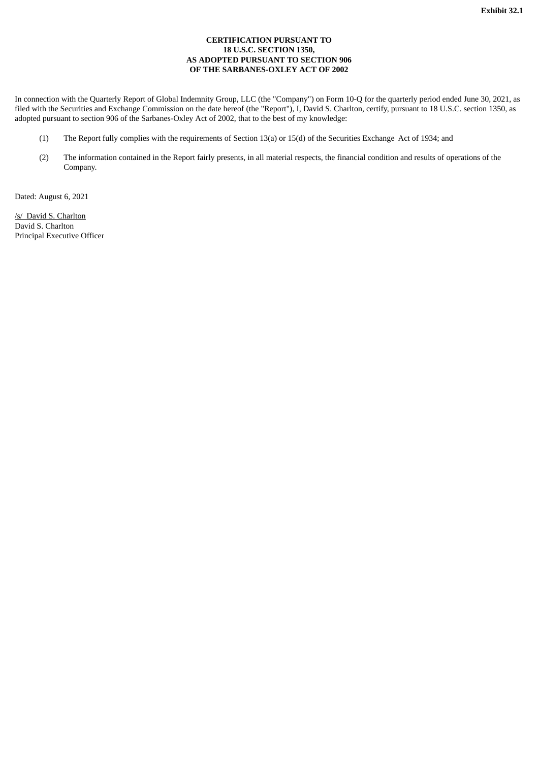# **CERTIFICATION PURSUANT TO 18 U.S.C. SECTION 1350, AS ADOPTED PURSUANT TO SECTION 906 OF THE SARBANES-OXLEY ACT OF 2002**

<span id="page-71-0"></span>In connection with the Quarterly Report of Global Indemnity Group, LLC (the "Company") on Form 10-Q for the quarterly period ended June 30, 2021, as filed with the Securities and Exchange Commission on the date hereof (the "Report"), I, David S. Charlton, certify, pursuant to 18 U.S.C. section 1350, as adopted pursuant to section 906 of the Sarbanes-Oxley Act of 2002, that to the best of my knowledge:

- (1) The Report fully complies with the requirements of Section 13(a) or 15(d) of the Securities Exchange Act of 1934; and
- (2) The information contained in the Report fairly presents, in all material respects, the financial condition and results of operations of the Company.

Dated: August 6, 2021

/s/ David S. Charlton David S. Charlton Principal Executive Officer